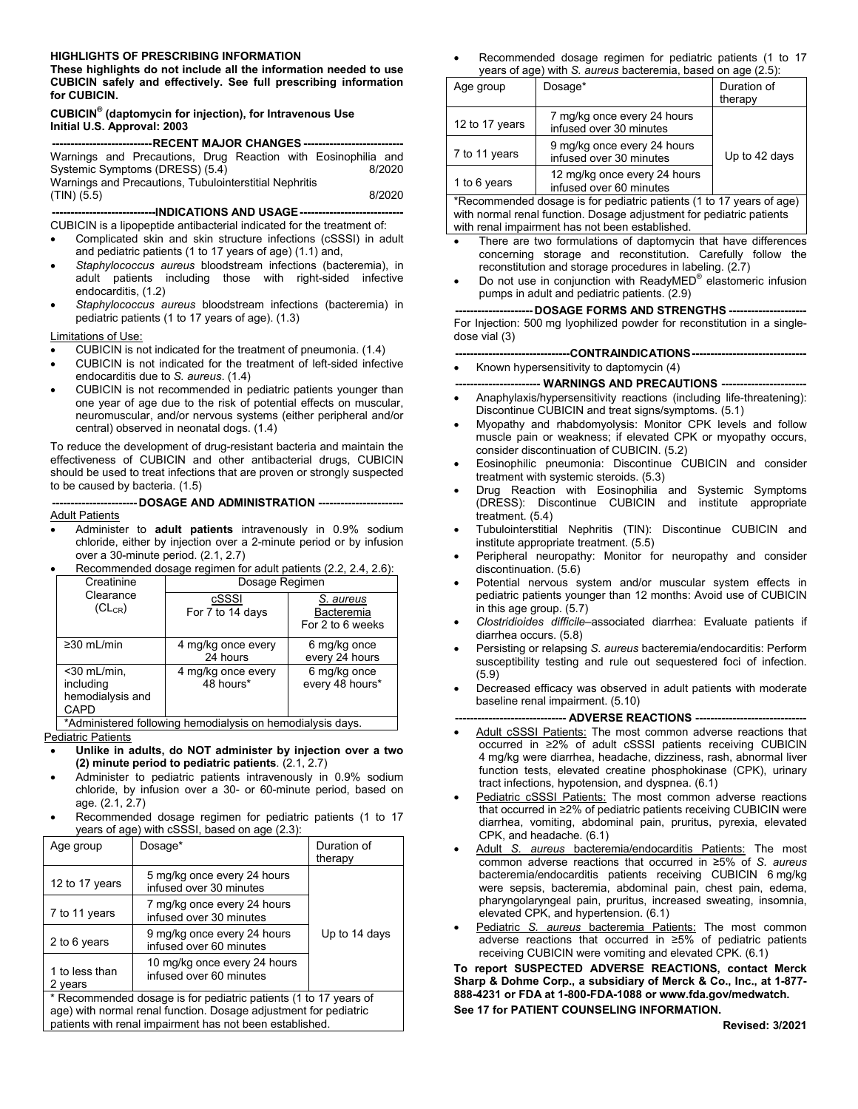#### **HIGHLIGHTS OF PRESCRIBING INFORMATION**

**These highlights do not include all the information needed to use CUBICIN safely and effectively. See full prescribing information for CUBICIN.**

#### **CUBICIN® (daptomycin for injection), for Intravenous Use Initial U.S. Approval: 2003**

| ---------------------------RECENT MAJOR CHANGES ------------------------------- |  |  |  |  |
|---------------------------------------------------------------------------------|--|--|--|--|
| Warnings and Precautions, Drug Reaction with Eosinophilia and                   |  |  |  |  |
| Systemic Symptoms (DRESS) (5.4)<br>8/2020                                       |  |  |  |  |
| Warnings and Precautions, Tubulointerstitial Nephritis                          |  |  |  |  |
| $(TIN)$ (5.5)<br>8/2020                                                         |  |  |  |  |
|                                                                                 |  |  |  |  |

CUBICIN is a lipopeptide antibacterial indicated for the treatment of:

- Complicated skin and skin structure infections (cSSSI) in adult and pediatric patients (1 to 17 years of age) (1.1) and,
- *Staphylococcus aureus* bloodstream infections (bacteremia), in adult patients including those with right-sided infective endocarditis, (1.2)
- *Staphylococcus aureus* bloodstream infections (bacteremia) in pediatric patients (1 to 17 years of age). (1.3)

#### Limitations of Use:

- CUBICIN is not indicated for the treatment of pneumonia. (1.4)
- CUBICIN is not indicated for the treatment of left-sided infective endocarditis due to *S. aureus*. (1.4)
- CUBICIN is not recommended in pediatric patients younger than one year of age due to the risk of potential effects on muscular, neuromuscular, and/or nervous systems (either peripheral and/or central) observed in neonatal dogs. (1.4)

To reduce the development of drug-resistant bacteria and maintain the effectiveness of CUBICIN and other antibacterial drugs, CUBICIN should be used to treat infections that are proven or strongly suspected to be caused by bacteria. (1.5)

**----------------------- DOSAGE AND ADMINISTRATION ----------------------- Adult Patients** 

 Administer to **adult patients** intravenously in 0.9% sodium chloride, either by injection over a 2-minute period or by infusion over a 30-minute period. (2.1, 2.7)

|                                                           | Creatinine                                              | Dosage Regimen                  |                                             |
|-----------------------------------------------------------|---------------------------------------------------------|---------------------------------|---------------------------------------------|
|                                                           | Clearance<br>$(CL_{CR})$                                | cSSSI<br>For 7 to 14 days       | S. aureus<br>Bacteremia<br>For 2 to 6 weeks |
|                                                           | $\geq$ 30 mL/min                                        | 4 mg/kg once every<br>24 hours  | 6 mg/kg once<br>every 24 hours              |
|                                                           | $<$ 30 mL/min,<br>including<br>hemodialysis and<br>CAPD | 4 mg/kg once every<br>48 hours* | 6 mg/kg once<br>every 48 hours*             |
| *Administered following hemodialysis on hemodialysis days |                                                         |                                 |                                             |

Recommended dosage regimen for adult patients (2.2, 2.4, 2.6):

\*Administered following hemodialysis on hemodialysis days. Pediatric Patients

- **Unlike in adults, do NOT administer by injection over a two (2) minute period to pediatric patients**. (2.1, 2.7)
- Administer to pediatric patients intravenously in 0.9% sodium chloride, by infusion over a 30- or 60-minute period, based on age. (2.1, 2.7)
- Recommended dosage regimen for pediatric patients (1 to 17 years of age) with cSSSI, based on age (2.3):

| Age group                                                                                                                                                                                        | Dosage*                                                 | Duration of<br>therapy |
|--------------------------------------------------------------------------------------------------------------------------------------------------------------------------------------------------|---------------------------------------------------------|------------------------|
| 12 to 17 years                                                                                                                                                                                   | 5 mg/kg once every 24 hours<br>infused over 30 minutes  |                        |
| 7 to 11 years                                                                                                                                                                                    | 7 mg/kg once every 24 hours<br>infused over 30 minutes  |                        |
| 2 to 6 years                                                                                                                                                                                     | 9 mg/kg once every 24 hours<br>infused over 60 minutes  | Up to 14 days          |
| 1 to less than<br>2 years                                                                                                                                                                        | 10 mg/kg once every 24 hours<br>infused over 60 minutes |                        |
| * Recommended dosage is for pediatric patients (1 to 17 years of<br>age) with normal renal function. Dosage adjustment for pediatric<br>patients with renal impairment has not been established. |                                                         |                        |

 Recommended dosage regimen for pediatric patients (1 to 17 years of age) with *S. aureus* bacteremia, based on age (2.5):

| Age group      | Dosage*                                                              | Duration of<br>therapy |
|----------------|----------------------------------------------------------------------|------------------------|
| 12 to 17 years | 7 mg/kg once every 24 hours<br>infused over 30 minutes               |                        |
| 7 to 11 years  | 9 mg/kg once every 24 hours<br>infused over 30 minutes               | Up to 42 days          |
| 1 to 6 years   | 12 mg/kg once every 24 hours<br>infused over 60 minutes              |                        |
|                | *Recommended dossas is for pediatric patients (1 to 17 years of ago) |                        |

Recommended dosage is for pediatric patients (1 to 17 years of age) with normal renal function. Dosage adjustment for pediatric patients with renal impairment has not been established.

- There are two formulations of daptomycin that have differences concerning storage and reconstitution. Carefully follow the reconstitution and storage procedures in labeling. (2.7)
- $\bullet$  Do not use in conjunction with ReadyMED<sup>®</sup> elastomeric infusion pumps in adult and pediatric patients. (2.9)

#### **--------------------- DOSAGE FORMS AND STRENGTHS ---------------------**

For Injection: 500 mg lyophilized powder for reconstitution in a singledose vial (3)

- **-------------------------------CONTRAINDICATIONS-------------------------------**
- Known hypersensitivity to daptomycin (4)
	- **----------------------- WARNINGS AND PRECAUTIONS -----------------------**
- Anaphylaxis/hypersensitivity reactions (including life-threatening): Discontinue CUBICIN and treat signs/symptoms. (5.1)
- Myopathy and rhabdomyolysis: Monitor CPK levels and follow muscle pain or weakness; if elevated CPK or myopathy occurs, consider discontinuation of CUBICIN. (5.2)
- Eosinophilic pneumonia: Discontinue CUBICIN and consider treatment with systemic steroids. (5.3)
- Drug Reaction with Eosinophilia and Systemic Symptoms (DRESS): Discontinue CUBICIN and institute appropriate treatment. (5.4)
- Tubulointerstitial Nephritis (TIN): Discontinue CUBICIN and institute appropriate treatment. (5.5)
- Peripheral neuropathy: Monitor for neuropathy and consider discontinuation. (5.6)
- Potential nervous system and/or muscular system effects in pediatric patients younger than 12 months: Avoid use of CUBICIN in this age group. (5.7)
- *Clostridioides difficile–*associated diarrhea: Evaluate patients if diarrhea occurs. (5.8)
- Persisting or relapsing *S. aureus* bacteremia/endocarditis: Perform susceptibility testing and rule out sequestered foci of infection. (5.9)
- Decreased efficacy was observed in adult patients with moderate baseline renal impairment. (5.10)

#### **--- ADVERSE REACTIONS ---**

- Adult cSSSI Patients: The most common adverse reactions that occurred in ≥2% of adult cSSSI patients receiving CUBICIN 4 mg/kg were diarrhea, headache, dizziness, rash, abnormal liver function tests, elevated creatine phosphokinase (CPK), urinary tract infections, hypotension, and dyspnea. (6.1)
- Pediatric cSSSI Patients: The most common adverse reactions that occurred in ≥2% of pediatric patients receiving CUBICIN were diarrhea, vomiting, abdominal pain, pruritus, pyrexia, elevated CPK, and headache. (6.1)
- Adult *S. aureus* bacteremia/endocarditis Patients: The most common adverse reactions that occurred in ≥5% of *S. aureus* bacteremia/endocarditis patients receiving CUBICIN 6 mg/kg were sepsis, bacteremia, abdominal pain, chest pain, edema, pharyngolaryngeal pain, pruritus, increased sweating, insomnia, elevated CPK, and hypertension. (6.1)
- Pediatric *S. aureus* bacteremia Patients: The most common adverse reactions that occurred in ≥5% of pediatric patients receiving CUBICIN were vomiting and elevated CPK. (6.1)

**To report SUSPECTED ADVERSE REACTIONS, contact Merck Sharp & Dohme Corp., a subsidiary of Merck & Co., Inc., at 1-877- 888-4231 or FDA at 1-800-FDA-1088 or www.fda.gov/medwatch. See 17 for PATIENT COUNSELING INFORMATION.**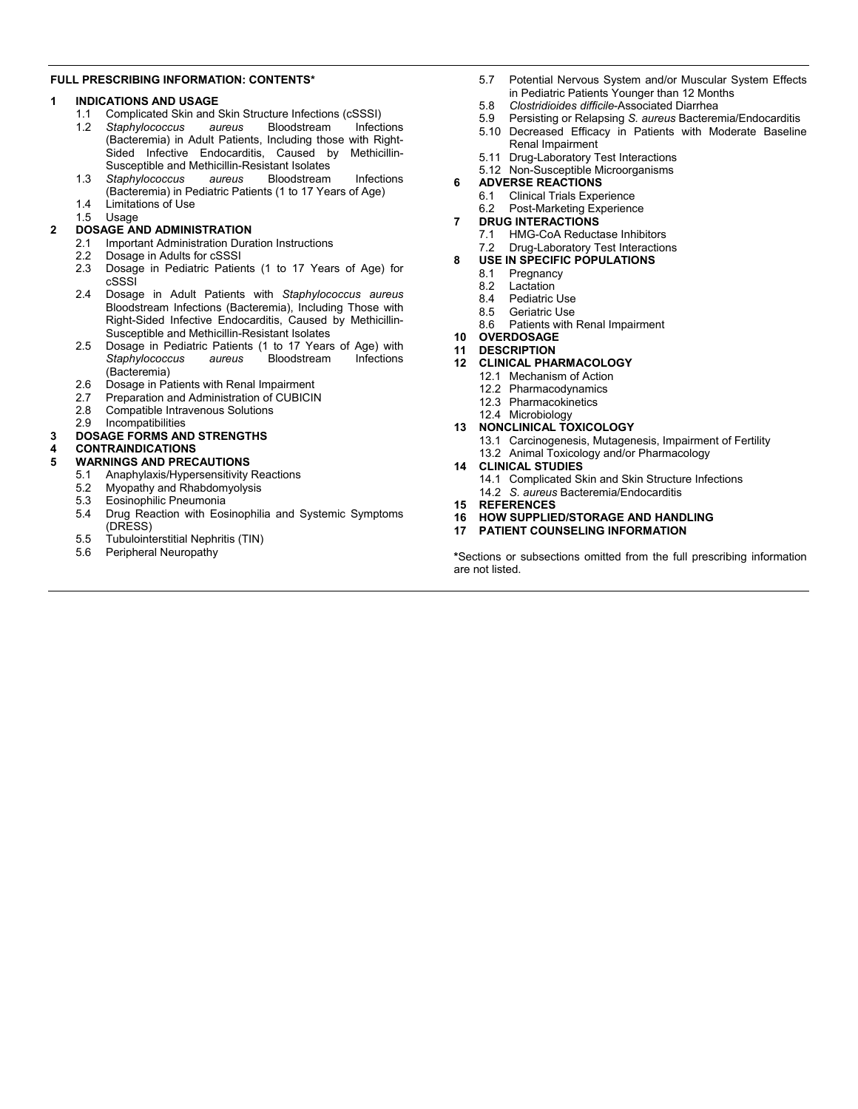#### **FULL PRESCRIBING INFORMATION: CONTENTS\***

#### **1 INDICATIONS AND USAGE**

- 1.1 Complicated Skin and Skin Structure Infections (cSSSI)
- 1.2 *Staphylococcus aureus* Bloodstream Infections (Bacteremia) in Adult Patients, Including those with Right-Sided Infective Endocarditis, Caused by Methicillin-Susceptible and Methicillin-Resistant Isolates
- 1.3 *Staphylococcus aureus* Bloodstream Infections (Bacteremia) in Pediatric Patients (1 to 17 Years of Age)
- 1.4 Limitations of Use
- 1.5 Usage
- **2 DOSAGE AND ADMINISTRATION** 2.1 Important Administration Duration Instructions
	- 2.2 Dosage in Adults for cSSSI
	- 2.3 Dosage in Pediatric Patients (1 to 17 Years of Age) for cSSSI
	- 2.4 Dosage in Adult Patients with *Staphylococcus aureus* Bloodstream Infections (Bacteremia), Including Those with Right-Sided Infective Endocarditis, Caused by Methicillin-Susceptible and Methicillin-Resistant Isolates
	- 2.5 Dosage in Pediatric Patients (1 to 17 Years of Age) with *Staphylococcus aureus* Bloodstream Infections (Bacteremia)
	- 2.6 Dosage in Patients with Renal Impairment
	- 2.7 Preparation and Administration of CUBICIN
	- 2.8 Compatible Intravenous Solutions
	- 2.9 Incompatibilities

#### **3 DOSAGE FORMS AND STRENGTHS**

# **4 CONTRAINDICATIONS**

- **5 WARNINGS AND PRECAUTIONS**
	- 5.1 Anaphylaxis/Hypersensitivity Reactions<br>5.2 Myopathy and Rhabdomyolysis
	- 5.2 Myopathy and Rhabdomyolysis<br>5.3 Eosinophilic Pneumonia
	- 5.3 Eosinophilic Pneumonia
	- 5.4 Drug Reaction with Eosinophilia and Systemic Symptoms (DRESS)
	- 5.5 Tubulointerstitial Nephritis (TIN)
	- 5.6 Peripheral Neuropathy
- 5.7 Potential Nervous System and/or Muscular System Effects in Pediatric Patients Younger than 12 Months
- 5.8 *Clostridioides difficile*-Associated Diarrhea
- 5.9 Persisting or Relapsing *S. aureus* Bacteremia/Endocarditis
- 5.10 Decreased Efficacy in Patients with Moderate Baseline Renal Impairment
- 5.11 Drug-Laboratory Test Interactions
- 5.12 Non-Susceptible Microorganisms
- **6 ADVERSE REACTIONS**
	- 6.1 Clinical Trials Experience
	- 6.2 Post-Marketing Experience
- **7 DRUG INTERACTIONS**
	- 7.1 HMG-CoA Reductase Inhibitors
	- 7.2 Drug-Laboratory Test Interactions
- **8 USE IN SPECIFIC POPULATIONS**
	- 8.1 Pregnancy<br>8.2 Lactation
	- 8.2 Lactation<br>8.4 Pediatric
	- Pediatric Use
	- 8.5 Geriatric Use
	- 8.6 Patients with Renal Impairment
- **10 OVERDOSAGE**

#### **11 DESCRIPTION**

- **12 CLINICAL PHARMACOLOGY**
	- 12.1 Mechanism of Action
	- 12.2 Pharmacodynamics
	- 12.3 Pharmacokinetics
	- 12.4 Microbiology

#### **13 NONCLINICAL TOXICOLOGY**

- 13.1 Carcinogenesis, Mutagenesis, Impairment of Fertility
- 13.2 Animal Toxicology and/or Pharmacology

#### **14 CLINICAL STUDIES**

- 14.1 Complicated Skin and Skin Structure Infections 14.2 *S. aureus* Bacteremia/Endocarditis
- **15 REFERENCES**
- **16 HOW SUPPLIED/STORAGE AND HANDLING**
- **17 PATIENT COUNSELING INFORMATION**

**\***Sections or subsections omitted from the full prescribing information are not listed.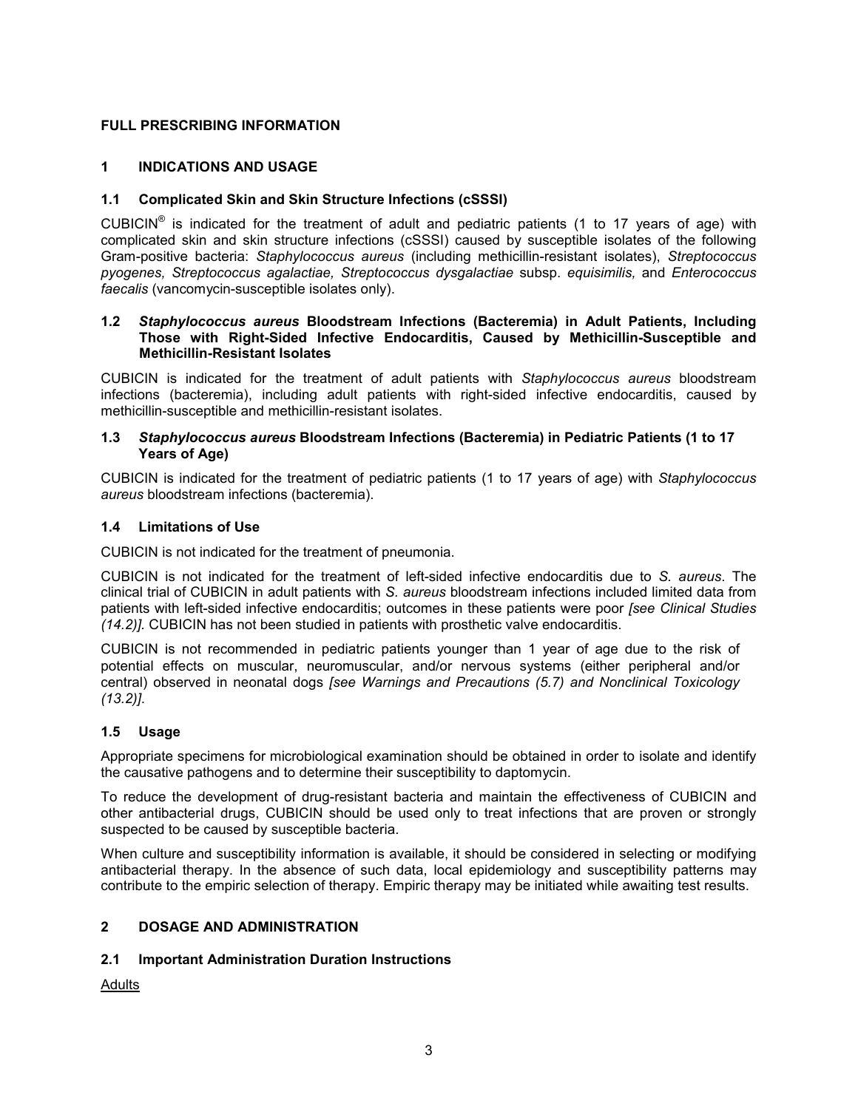## **FULL PRESCRIBING INFORMATION**

## **1 INDICATIONS AND USAGE**

#### **1.1 Complicated Skin and Skin Structure Infections (cSSSI)**

CUBICIN<sup>®</sup> is indicated for the treatment of adult and pediatric patients (1 to 17 years of age) with complicated skin and skin structure infections (cSSSI) caused by susceptible isolates of the following Gram-positive bacteria: *Staphylococcus aureus* (including methicillin-resistant isolates), *Streptococcus pyogenes, Streptococcus agalactiae, Streptococcus dysgalactiae* subsp. *equisimilis,* and *Enterococcus faecalis* (vancomycin-susceptible isolates only).

#### **1.2** *Staphylococcus aureus* **Bloodstream Infections (Bacteremia) in Adult Patients, Including Those with Right-Sided Infective Endocarditis, Caused by Methicillin-Susceptible and Methicillin-Resistant Isolates**

CUBICIN is indicated for the treatment of adult patients with *Staphylococcus aureus* bloodstream infections (bacteremia), including adult patients with right-sided infective endocarditis, caused by methicillin-susceptible and methicillin-resistant isolates.

#### **1.3** *Staphylococcus aureus* **Bloodstream Infections (Bacteremia) in Pediatric Patients (1 to 17 Years of Age)**

CUBICIN is indicated for the treatment of pediatric patients (1 to 17 years of age) with *Staphylococcus aureus* bloodstream infections (bacteremia).

## **1.4 Limitations of Use**

CUBICIN is not indicated for the treatment of pneumonia.

CUBICIN is not indicated for the treatment of left-sided infective endocarditis due to *S. aureus*. The clinical trial of CUBICIN in adult patients with *S. aureus* bloodstream infections included limited data from patients with left-sided infective endocarditis; outcomes in these patients were poor *[see Clinical Studies (14.2)].* CUBICIN has not been studied in patients with prosthetic valve endocarditis.

CUBICIN is not recommended in pediatric patients younger than 1 year of age due to the risk of potential effects on muscular, neuromuscular, and/or nervous systems (either peripheral and/or central) observed in neonatal dogs *[see Warnings and Precautions (5.7) and Nonclinical Toxicology (13.2)]*.

# **1.5 Usage**

Appropriate specimens for microbiological examination should be obtained in order to isolate and identify the causative pathogens and to determine their susceptibility to daptomycin.

To reduce the development of drug-resistant bacteria and maintain the effectiveness of CUBICIN and other antibacterial drugs, CUBICIN should be used only to treat infections that are proven or strongly suspected to be caused by susceptible bacteria.

When culture and susceptibility information is available, it should be considered in selecting or modifying antibacterial therapy. In the absence of such data, local epidemiology and susceptibility patterns may contribute to the empiric selection of therapy. Empiric therapy may be initiated while awaiting test results.

## **2 DOSAGE AND ADMINISTRATION**

# **2.1 Important Administration Duration Instructions**

Adults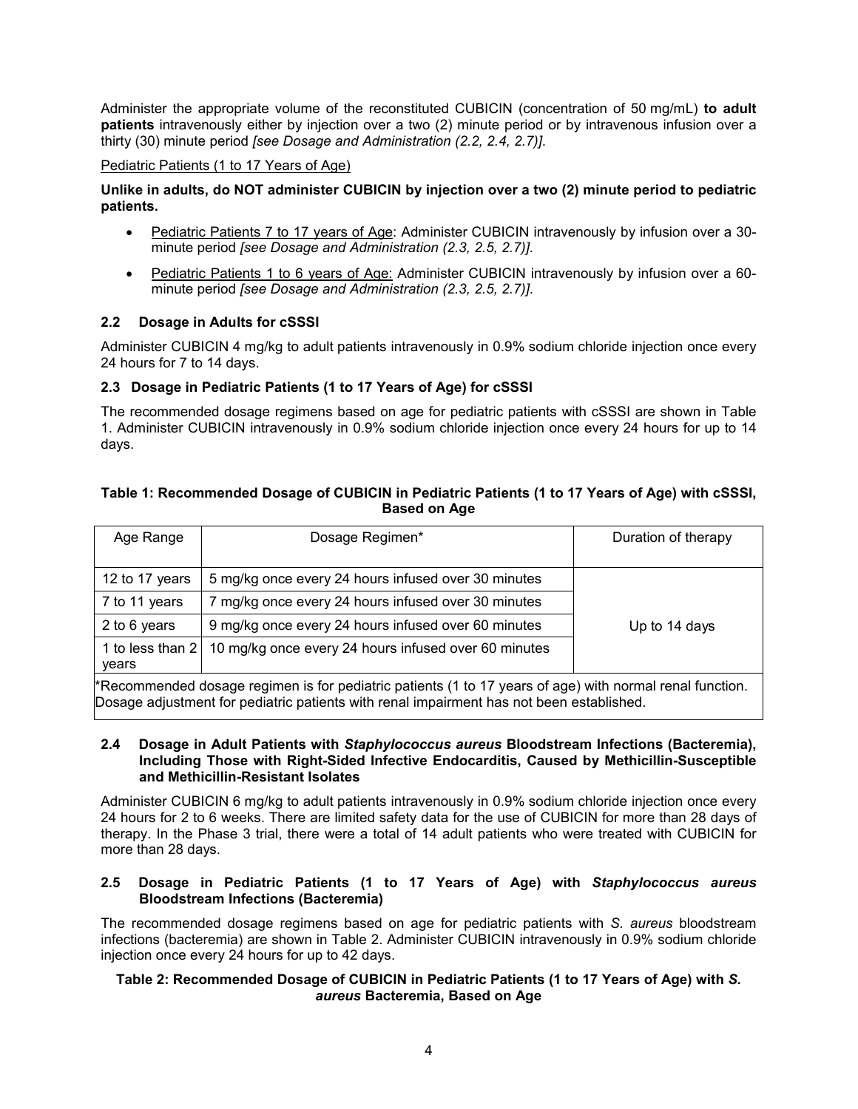Administer the appropriate volume of the reconstituted CUBICIN (concentration of 50 mg/mL) **to adult patients** intravenously either by injection over a two (2) minute period or by intravenous infusion over a thirty (30) minute period *[see Dosage and Administration (2.2, 2.4, 2.7)]*.

## Pediatric Patients (1 to 17 Years of Age)

# **Unlike in adults, do NOT administer CUBICIN by injection over a two (2) minute period to pediatric patients.**

- Pediatric Patients 7 to 17 years of Age: Administer CUBICIN intravenously by infusion over a 30minute period *[see Dosage and Administration (2.3, 2.5, 2.7)]*.
- Pediatric Patients 1 to 6 years of Age: Administer CUBICIN intravenously by infusion over a 60minute period *[see Dosage and Administration (2.3, 2.5, 2.7)]*.

## **2.2 Dosage in Adults for cSSSI**

Administer CUBICIN 4 mg/kg to adult patients intravenously in 0.9% sodium chloride injection once every 24 hours for 7 to 14 days.

## **2.3 Dosage in Pediatric Patients (1 to 17 Years of Age) for cSSSI**

The recommended dosage regimens based on age for pediatric patients with cSSSI are shown in Table 1. Administer CUBICIN intravenously in 0.9% sodium chloride injection once every 24 hours for up to 14 days.

#### **Table 1: Recommended Dosage of CUBICIN in Pediatric Patients (1 to 17 Years of Age) with cSSSI, Based on Age**

| Age Range                                                                                                                                                                                            | Dosage Regimen*                                      | Duration of therapy |
|------------------------------------------------------------------------------------------------------------------------------------------------------------------------------------------------------|------------------------------------------------------|---------------------|
|                                                                                                                                                                                                      |                                                      |                     |
| 12 to 17 years                                                                                                                                                                                       | 5 mg/kg once every 24 hours infused over 30 minutes  |                     |
| 7 to 11 years                                                                                                                                                                                        | 7 mg/kg once every 24 hours infused over 30 minutes  |                     |
| 2 to 6 years                                                                                                                                                                                         | 9 mg/kg once every 24 hours infused over 60 minutes  | Up to 14 days       |
| 1 to less than 2<br>years                                                                                                                                                                            | 10 mg/kg once every 24 hours infused over 60 minutes |                     |
| *Recommended dosage regimen is for pediatric patients (1 to 17 years of age) with normal renal function.<br>Dosage adjustment for pediatric patients with renal impairment has not been established. |                                                      |                     |

#### **2.4 Dosage in Adult Patients with** *Staphylococcus aureus* **Bloodstream Infections (Bacteremia), Including Those with Right-Sided Infective Endocarditis, Caused by Methicillin-Susceptible and Methicillin-Resistant Isolates**

Administer CUBICIN 6 mg/kg to adult patients intravenously in 0.9% sodium chloride injection once every 24 hours for 2 to 6 weeks. There are limited safety data for the use of CUBICIN for more than 28 days of therapy. In the Phase 3 trial, there were a total of 14 adult patients who were treated with CUBICIN for more than 28 days.

#### **2.5 Dosage in Pediatric Patients (1 to 17 Years of Age) with** *Staphylococcus aureus* **Bloodstream Infections (Bacteremia)**

The recommended dosage regimens based on age for pediatric patients with *S. aureus* bloodstream infections (bacteremia) are shown in Table 2. Administer CUBICIN intravenously in 0.9% sodium chloride injection once every 24 hours for up to 42 days.

#### **Table 2: Recommended Dosage of CUBICIN in Pediatric Patients (1 to 17 Years of Age) with** *S. aureus* **Bacteremia, Based on Age**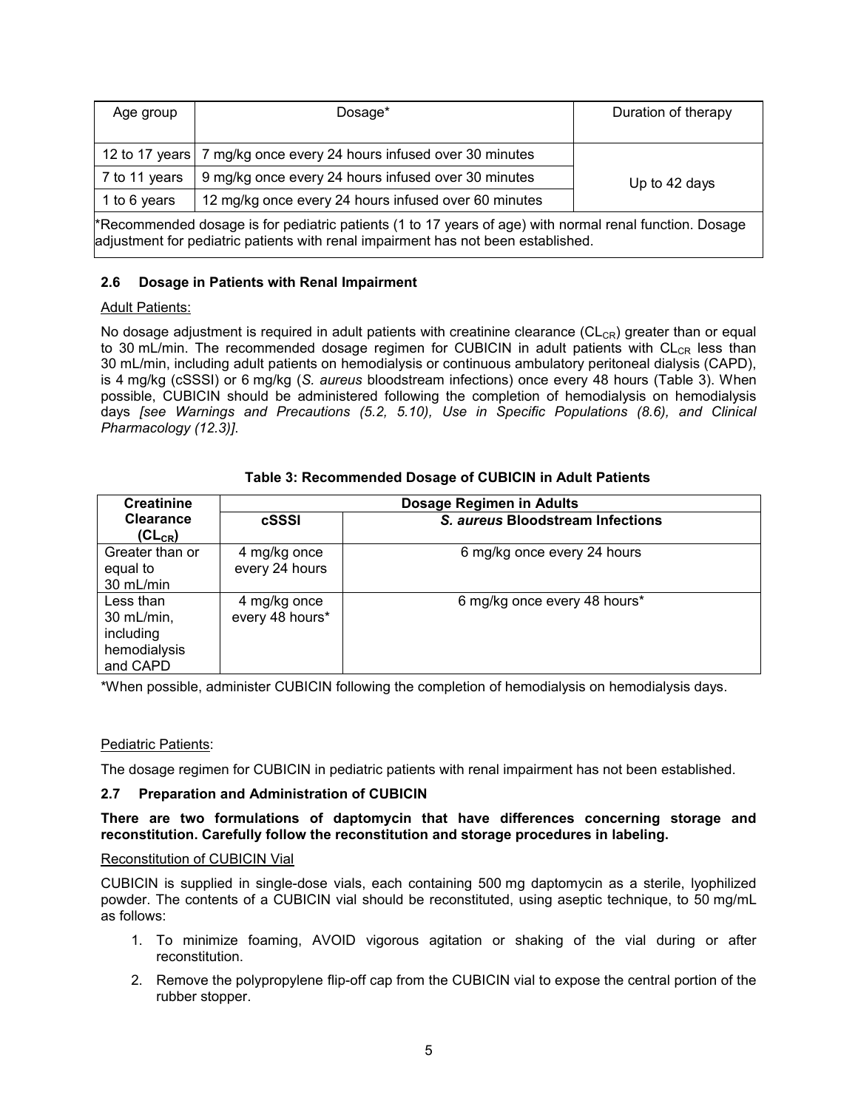| Age group                                                                                                                                                                                    | Dosage*                                             | Duration of therapy |
|----------------------------------------------------------------------------------------------------------------------------------------------------------------------------------------------|-----------------------------------------------------|---------------------|
|                                                                                                                                                                                              |                                                     |                     |
| 12 to 17 years                                                                                                                                                                               | 7 mg/kg once every 24 hours infused over 30 minutes |                     |
| $7$ to 11 years                                                                                                                                                                              | 9 mg/kg once every 24 hours infused over 30 minutes | Up to 42 days       |
| 12 mg/kg once every 24 hours infused over 60 minutes<br>1 to 6 years                                                                                                                         |                                                     |                     |
| *Recommended dosage is for pediatric patients (1 to 17 years of age) with normal renal function. Dosage<br>adjustment for pediatric patients with renal impairment has not been established. |                                                     |                     |

# **2.6 Dosage in Patients with Renal Impairment**

# **Adult Patients:**

No dosage adjustment is required in adult patients with creatinine clearance ( $CL_{CR}$ ) greater than or equal to 30 mL/min. The recommended dosage regimen for CUBICIN in adult patients with  $CL_{CR}$  less than 30 mL/min, including adult patients on hemodialysis or continuous ambulatory peritoneal dialysis (CAPD), is 4 mg/kg (cSSSI) or 6 mg/kg (*S. aureus* bloodstream infections) once every 48 hours (Table 3). When possible, CUBICIN should be administered following the completion of hemodialysis on hemodialysis days *[see Warnings and Precautions (5.2, 5.10), Use in Specific Populations (8.6), and Clinical Pharmacology (12.3)]*.

| <b>Creatinine</b>                                                | <b>Dosage Regimen in Adults</b> |                                  |  |
|------------------------------------------------------------------|---------------------------------|----------------------------------|--|
| <b>Clearance</b><br>$(CL_{CR})$                                  | cSSSI                           | S. aureus Bloodstream Infections |  |
| Greater than or<br>equal to<br>30 mL/min                         | 4 mg/kg once<br>every 24 hours  | 6 mg/kg once every 24 hours      |  |
| Less than<br>30 mL/min,<br>including<br>hemodialysis<br>and CAPD | 4 mg/kg once<br>every 48 hours* | 6 mg/kg once every 48 hours*     |  |

## **Table 3: Recommended Dosage of CUBICIN in Adult Patients**

\*When possible, administer CUBICIN following the completion of hemodialysis on hemodialysis days.

#### Pediatric Patients:

The dosage regimen for CUBICIN in pediatric patients with renal impairment has not been established.

#### **2.7 Preparation and Administration of CUBICIN**

#### **There are two formulations of daptomycin that have differences concerning storage and reconstitution. Carefully follow the reconstitution and storage procedures in labeling.**

#### Reconstitution of CUBICIN Vial

CUBICIN is supplied in single-dose vials, each containing 500 mg daptomycin as a sterile, lyophilized powder. The contents of a CUBICIN vial should be reconstituted, using aseptic technique, to 50 mg/mL as follows:

- 1. To minimize foaming, AVOID vigorous agitation or shaking of the vial during or after reconstitution.
- 2. Remove the polypropylene flip-off cap from the CUBICIN vial to expose the central portion of the rubber stopper.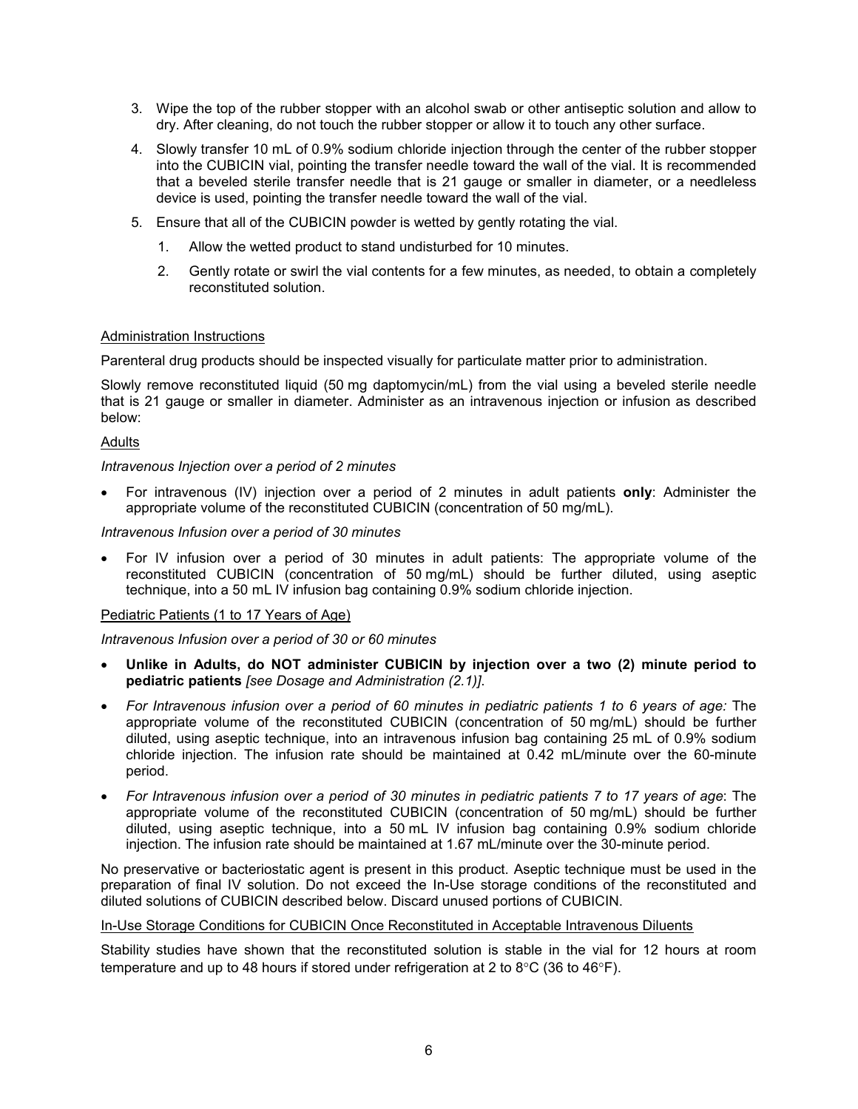- 3. Wipe the top of the rubber stopper with an alcohol swab or other antiseptic solution and allow to dry. After cleaning, do not touch the rubber stopper or allow it to touch any other surface.
- 4. Slowly transfer 10 mL of 0.9% sodium chloride injection through the center of the rubber stopper into the CUBICIN vial, pointing the transfer needle toward the wall of the vial. It is recommended that a beveled sterile transfer needle that is 21 gauge or smaller in diameter, or a needleless device is used, pointing the transfer needle toward the wall of the vial.
- 5. Ensure that all of the CUBICIN powder is wetted by gently rotating the vial.
	- 1. Allow the wetted product to stand undisturbed for 10 minutes.
	- 2. Gently rotate or swirl the vial contents for a few minutes, as needed, to obtain a completely reconstituted solution.

#### Administration Instructions

Parenteral drug products should be inspected visually for particulate matter prior to administration.

Slowly remove reconstituted liquid (50 mg daptomycin/mL) from the vial using a beveled sterile needle that is 21 gauge or smaller in diameter. Administer as an intravenous injection or infusion as described below:

#### Adults

#### *Intravenous Injection over a period of 2 minutes*

 For intravenous (IV) injection over a period of 2 minutes in adult patients **only**: Administer the appropriate volume of the reconstituted CUBICIN (concentration of 50 mg/mL).

#### *Intravenous Infusion over a period of 30 minutes*

 For IV infusion over a period of 30 minutes in adult patients: The appropriate volume of the reconstituted CUBICIN (concentration of 50 mg/mL) should be further diluted, using aseptic technique, into a 50 mL IV infusion bag containing 0.9% sodium chloride injection.

#### Pediatric Patients (1 to 17 Years of Age)

*Intravenous Infusion over a period of 30 or 60 minutes*

- **Unlike in Adults, do NOT administer CUBICIN by injection over a two (2) minute period to pediatric patients** *[see Dosage and Administration (2.1)]*.
- *For Intravenous infusion over a period of 60 minutes in pediatric patients 1 to 6 years of age:* The appropriate volume of the reconstituted CUBICIN (concentration of 50 mg/mL) should be further diluted, using aseptic technique, into an intravenous infusion bag containing 25 mL of 0.9% sodium chloride injection. The infusion rate should be maintained at 0.42 mL/minute over the 60-minute period.
- *For Intravenous infusion over a period of 30 minutes in pediatric patients 7 to 17 years of age*: The appropriate volume of the reconstituted CUBICIN (concentration of 50 mg/mL) should be further diluted, using aseptic technique, into a 50 mL IV infusion bag containing 0.9% sodium chloride injection. The infusion rate should be maintained at 1.67 mL/minute over the 30-minute period.

No preservative or bacteriostatic agent is present in this product. Aseptic technique must be used in the preparation of final IV solution. Do not exceed the In-Use storage conditions of the reconstituted and diluted solutions of CUBICIN described below. Discard unused portions of CUBICIN.

#### In-Use Storage Conditions for CUBICIN Once Reconstituted in Acceptable Intravenous Diluents

Stability studies have shown that the reconstituted solution is stable in the vial for 12 hours at room temperature and up to 48 hours if stored under refrigeration at 2 to  $8^{\circ}$ C (36 to 46 $^{\circ}$ F).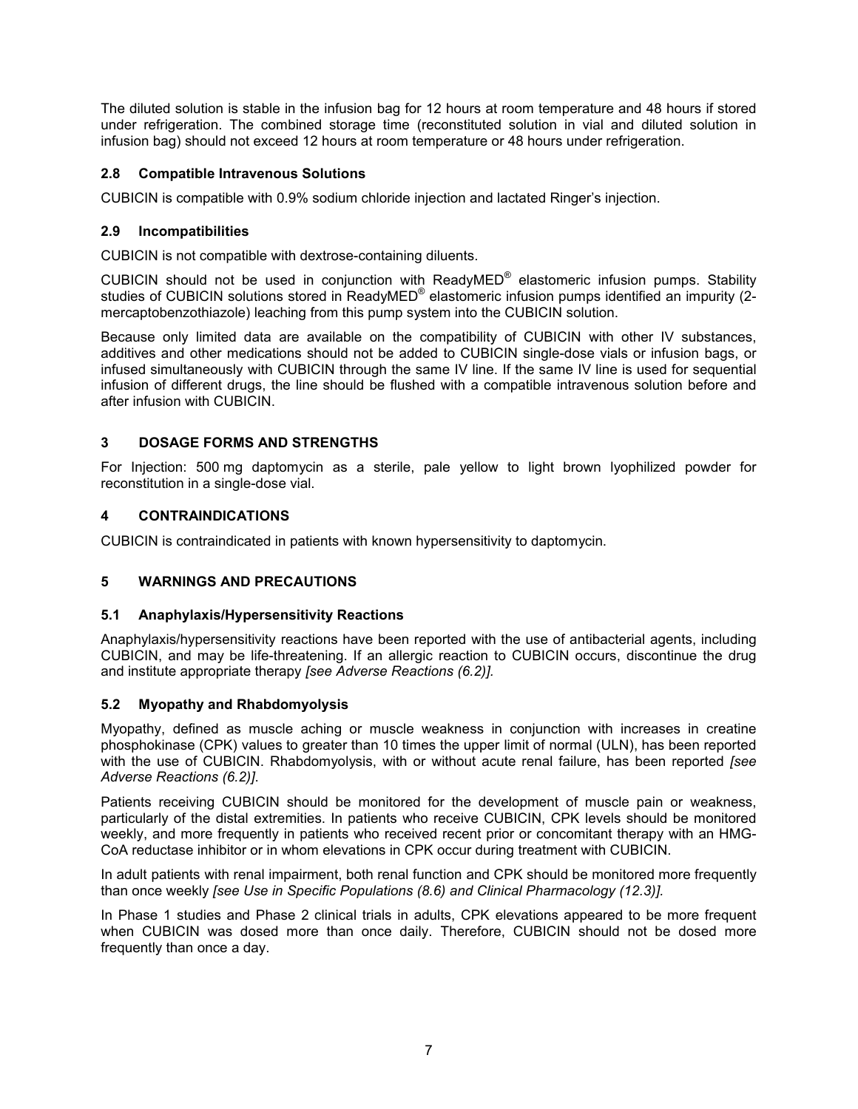The diluted solution is stable in the infusion bag for 12 hours at room temperature and 48 hours if stored under refrigeration. The combined storage time (reconstituted solution in vial and diluted solution in infusion bag) should not exceed 12 hours at room temperature or 48 hours under refrigeration.

# **2.8 Compatible Intravenous Solutions**

CUBICIN is compatible with 0.9% sodium chloride injection and lactated Ringer's injection.

# **2.9 Incompatibilities**

CUBICIN is not compatible with dextrose-containing diluents.

CUBICIN should not be used in conjunction with ReadyMED® elastomeric infusion pumps. Stability studies of CUBICIN solutions stored in ReadyMED® elastomeric infusion pumps identified an impurity (2mercaptobenzothiazole) leaching from this pump system into the CUBICIN solution.

Because only limited data are available on the compatibility of CUBICIN with other IV substances, additives and other medications should not be added to CUBICIN single-dose vials or infusion bags, or infused simultaneously with CUBICIN through the same IV line. If the same IV line is used for sequential infusion of different drugs, the line should be flushed with a compatible intravenous solution before and after infusion with CUBICIN.

# **3 DOSAGE FORMS AND STRENGTHS**

For Injection: 500 mg daptomycin as a sterile, pale yellow to light brown lyophilized powder for reconstitution in a single-dose vial.

## **4 CONTRAINDICATIONS**

CUBICIN is contraindicated in patients with known hypersensitivity to daptomycin.

# **5 WARNINGS AND PRECAUTIONS**

#### **5.1 Anaphylaxis/Hypersensitivity Reactions**

Anaphylaxis/hypersensitivity reactions have been reported with the use of antibacterial agents, including CUBICIN, and may be life-threatening. If an allergic reaction to CUBICIN occurs, discontinue the drug and institute appropriate therapy *[see Adverse Reactions (6.2)].*

#### **5.2 Myopathy and Rhabdomyolysis**

Myopathy, defined as muscle aching or muscle weakness in conjunction with increases in creatine phosphokinase (CPK) values to greater than 10 times the upper limit of normal (ULN), has been reported with the use of CUBICIN. Rhabdomyolysis, with or without acute renal failure, has been reported *[see Adverse Reactions (6.2)]*.

Patients receiving CUBICIN should be monitored for the development of muscle pain or weakness, particularly of the distal extremities. In patients who receive CUBICIN, CPK levels should be monitored weekly, and more frequently in patients who received recent prior or concomitant therapy with an HMG-CoA reductase inhibitor or in whom elevations in CPK occur during treatment with CUBICIN.

In adult patients with renal impairment, both renal function and CPK should be monitored more frequently than once weekly *[see Use in Specific Populations (8.6) and Clinical Pharmacology (12.3)].*

In Phase 1 studies and Phase 2 clinical trials in adults, CPK elevations appeared to be more frequent when CUBICIN was dosed more than once daily. Therefore, CUBICIN should not be dosed more frequently than once a day.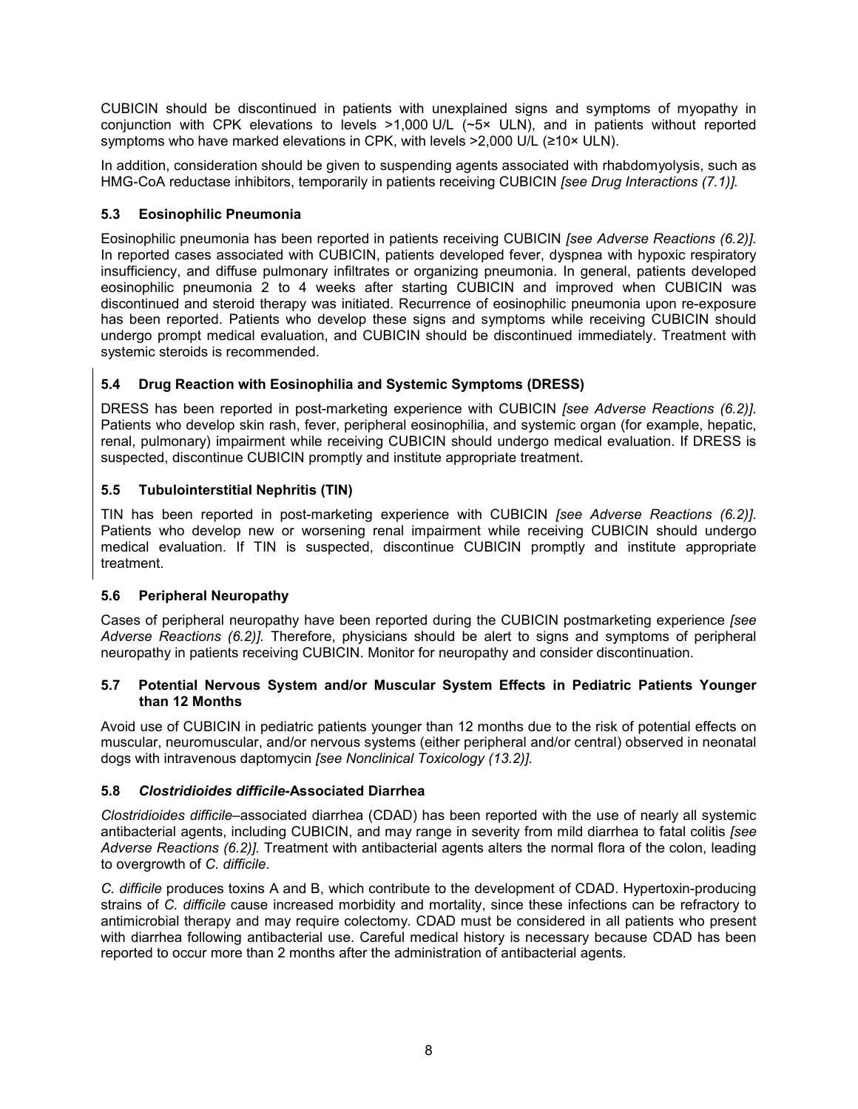CUBICIN should be discontinued in patients with unexplained signs and symptoms of myopathy in conjunction with CPK elevations to levels >1,000 U/L (~5× ULN), and in patients without reported symptoms who have marked elevations in CPK, with levels >2,000 U/L (≥10× ULN).

In addition, consideration should be given to suspending agents associated with rhabdomyolysis, such as HMG-CoA reductase inhibitors, temporarily in patients receiving CUBICIN *[see Drug Interactions (7.1)].*

# **5.3 Eosinophilic Pneumonia**

Eosinophilic pneumonia has been reported in patients receiving CUBICIN *[see Adverse Reactions (6.2)].* In reported cases associated with CUBICIN, patients developed fever, dyspnea with hypoxic respiratory insufficiency, and diffuse pulmonary infiltrates or organizing pneumonia. In general, patients developed eosinophilic pneumonia 2 to 4 weeks after starting CUBICIN and improved when CUBICIN was discontinued and steroid therapy was initiated. Recurrence of eosinophilic pneumonia upon re-exposure has been reported. Patients who develop these signs and symptoms while receiving CUBICIN should undergo prompt medical evaluation, and CUBICIN should be discontinued immediately. Treatment with systemic steroids is recommended.

# **5.4 Drug Reaction with Eosinophilia and Systemic Symptoms (DRESS)**

DRESS has been reported in post-marketing experience with CUBICIN *[see Adverse Reactions (6.2)]*. Patients who develop skin rash, fever, peripheral eosinophilia, and systemic organ (for example, hepatic, renal, pulmonary) impairment while receiving CUBICIN should undergo medical evaluation. If DRESS is suspected, discontinue CUBICIN promptly and institute appropriate treatment.

# **5.5 Tubulointerstitial Nephritis (TIN)**

TIN has been reported in post-marketing experience with CUBICIN *[see Adverse Reactions (6.2)]*. Patients who develop new or worsening renal impairment while receiving CUBICIN should undergo medical evaluation. If TIN is suspected, discontinue CUBICIN promptly and institute appropriate treatment.

# **5.6 Peripheral Neuropathy**

Cases of peripheral neuropathy have been reported during the CUBICIN postmarketing experience *[see Adverse Reactions (6.2)].* Therefore, physicians should be alert to signs and symptoms of peripheral neuropathy in patients receiving CUBICIN. Monitor for neuropathy and consider discontinuation.

## **5.7 Potential Nervous System and/or Muscular System Effects in Pediatric Patients Younger than 12 Months**

Avoid use of CUBICIN in pediatric patients younger than 12 months due to the risk of potential effects on muscular, neuromuscular, and/or nervous systems (either peripheral and/or central) observed in neonatal dogs with intravenous daptomycin *[see Nonclinical Toxicology (13.2)].*

# **5.8** *Clostridioides difficile***-Associated Diarrhea**

*Clostridioides difficile*–associated diarrhea (CDAD) has been reported with the use of nearly all systemic antibacterial agents, including CUBICIN, and may range in severity from mild diarrhea to fatal colitis *[see Adverse Reactions (6.2)].* Treatment with antibacterial agents alters the normal flora of the colon, leading to overgrowth of *C. difficile*.

*C. difficile* produces toxins A and B, which contribute to the development of CDAD. Hypertoxin-producing strains of *C. difficile* cause increased morbidity and mortality, since these infections can be refractory to antimicrobial therapy and may require colectomy. CDAD must be considered in all patients who present with diarrhea following antibacterial use. Careful medical history is necessary because CDAD has been reported to occur more than 2 months after the administration of antibacterial agents.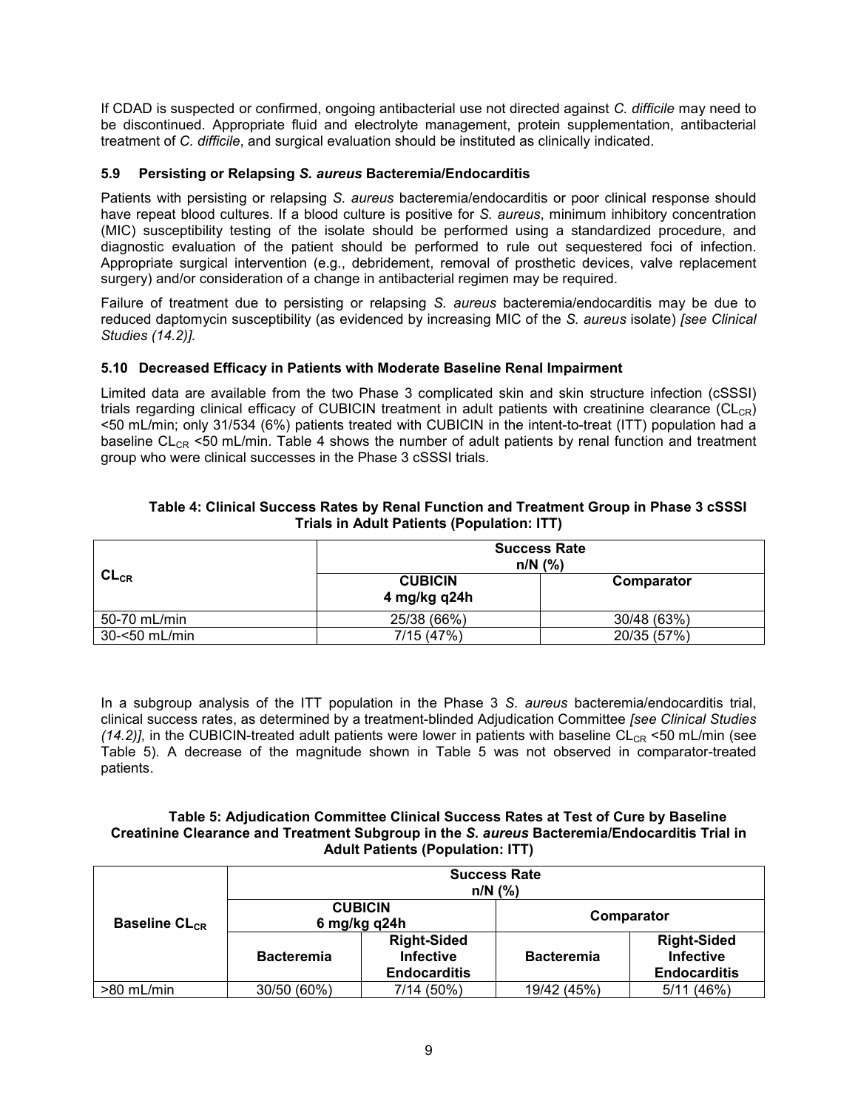If CDAD is suspected or confirmed, ongoing antibacterial use not directed against *C. difficile* may need to be discontinued. Appropriate fluid and electrolyte management, protein supplementation, antibacterial treatment of *C. difficile*, and surgical evaluation should be instituted as clinically indicated.

# **5.9 Persisting or Relapsing** *S. aureus* **Bacteremia/Endocarditis**

Patients with persisting or relapsing *S. aureus* bacteremia/endocarditis or poor clinical response should have repeat blood cultures. If a blood culture is positive for *S. aureus*, minimum inhibitory concentration (MIC) susceptibility testing of the isolate should be performed using a standardized procedure, and diagnostic evaluation of the patient should be performed to rule out sequestered foci of infection. Appropriate surgical intervention (e.g., debridement, removal of prosthetic devices, valve replacement surgery) and/or consideration of a change in antibacterial regimen may be required.

Failure of treatment due to persisting or relapsing *S. aureus* bacteremia/endocarditis may be due to reduced daptomycin susceptibility (as evidenced by increasing MIC of the *S. aureus* isolate) *[see Clinical Studies (14.2)].*

## **5.10 Decreased Efficacy in Patients with Moderate Baseline Renal Impairment**

Limited data are available from the two Phase 3 complicated skin and skin structure infection (cSSSI) trials regarding clinical efficacy of CUBICIN treatment in adult patients with creatinine clearance  $(CL_{CR})$ <50 mL/min; only 31/534 (6%) patients treated with CUBICIN in the intent-to-treat (ITT) population had a baseline CL<sub>CR</sub> <50 mL/min. Table 4 shows the number of adult patients by renal function and treatment group who were clinical successes in the Phase 3 cSSSI trials.

| Table 4: Clinical Success Rates by Renal Function and Treatment Group in Phase 3 cSSSI |
|----------------------------------------------------------------------------------------|
| Trials in Adult Patients (Population: ITT)                                             |

|               |                                | <b>Success Rate</b><br>$n/N$ (%) |
|---------------|--------------------------------|----------------------------------|
| $CL_{CR}$     | <b>CUBICIN</b><br>4 mg/kg q24h | Comparator                       |
| 50-70 mL/min  | 25/38 (66%)                    | 30/48 (63%)                      |
| 30-<50 mL/min | 7/15(47%)                      | 20/35 (57%)                      |

In a subgroup analysis of the ITT population in the Phase 3 *S. aureus* bacteremia/endocarditis trial, clinical success rates, as determined by a treatment-blinded Adjudication Committee *[see Clinical Studies*  $(14.2)$ ], in the CUBICIN-treated adult patients were lower in patients with baseline CL<sub>CR</sub> <50 mL/min (see Table 5). A decrease of the magnitude shown in Table 5 was not observed in comparator-treated patients.

#### **Table 5: Adjudication Committee Clinical Success Rates at Test of Cure by Baseline Creatinine Clearance and Treatment Subgroup in the** *S. aureus* **Bacteremia/Endocarditis Trial in Adult Patients (Population: ITT)**

|                                 |                                | <b>Success Rate</b><br>$n/N$ (%)                              |                   |                                                               |
|---------------------------------|--------------------------------|---------------------------------------------------------------|-------------------|---------------------------------------------------------------|
| <b>Baseline CL<sub>CR</sub></b> | <b>CUBICIN</b><br>6 mg/kg q24h |                                                               | Comparator        |                                                               |
|                                 | <b>Bacteremia</b>              | <b>Right-Sided</b><br><b>Infective</b><br><b>Endocarditis</b> | <b>Bacteremia</b> | <b>Right-Sided</b><br><b>Infective</b><br><b>Endocarditis</b> |
| >80 mL/min                      | 30/50 (60%)                    | 7/14 (50%)                                                    | 19/42 (45%)       | 5/11(46%)                                                     |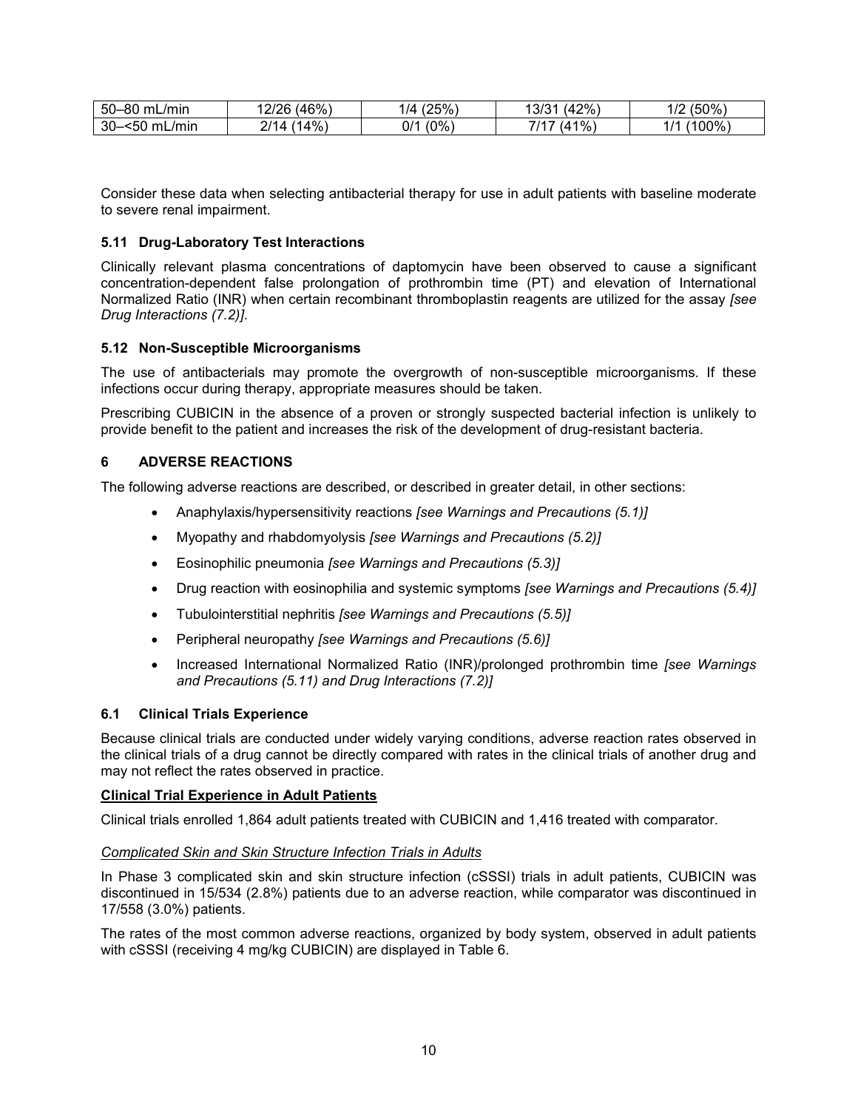| $50-$<br><b>-80 mL</b><br>/min | (46%)<br>2/26          | (25%)<br>$\overline{A}$ | (42%<br>13/31 | (50%<br>10 <sup>c</sup><br>╹╵┷ |
|--------------------------------|------------------------|-------------------------|---------------|--------------------------------|
| 30-<br>-<50<br>_/mir<br>mL     | $(14\%)$<br>n 14<br>14 | $(0\%)$<br>ገ / 1<br>υı  | (41%<br>714   | 00%<br>$\prime$<br>. .         |

Consider these data when selecting antibacterial therapy for use in adult patients with baseline moderate to severe renal impairment.

## **5.11 Drug-Laboratory Test Interactions**

Clinically relevant plasma concentrations of daptomycin have been observed to cause a significant concentration-dependent false prolongation of prothrombin time (PT) and elevation of International Normalized Ratio (INR) when certain recombinant thromboplastin reagents are utilized for the assay *[see Drug Interactions (7.2)]*.

#### **5.12 Non-Susceptible Microorganisms**

The use of antibacterials may promote the overgrowth of non-susceptible microorganisms. If these infections occur during therapy, appropriate measures should be taken.

Prescribing CUBICIN in the absence of a proven or strongly suspected bacterial infection is unlikely to provide benefit to the patient and increases the risk of the development of drug-resistant bacteria.

## **6 ADVERSE REACTIONS**

The following adverse reactions are described, or described in greater detail, in other sections:

- Anaphylaxis/hypersensitivity reactions *[see Warnings and Precautions (5.1)]*
- Myopathy and rhabdomyolysis *[see Warnings and Precautions (5.2)]*
- Eosinophilic pneumonia *[see Warnings and Precautions (5.3)]*
- Drug reaction with eosinophilia and systemic symptoms *[see Warnings and Precautions (5.4)]*
- Tubulointerstitial nephritis *[see Warnings and Precautions (5.5)]*
- Peripheral neuropathy *[see Warnings and Precautions (5.6)]*
- Increased International Normalized Ratio (INR)/prolonged prothrombin time *[see Warnings and Precautions (5.11) and Drug Interactions (7.2)]*

#### **6.1 Clinical Trials Experience**

Because clinical trials are conducted under widely varying conditions, adverse reaction rates observed in the clinical trials of a drug cannot be directly compared with rates in the clinical trials of another drug and may not reflect the rates observed in practice.

#### **Clinical Trial Experience in Adult Patients**

Clinical trials enrolled 1,864 adult patients treated with CUBICIN and 1,416 treated with comparator.

#### *Complicated Skin and Skin Structure Infection Trials in Adults*

In Phase 3 complicated skin and skin structure infection (cSSSI) trials in adult patients, CUBICIN was discontinued in 15/534 (2.8%) patients due to an adverse reaction, while comparator was discontinued in 17/558 (3.0%) patients.

The rates of the most common adverse reactions, organized by body system, observed in adult patients with cSSSI (receiving 4 mg/kg CUBICIN) are displayed in Table 6.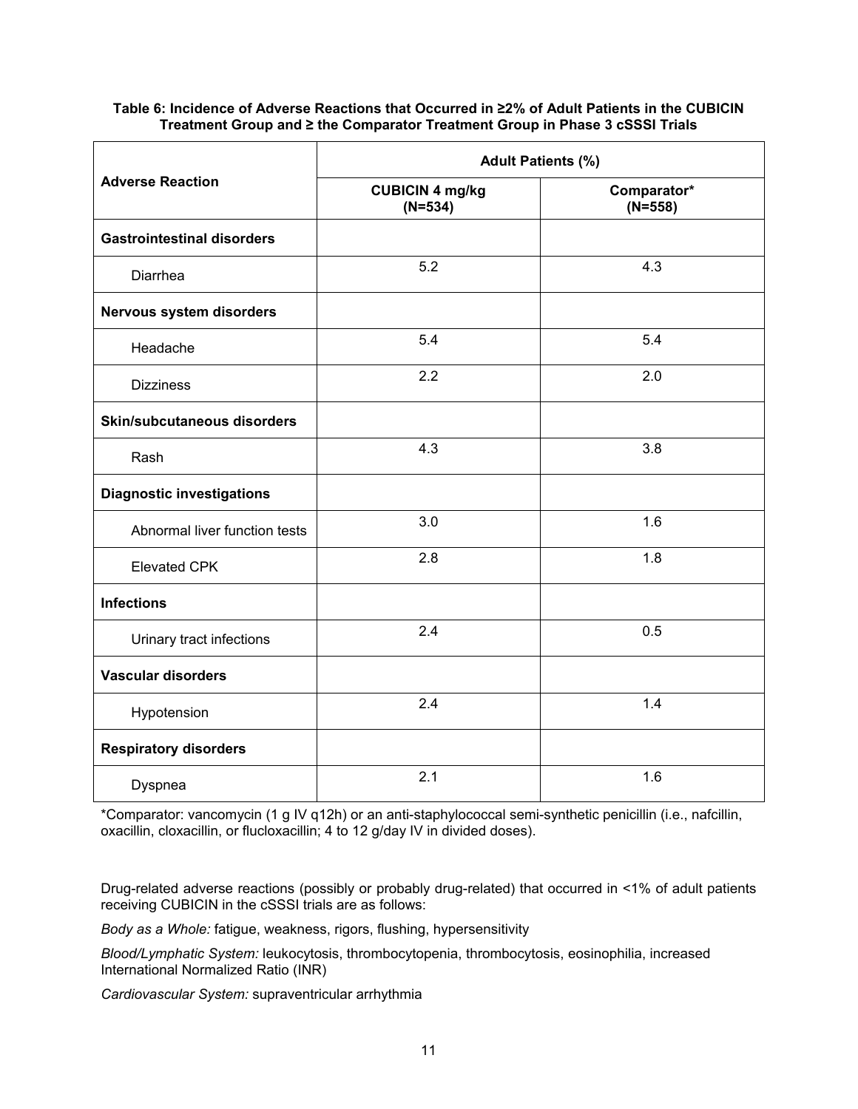# **Table 6: Incidence of Adverse Reactions that Occurred in ≥2% of Adult Patients in the CUBICIN Treatment Group and ≥ the Comparator Treatment Group in Phase 3 cSSSI Trials**

|                                   | <b>Adult Patients (%)</b>           |                          |  |
|-----------------------------------|-------------------------------------|--------------------------|--|
| <b>Adverse Reaction</b>           | <b>CUBICIN 4 mg/kg</b><br>$(N=534)$ | Comparator*<br>$(N=558)$ |  |
| <b>Gastrointestinal disorders</b> |                                     |                          |  |
| Diarrhea                          | 5.2                                 | 4.3                      |  |
| Nervous system disorders          |                                     |                          |  |
| Headache                          | 5.4                                 | 5.4                      |  |
| <b>Dizziness</b>                  | 2.2                                 | 2.0                      |  |
| Skin/subcutaneous disorders       |                                     |                          |  |
| Rash                              | 4.3                                 | 3.8                      |  |
| <b>Diagnostic investigations</b>  |                                     |                          |  |
| Abnormal liver function tests     | 3.0                                 | 1.6                      |  |
| <b>Elevated CPK</b>               | 2.8                                 | 1.8                      |  |
| <b>Infections</b>                 |                                     |                          |  |
| Urinary tract infections          | 2.4                                 | 0.5                      |  |
| <b>Vascular disorders</b>         |                                     |                          |  |
| Hypotension                       | 2.4                                 | 1.4                      |  |
| <b>Respiratory disorders</b>      |                                     |                          |  |
| Dyspnea                           | 2.1                                 | 1.6                      |  |

\*Comparator: vancomycin (1 g IV q12h) or an anti-staphylococcal semi-synthetic penicillin (i.e., nafcillin, oxacillin, cloxacillin, or flucloxacillin; 4 to 12 g/day IV in divided doses).

Drug-related adverse reactions (possibly or probably drug-related) that occurred in <1% of adult patients receiving CUBICIN in the cSSSI trials are as follows:

*Body as a Whole:* fatigue, weakness, rigors, flushing, hypersensitivity

*Blood/Lymphatic System:* leukocytosis, thrombocytopenia, thrombocytosis, eosinophilia, increased International Normalized Ratio (INR)

*Cardiovascular System:* supraventricular arrhythmia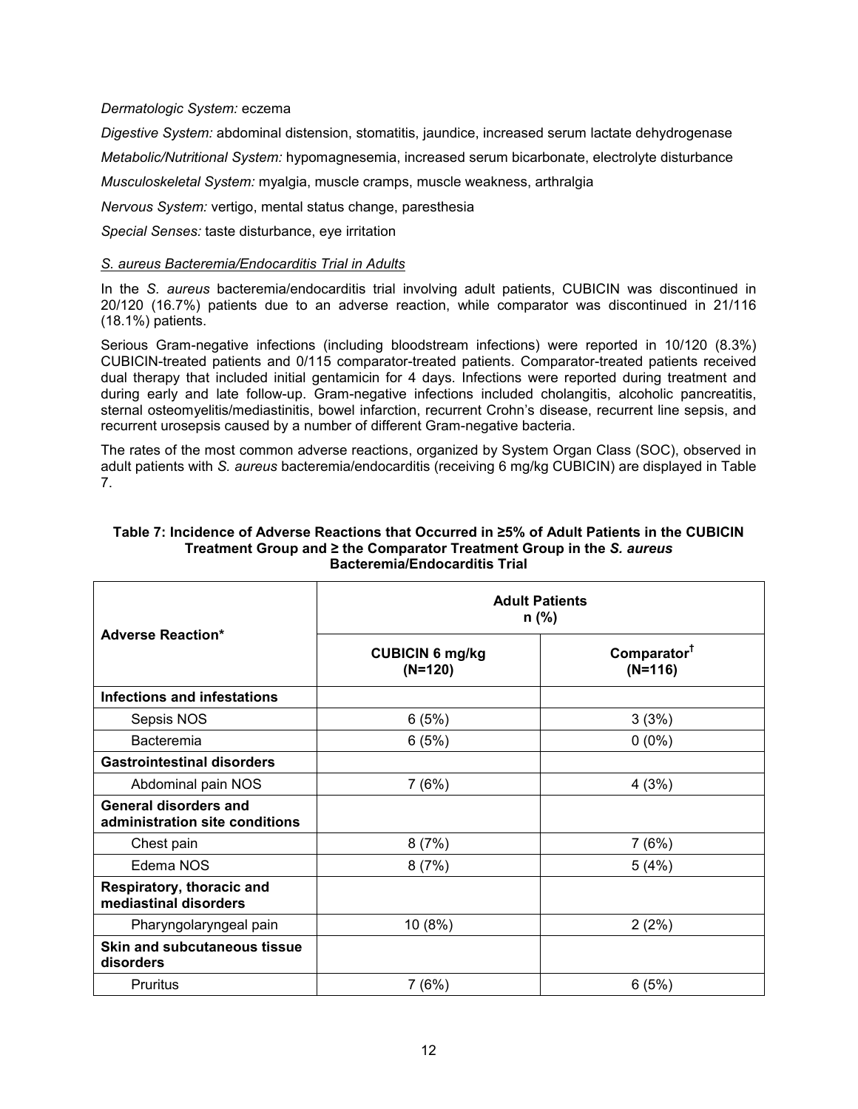### *Dermatologic System:* eczema

*Digestive System:* abdominal distension, stomatitis, jaundice, increased serum lactate dehydrogenase

*Metabolic/Nutritional System:* hypomagnesemia, increased serum bicarbonate, electrolyte disturbance

*Musculoskeletal System:* myalgia, muscle cramps, muscle weakness, arthralgia

*Nervous System:* vertigo, mental status change, paresthesia

*Special Senses:* taste disturbance, eye irritation

#### *S. aureus Bacteremia/Endocarditis Trial in Adults*

In the *S. aureus* bacteremia/endocarditis trial involving adult patients, CUBICIN was discontinued in 20/120 (16.7%) patients due to an adverse reaction, while comparator was discontinued in 21/116 (18.1%) patients.

Serious Gram-negative infections (including bloodstream infections) were reported in 10/120 (8.3%) CUBICIN-treated patients and 0/115 comparator-treated patients. Comparator-treated patients received dual therapy that included initial gentamicin for 4 days. Infections were reported during treatment and during early and late follow-up. Gram-negative infections included cholangitis, alcoholic pancreatitis, sternal osteomyelitis/mediastinitis, bowel infarction, recurrent Crohn's disease, recurrent line sepsis, and recurrent urosepsis caused by a number of different Gram-negative bacteria.

The rates of the most common adverse reactions, organized by System Organ Class (SOC), observed in adult patients with *S. aureus* bacteremia/endocarditis (receiving 6 mg/kg CUBICIN) are displayed in Table 7.

|                                                                | <b>Adult Patients</b><br>$n$ (%)    |                                      |  |  |  |
|----------------------------------------------------------------|-------------------------------------|--------------------------------------|--|--|--|
| <b>Adverse Reaction*</b>                                       | <b>CUBICIN 6 mg/kg</b><br>$(N=120)$ | Comparator <sup>1</sup><br>$(N=116)$ |  |  |  |
| <b>Infections and infestations</b>                             |                                     |                                      |  |  |  |
| Sepsis NOS                                                     | 6(5%)                               | 3(3%)                                |  |  |  |
| <b>Bacteremia</b>                                              | 6(5%)                               | $0(0\%)$                             |  |  |  |
| <b>Gastrointestinal disorders</b>                              |                                     |                                      |  |  |  |
| Abdominal pain NOS                                             | 7(6%)                               | 4(3%)                                |  |  |  |
| <b>General disorders and</b><br>administration site conditions |                                     |                                      |  |  |  |
| Chest pain                                                     | 8(7%)                               | 7(6%)                                |  |  |  |
| Edema NOS                                                      | 8(7%)                               | 5(4%)                                |  |  |  |
| Respiratory, thoracic and<br>mediastinal disorders             |                                     |                                      |  |  |  |
| Pharyngolaryngeal pain                                         | 10 (8%)                             | 2(2%)                                |  |  |  |
| <b>Skin and subcutaneous tissue</b><br>disorders               |                                     |                                      |  |  |  |
| Pruritus                                                       | 7(6%)                               | 6(5%)                                |  |  |  |

#### **Table 7: Incidence of Adverse Reactions that Occurred in ≥5% of Adult Patients in the CUBICIN Treatment Group and ≥ the Comparator Treatment Group in the** *S. aureus* **Bacteremia/Endocarditis Trial**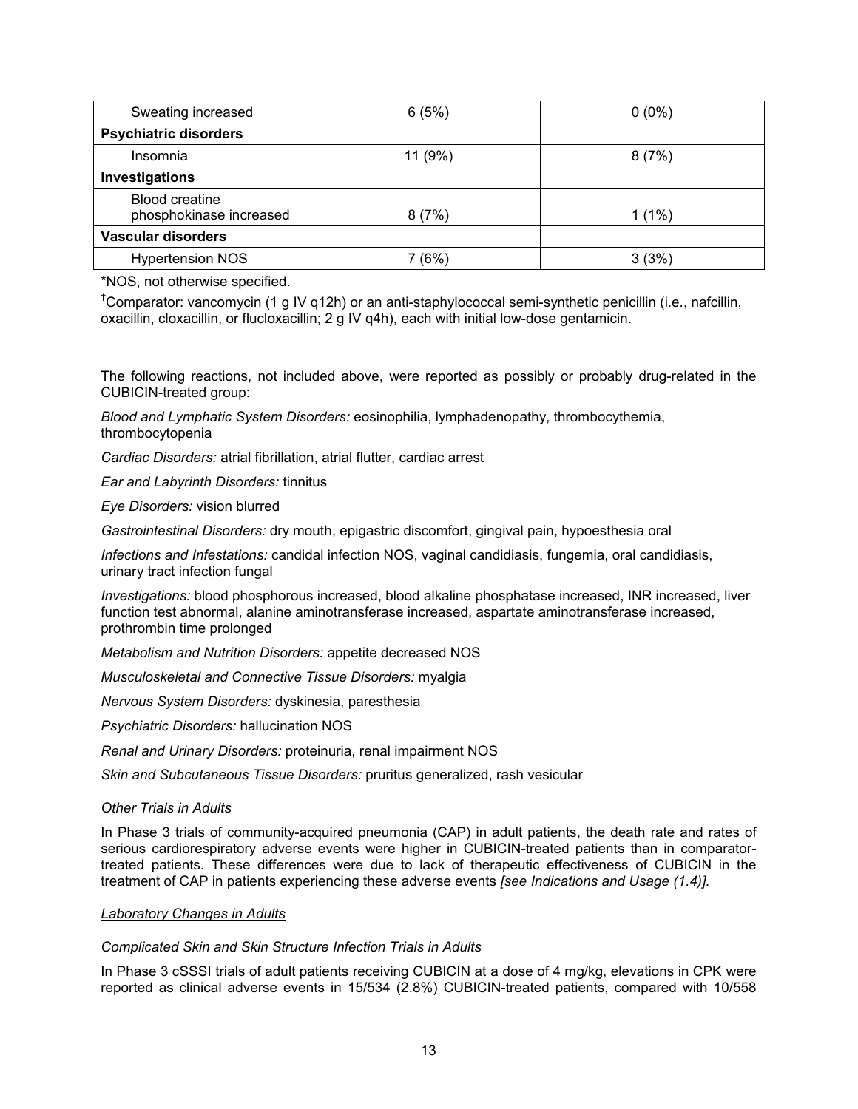| Sweating increased                               | 6(5%)   | $0(0\%)$ |
|--------------------------------------------------|---------|----------|
| <b>Psychiatric disorders</b>                     |         |          |
| Insomnia                                         | 11 (9%) | 8(7%)    |
| Investigations                                   |         |          |
| <b>Blood creatine</b><br>phosphokinase increased | 8(7%)   | $1(1\%)$ |
| Vascular disorders                               |         |          |
| <b>Hypertension NOS</b>                          | 7 (6%)  | 3(3%)    |

\*NOS, not otherwise specified.

†Comparator: vancomycin (1 g IV q12h) or an anti-staphylococcal semi-synthetic penicillin (i.e., nafcillin, oxacillin, cloxacillin, or flucloxacillin; 2 g IV q4h), each with initial low-dose gentamicin.

The following reactions, not included above, were reported as possibly or probably drug-related in the CUBICIN-treated group:

*Blood and Lymphatic System Disorders:* eosinophilia, lymphadenopathy, thrombocythemia, thrombocytopenia

*Cardiac Disorders:* atrial fibrillation, atrial flutter, cardiac arrest

*Ear and Labyrinth Disorders:* tinnitus

*Eye Disorders:* vision blurred

*Gastrointestinal Disorders:* dry mouth, epigastric discomfort, gingival pain, hypoesthesia oral

*Infections and Infestations:* candidal infection NOS, vaginal candidiasis, fungemia, oral candidiasis, urinary tract infection fungal

*Investigations:* blood phosphorous increased, blood alkaline phosphatase increased, INR increased, liver function test abnormal, alanine aminotransferase increased, aspartate aminotransferase increased, prothrombin time prolonged

*Metabolism and Nutrition Disorders:* appetite decreased NOS

*Musculoskeletal and Connective Tissue Disorders:* myalgia

*Nervous System Disorders:* dyskinesia, paresthesia

*Psychiatric Disorders:* hallucination NOS

*Renal and Urinary Disorders:* proteinuria, renal impairment NOS

*Skin and Subcutaneous Tissue Disorders:* pruritus generalized, rash vesicular

#### *Other Trials in Adults*

In Phase 3 trials of community-acquired pneumonia (CAP) in adult patients, the death rate and rates of serious cardiorespiratory adverse events were higher in CUBICIN-treated patients than in comparatortreated patients. These differences were due to lack of therapeutic effectiveness of CUBICIN in the treatment of CAP in patients experiencing these adverse events *[see Indications and Usage (1.4)].*

#### *Laboratory Changes in Adults*

#### *Complicated Skin and Skin Structure Infection Trials in Adults*

In Phase 3 cSSSI trials of adult patients receiving CUBICIN at a dose of 4 mg/kg, elevations in CPK were reported as clinical adverse events in 15/534 (2.8%) CUBICIN-treated patients, compared with 10/558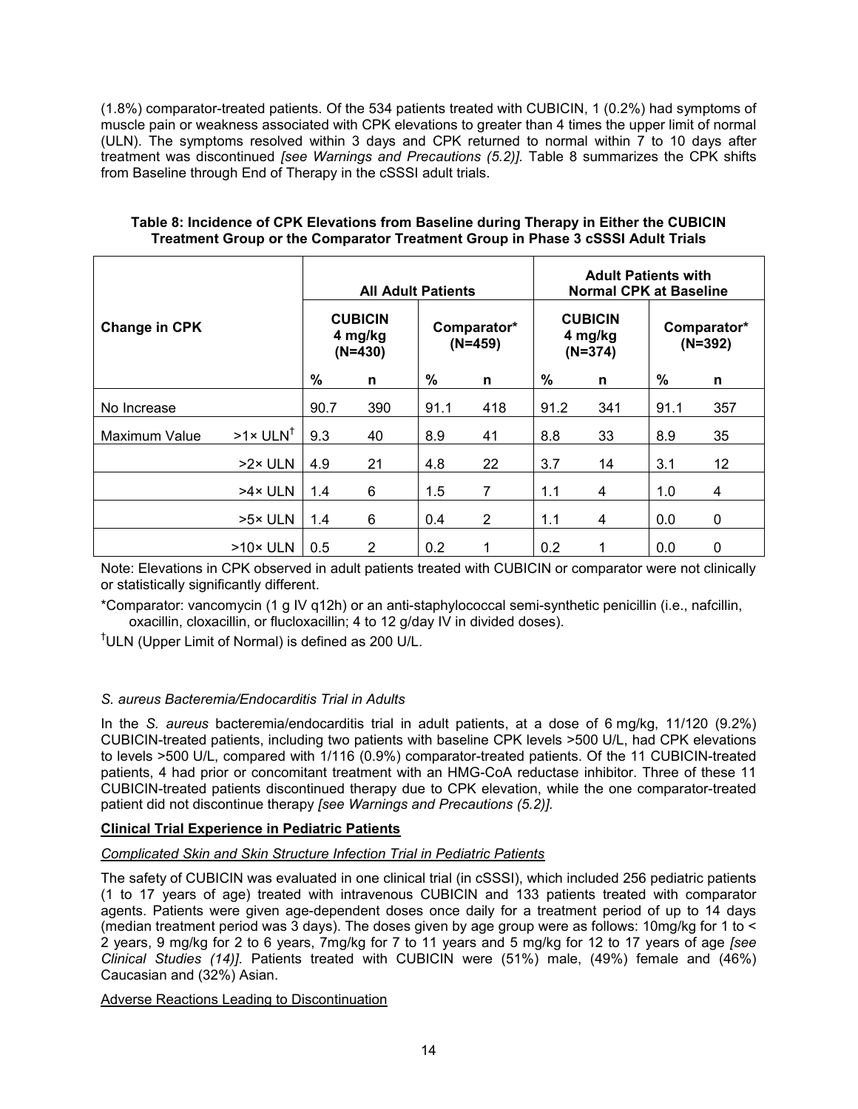(1.8%) comparator-treated patients. Of the 534 patients treated with CUBICIN, 1 (0.2%) had symptoms of muscle pain or weakness associated with CPK elevations to greater than 4 times the upper limit of normal (ULN). The symptoms resolved within 3 days and CPK returned to normal within 7 to 10 days after treatment was discontinued *[see Warnings and Precautions (5.2)].* Table 8 summarizes the CPK shifts from Baseline through End of Therapy in the cSSSI adult trials.

|                      | <b>All Adult Patients</b>    |                                        |      |                          | <b>Adult Patients with</b><br><b>Normal CPK at Baseline</b> |                                        |     |                          |     |
|----------------------|------------------------------|----------------------------------------|------|--------------------------|-------------------------------------------------------------|----------------------------------------|-----|--------------------------|-----|
| <b>Change in CPK</b> |                              | <b>CUBICIN</b><br>4 mg/kg<br>$(N=430)$ |      | Comparator*<br>$(N=459)$ |                                                             | <b>CUBICIN</b><br>4 mg/kg<br>$(N=374)$ |     | Comparator*<br>$(N=392)$ |     |
|                      | %                            | n                                      | $\%$ | n                        | %                                                           | n                                      | %   | n                        |     |
| No Increase          |                              | 90.7                                   | 390  | 91.1                     | 418                                                         | 91.2                                   | 341 | 91.1                     | 357 |
| <b>Maximum Value</b> | $>1 \times$ ULN <sup>T</sup> | 9.3                                    | 40   | 8.9                      | 41                                                          | 8.8                                    | 33  | 8.9                      | 35  |
|                      | >2× ULN                      | 4.9                                    | 21   | 4.8                      | 22                                                          | 3.7                                    | 14  | 3.1                      | 12  |
|                      | >4× ULN                      | 1.4                                    | 6    | 1.5                      | 7                                                           | 1.1                                    | 4   | 1.0                      | 4   |
|                      | >5× ULN                      | 1.4                                    | 6    | 0.4                      | 2                                                           | 1.1                                    | 4   | 0.0                      | 0   |
|                      | $>10\times$ ULN              | 0.5                                    | 2    | 0.2                      |                                                             | 0.2                                    |     | 0.0                      | 0   |

#### **Table 8: Incidence of CPK Elevations from Baseline during Therapy in Either the CUBICIN Treatment Group or the Comparator Treatment Group in Phase 3 cSSSI Adult Trials**

Note: Elevations in CPK observed in adult patients treated with CUBICIN or comparator were not clinically or statistically significantly different.

\*Comparator: vancomycin (1 g IV q12h) or an anti-staphylococcal semi-synthetic penicillin (i.e., nafcillin, oxacillin, cloxacillin, or flucloxacillin; 4 to 12 g/day IV in divided doses).

†ULN (Upper Limit of Normal) is defined as 200 U/L.

# *S. aureus Bacteremia/Endocarditis Trial in Adults*

In the *S. aureus* bacteremia/endocarditis trial in adult patients, at a dose of 6 mg/kg, 11/120 (9.2%) CUBICIN-treated patients, including two patients with baseline CPK levels >500 U/L, had CPK elevations to levels >500 U/L, compared with 1/116 (0.9%) comparator-treated patients. Of the 11 CUBICIN-treated patients, 4 had prior or concomitant treatment with an HMG-CoA reductase inhibitor. Three of these 11 CUBICIN-treated patients discontinued therapy due to CPK elevation, while the one comparator-treated patient did not discontinue therapy *[see Warnings and Precautions (5.2)].*

# **Clinical Trial Experience in Pediatric Patients**

# *Complicated Skin and Skin Structure Infection Trial in Pediatric Patients*

The safety of CUBICIN was evaluated in one clinical trial (in cSSSI), which included 256 pediatric patients (1 to 17 years of age) treated with intravenous CUBICIN and 133 patients treated with comparator agents. Patients were given age-dependent doses once daily for a treatment period of up to 14 days (median treatment period was 3 days). The doses given by age group were as follows: 10mg/kg for 1 to < 2 years, 9 mg/kg for 2 to 6 years, 7mg/kg for 7 to 11 years and 5 mg/kg for 12 to 17 years of age *[see Clinical Studies (14)]*. Patients treated with CUBICIN were (51%) male, (49%) female and (46%) Caucasian and (32%) Asian.

# Adverse Reactions Leading to Discontinuation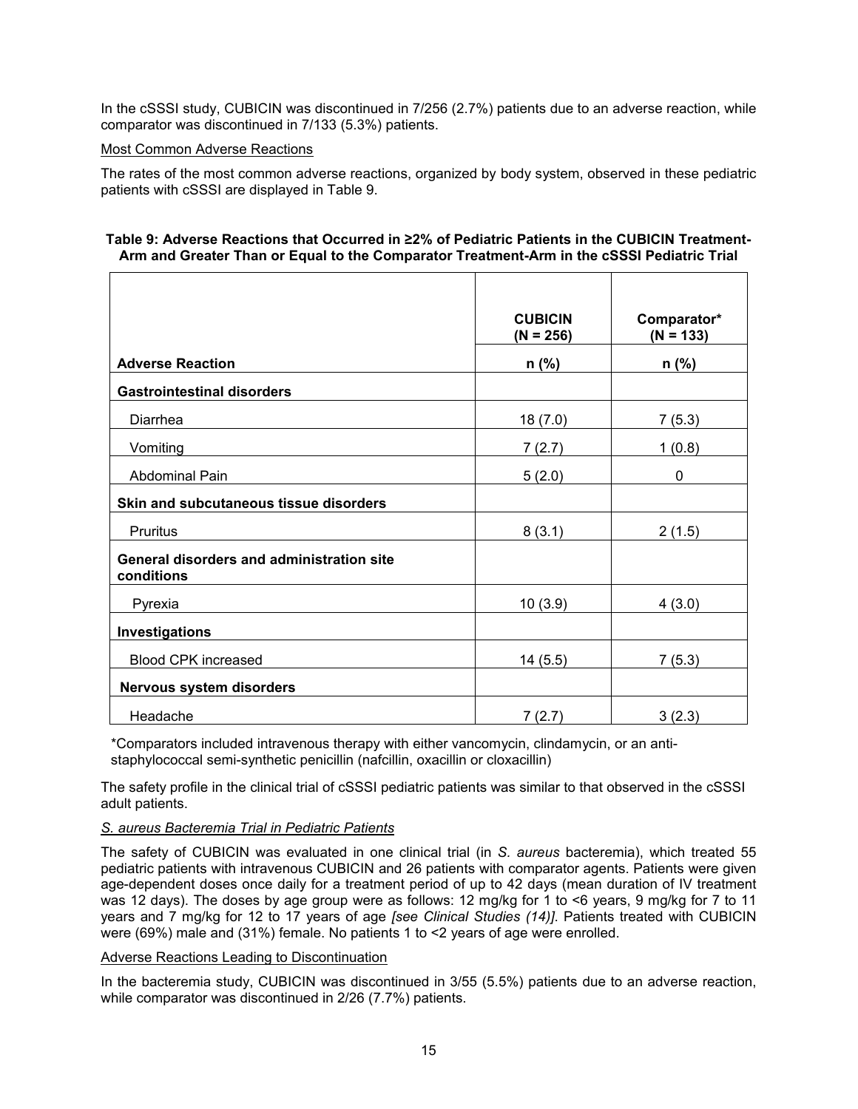In the cSSSI study, CUBICIN was discontinued in 7/256 (2.7%) patients due to an adverse reaction, while comparator was discontinued in 7/133 (5.3%) patients.

## Most Common Adverse Reactions

The rates of the most common adverse reactions, organized by body system, observed in these pediatric patients with cSSSI are displayed in Table 9.

### **Table 9: Adverse Reactions that Occurred in ≥2% of Pediatric Patients in the CUBICIN Treatment-Arm and Greater Than or Equal to the Comparator Treatment-Arm in the cSSSI Pediatric Trial**

|                                                                | <b>CUBICIN</b><br>$(N = 256)$ | Comparator*<br>$(N = 133)$ |
|----------------------------------------------------------------|-------------------------------|----------------------------|
| <b>Adverse Reaction</b>                                        | $n$ (%)                       | $n$ (%)                    |
| <b>Gastrointestinal disorders</b>                              |                               |                            |
| Diarrhea                                                       | 18(7.0)                       | 7(5.3)                     |
| Vomiting                                                       | 7(2.7)                        | 1(0.8)                     |
| Abdominal Pain                                                 | 5(2.0)                        | 0                          |
| Skin and subcutaneous tissue disorders                         |                               |                            |
| Pruritus                                                       | 8(3.1)                        | 2(1.5)                     |
| <b>General disorders and administration site</b><br>conditions |                               |                            |
| Pyrexia                                                        | 10(3.9)                       | 4(3.0)                     |
| Investigations                                                 |                               |                            |
| <b>Blood CPK increased</b>                                     | 14(5.5)                       | 7(5.3)                     |
| Nervous system disorders                                       |                               |                            |
| Headache                                                       | 7(2.7)                        | 3(2.3)                     |

\*Comparators included intravenous therapy with either vancomycin, clindamycin, or an antistaphylococcal semi-synthetic penicillin (nafcillin, oxacillin or cloxacillin)

The safety profile in the clinical trial of cSSSI pediatric patients was similar to that observed in the cSSSI adult patients.

# *S. aureus Bacteremia Trial in Pediatric Patients*

The safety of CUBICIN was evaluated in one clinical trial (in *S. aureus* bacteremia), which treated 55 pediatric patients with intravenous CUBICIN and 26 patients with comparator agents. Patients were given age-dependent doses once daily for a treatment period of up to 42 days (mean duration of IV treatment was 12 days). The doses by age group were as follows: 12 mg/kg for 1 to <6 years, 9 mg/kg for 7 to 11 years and 7 mg/kg for 12 to 17 years of age *[see Clinical Studies (14)]*. Patients treated with CUBICIN were (69%) male and (31%) female. No patients 1 to <2 years of age were enrolled.

#### Adverse Reactions Leading to Discontinuation

In the bacteremia study, CUBICIN was discontinued in 3/55 (5.5%) patients due to an adverse reaction, while comparator was discontinued in 2/26 (7.7%) patients.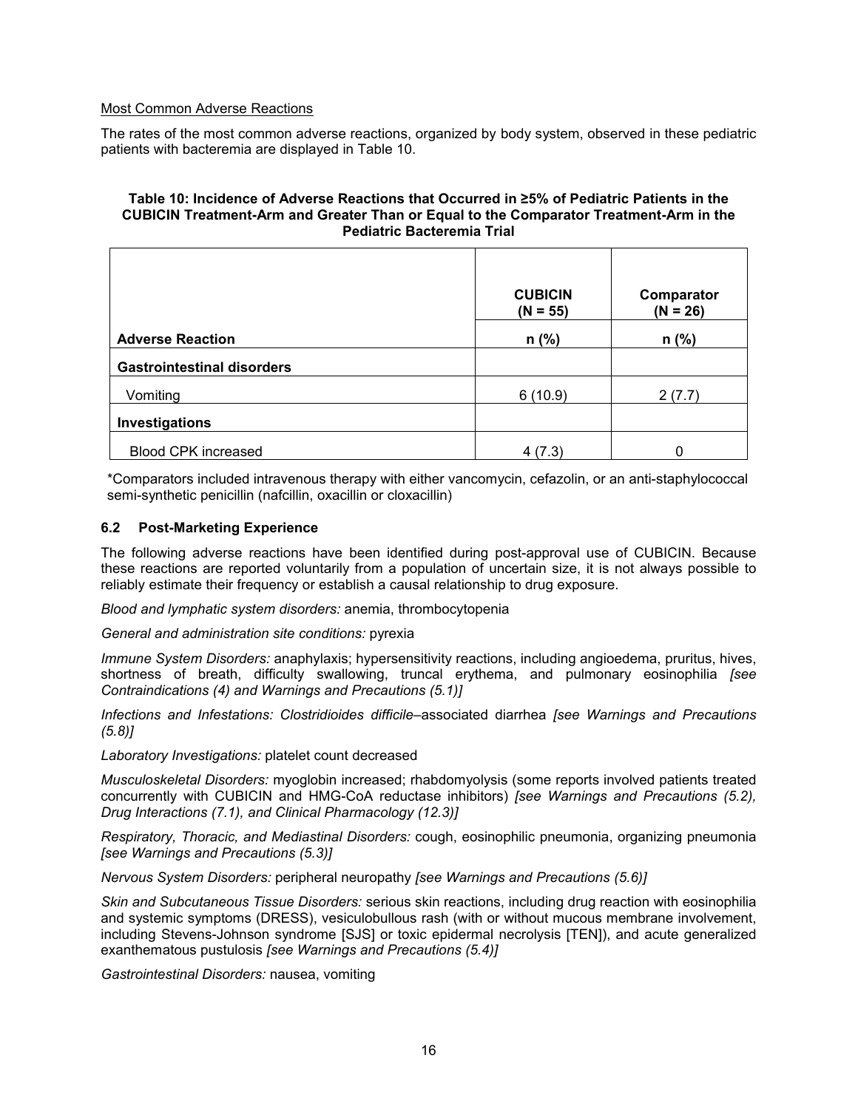### Most Common Adverse Reactions

The rates of the most common adverse reactions, organized by body system, observed in these pediatric patients with bacteremia are displayed in Table 10.

#### **Table 10: Incidence of Adverse Reactions that Occurred in ≥5% of Pediatric Patients in the CUBICIN Treatment-Arm and Greater Than or Equal to the Comparator Treatment-Arm in the Pediatric Bacteremia Trial**

|                                   | <b>CUBICIN</b><br>$(N = 55)$ | Comparator<br>$(N = 26)$ |
|-----------------------------------|------------------------------|--------------------------|
| <b>Adverse Reaction</b>           | $n$ (%)                      | $n$ (%)                  |
| <b>Gastrointestinal disorders</b> |                              |                          |
| Vomiting                          | 6(10.9)                      | 2(7.7)                   |
| Investigations                    |                              |                          |
| <b>Blood CPK increased</b>        | 4 (7.3)                      | 0                        |

\*Comparators included intravenous therapy with either vancomycin, cefazolin, or an anti-staphylococcal semi-synthetic penicillin (nafcillin, oxacillin or cloxacillin)

#### **6.2 Post-Marketing Experience**

The following adverse reactions have been identified during post-approval use of CUBICIN. Because these reactions are reported voluntarily from a population of uncertain size, it is not always possible to reliably estimate their frequency or establish a causal relationship to drug exposure.

*Blood and lymphatic system disorders:* anemia, thrombocytopenia

*General and administration site conditions:* pyrexia

*Immune System Disorders:* anaphylaxis; hypersensitivity reactions, including angioedema, pruritus, hives, shortness of breath, difficulty swallowing, truncal erythema, and pulmonary eosinophilia *[see Contraindications (4) and Warnings and Precautions (5.1)]*

*Infections and Infestations: Clostridioides difficile*–associated diarrhea *[see Warnings and Precautions (5.8)]*

*Laboratory Investigations:* platelet count decreased

*Musculoskeletal Disorders:* myoglobin increased; rhabdomyolysis (some reports involved patients treated concurrently with CUBICIN and HMG-CoA reductase inhibitors) *[see Warnings and Precautions (5.2), Drug Interactions (7.1), and Clinical Pharmacology (12.3)]*

*Respiratory, Thoracic, and Mediastinal Disorders:* cough, eosinophilic pneumonia, organizing pneumonia *[see Warnings and Precautions (5.3)]*

*Nervous System Disorders:* peripheral neuropathy *[see Warnings and Precautions (5.6)]*

*Skin and Subcutaneous Tissue Disorders:* serious skin reactions, including drug reaction with eosinophilia and systemic symptoms (DRESS), vesiculobullous rash (with or without mucous membrane involvement, including Stevens-Johnson syndrome [SJS] or toxic epidermal necrolysis [TEN]), and acute generalized exanthematous pustulosis *[see Warnings and Precautions (5.4)]*

*Gastrointestinal Disorders:* nausea, vomiting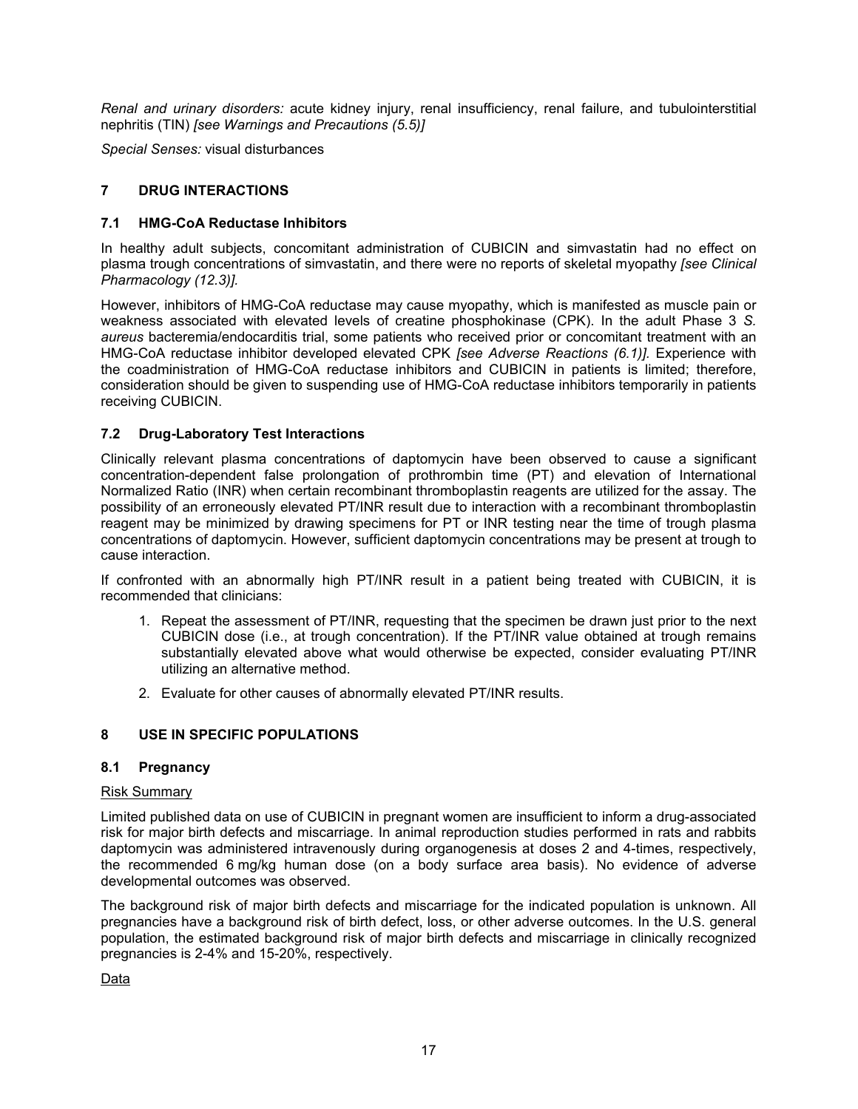*Renal and urinary disorders:* acute kidney injury, renal insufficiency, renal failure, and tubulointerstitial nephritis (TIN) *[see Warnings and Precautions (5.5)]*

*Special Senses:* visual disturbances

# **7 DRUG INTERACTIONS**

# **7.1 HMG-CoA Reductase Inhibitors**

In healthy adult subjects, concomitant administration of CUBICIN and simvastatin had no effect on plasma trough concentrations of simvastatin, and there were no reports of skeletal myopathy *[see Clinical Pharmacology (12.3)].*

However, inhibitors of HMG-CoA reductase may cause myopathy, which is manifested as muscle pain or weakness associated with elevated levels of creatine phosphokinase (CPK). In the adult Phase 3 *S. aureus* bacteremia/endocarditis trial, some patients who received prior or concomitant treatment with an HMG-CoA reductase inhibitor developed elevated CPK *[see Adverse Reactions (6.1)].* Experience with the coadministration of HMG-CoA reductase inhibitors and CUBICIN in patients is limited; therefore, consideration should be given to suspending use of HMG-CoA reductase inhibitors temporarily in patients receiving CUBICIN.

# **7.2 Drug-Laboratory Test Interactions**

Clinically relevant plasma concentrations of daptomycin have been observed to cause a significant concentration-dependent false prolongation of prothrombin time (PT) and elevation of International Normalized Ratio (INR) when certain recombinant thromboplastin reagents are utilized for the assay. The possibility of an erroneously elevated PT/INR result due to interaction with a recombinant thromboplastin reagent may be minimized by drawing specimens for PT or INR testing near the time of trough plasma concentrations of daptomycin. However, sufficient daptomycin concentrations may be present at trough to cause interaction.

If confronted with an abnormally high PT/INR result in a patient being treated with CUBICIN, it is recommended that clinicians:

- 1. Repeat the assessment of PT/INR, requesting that the specimen be drawn just prior to the next CUBICIN dose (i.e., at trough concentration). If the PT/INR value obtained at trough remains substantially elevated above what would otherwise be expected, consider evaluating PT/INR utilizing an alternative method.
- 2. Evaluate for other causes of abnormally elevated PT/INR results.

# **8 USE IN SPECIFIC POPULATIONS**

# **8.1 Pregnancy**

#### Risk Summary

Limited published data on use of CUBICIN in pregnant women are insufficient to inform a drug-associated risk for major birth defects and miscarriage. In animal reproduction studies performed in rats and rabbits daptomycin was administered intravenously during organogenesis at doses 2 and 4-times, respectively, the recommended 6 mg/kg human dose (on a body surface area basis). No evidence of adverse developmental outcomes was observed.

The background risk of major birth defects and miscarriage for the indicated population is unknown. All pregnancies have a background risk of birth defect, loss, or other adverse outcomes. In the U.S. general population, the estimated background risk of major birth defects and miscarriage in clinically recognized pregnancies is 2-4% and 15-20%, respectively.

Data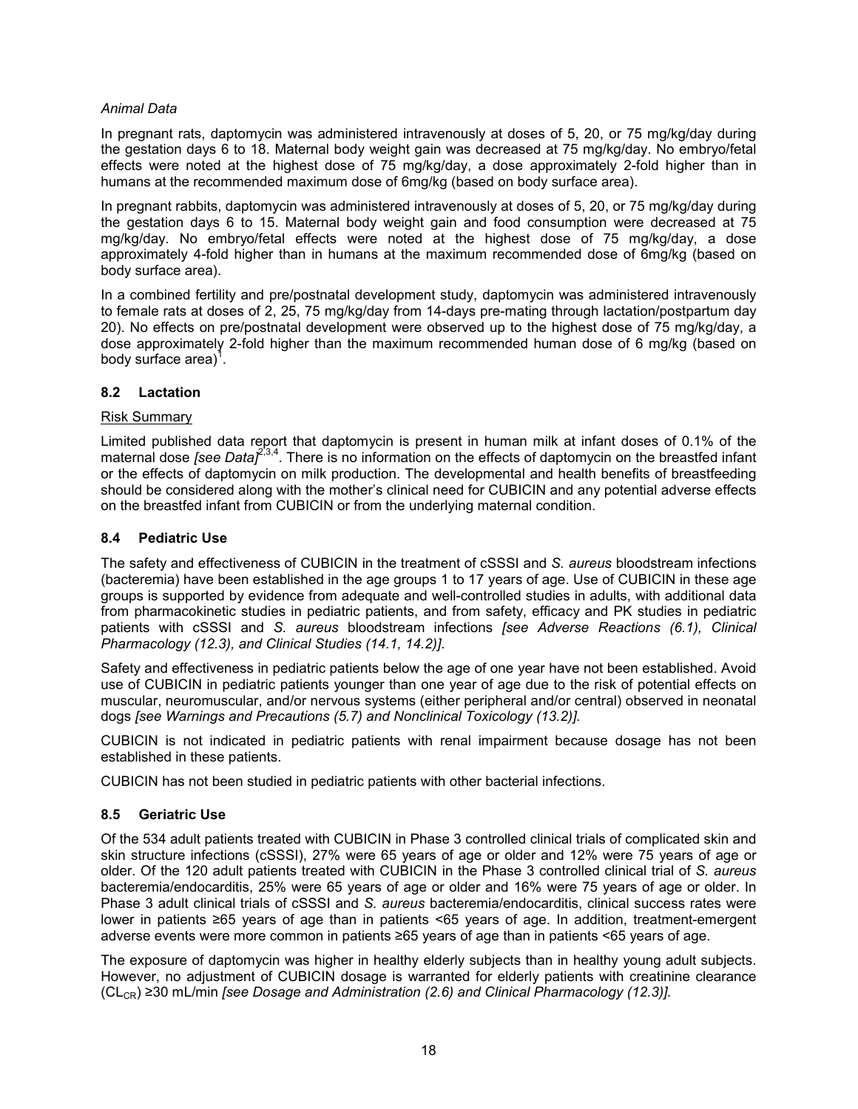## *Animal Data*

In pregnant rats, daptomycin was administered intravenously at doses of 5, 20, or 75 mg/kg/day during the gestation days 6 to 18. Maternal body weight gain was decreased at 75 mg/kg/day. No embryo/fetal effects were noted at the highest dose of 75 mg/kg/day, a dose approximately 2-fold higher than in humans at the recommended maximum dose of 6mg/kg (based on body surface area).

In pregnant rabbits, daptomycin was administered intravenously at doses of 5, 20, or 75 mg/kg/day during the gestation days 6 to 15. Maternal body weight gain and food consumption were decreased at 75 mg/kg/day. No embryo/fetal effects were noted at the highest dose of 75 mg/kg/day, a dose approximately 4-fold higher than in humans at the maximum recommended dose of 6mg/kg (based on body surface area).

In a combined fertility and pre/postnatal development study, daptomycin was administered intravenously to female rats at doses of 2, 25, 75 mg/kg/day from 14-days pre-mating through lactation/postpartum day 20). No effects on pre/postnatal development were observed up to the highest dose of 75 mg/kg/day, a dose approximately 2-fold higher than the maximum recommended human dose of 6 mg/kg (based on body surface area) $1$ .

## **8.2 Lactation**

#### Risk Summary

Limited published data report that daptomycin is present in human milk at infant doses of 0.1% of the maternal dose *[see Data]<sup>2,3,4</sup>*. There is no information on the effects of daptomycin on the breastfed infant or the effects of daptomycin on milk production. The developmental and health benefits of breastfeeding should be considered along with the mother's clinical need for CUBICIN and any potential adverse effects on the breastfed infant from CUBICIN or from the underlying maternal condition.

## **8.4 Pediatric Use**

The safety and effectiveness of CUBICIN in the treatment of cSSSI and *S. aureus* bloodstream infections (bacteremia) have been established in the age groups 1 to 17 years of age. Use of CUBICIN in these age groups is supported by evidence from adequate and well-controlled studies in adults, with additional data from pharmacokinetic studies in pediatric patients, and from safety, efficacy and PK studies in pediatric patients with cSSSI and *S. aureus* bloodstream infections *[see Adverse Reactions (6.1), Clinical Pharmacology (12.3), and Clinical Studies (14.1, 14.2)]*.

Safety and effectiveness in pediatric patients below the age of one year have not been established. Avoid use of CUBICIN in pediatric patients younger than one year of age due to the risk of potential effects on muscular, neuromuscular, and/or nervous systems (either peripheral and/or central) observed in neonatal dogs *[see Warnings and Precautions (5.7) and Nonclinical Toxicology (13.2)].*

CUBICIN is not indicated in pediatric patients with renal impairment because dosage has not been established in these patients.

CUBICIN has not been studied in pediatric patients with other bacterial infections.

# **8.5 Geriatric Use**

Of the 534 adult patients treated with CUBICIN in Phase 3 controlled clinical trials of complicated skin and skin structure infections (cSSSI), 27% were 65 years of age or older and 12% were 75 years of age or older. Of the 120 adult patients treated with CUBICIN in the Phase 3 controlled clinical trial of *S. aureus* bacteremia/endocarditis, 25% were 65 years of age or older and 16% were 75 years of age or older. In Phase 3 adult clinical trials of cSSSI and *S. aureus* bacteremia/endocarditis, clinical success rates were lower in patients ≥65 years of age than in patients <65 years of age. In addition, treatment-emergent adverse events were more common in patients ≥65 years of age than in patients <65 years of age.

The exposure of daptomycin was higher in healthy elderly subjects than in healthy young adult subjects. However, no adjustment of CUBICIN dosage is warranted for elderly patients with creatinine clearance  $(CL<sub>CR</sub>)$  ≥30 mL/min *[see Dosage and Administration (2.6) and Clinical Pharmacology (12.3)].*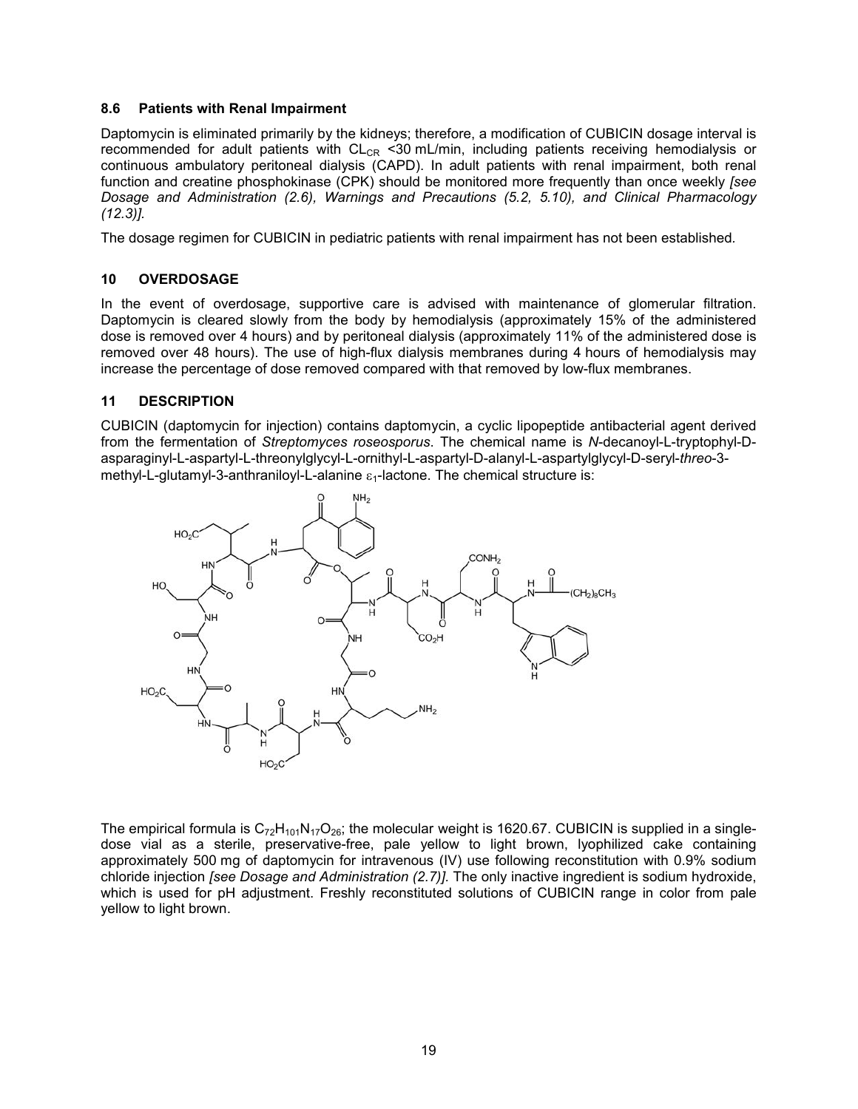### **8.6 Patients with Renal Impairment**

Daptomycin is eliminated primarily by the kidneys; therefore, a modification of CUBICIN dosage interval is recommended for adult patients with  $CL_{CR}$  <30 mL/min, including patients receiving hemodialysis or continuous ambulatory peritoneal dialysis (CAPD). In adult patients with renal impairment, both renal function and creatine phosphokinase (CPK) should be monitored more frequently than once weekly *[see Dosage and Administration (2.6), Warnings and Precautions (5.2, 5.10), and Clinical Pharmacology (12.3)].*

The dosage regimen for CUBICIN in pediatric patients with renal impairment has not been established*.*

# **10 OVERDOSAGE**

In the event of overdosage, supportive care is advised with maintenance of glomerular filtration. Daptomycin is cleared slowly from the body by hemodialysis (approximately 15% of the administered dose is removed over 4 hours) and by peritoneal dialysis (approximately 11% of the administered dose is removed over 48 hours). The use of high-flux dialysis membranes during 4 hours of hemodialysis may increase the percentage of dose removed compared with that removed by low-flux membranes.

## **11 DESCRIPTION**

CUBICIN (daptomycin for injection) contains daptomycin, a cyclic lipopeptide antibacterial agent derived from the fermentation of *Streptomyces roseosporus*. The chemical name is *N*-decanoyl-L-tryptophyl-Dasparaginyl-L-aspartyl-L-threonylglycyl-L-ornithyl-L-aspartyl-D-alanyl-L-aspartylglycyl-D-seryl-*threo*-3 methyl-L-glutamyl-3-anthraniloyl-L-alanine  $\varepsilon_1$ -lactone. The chemical structure is:



The empirical formula is  $C_{72}H_{101}N_{17}O_{26}$ ; the molecular weight is 1620.67. CUBICIN is supplied in a singledose vial as a sterile, preservative-free, pale yellow to light brown, lyophilized cake containing approximately 500 mg of daptomycin for intravenous (IV) use following reconstitution with 0.9% sodium chloride injection *[see Dosage and Administration (2.7)].* The only inactive ingredient is sodium hydroxide, which is used for pH adjustment. Freshly reconstituted solutions of CUBICIN range in color from pale yellow to light brown.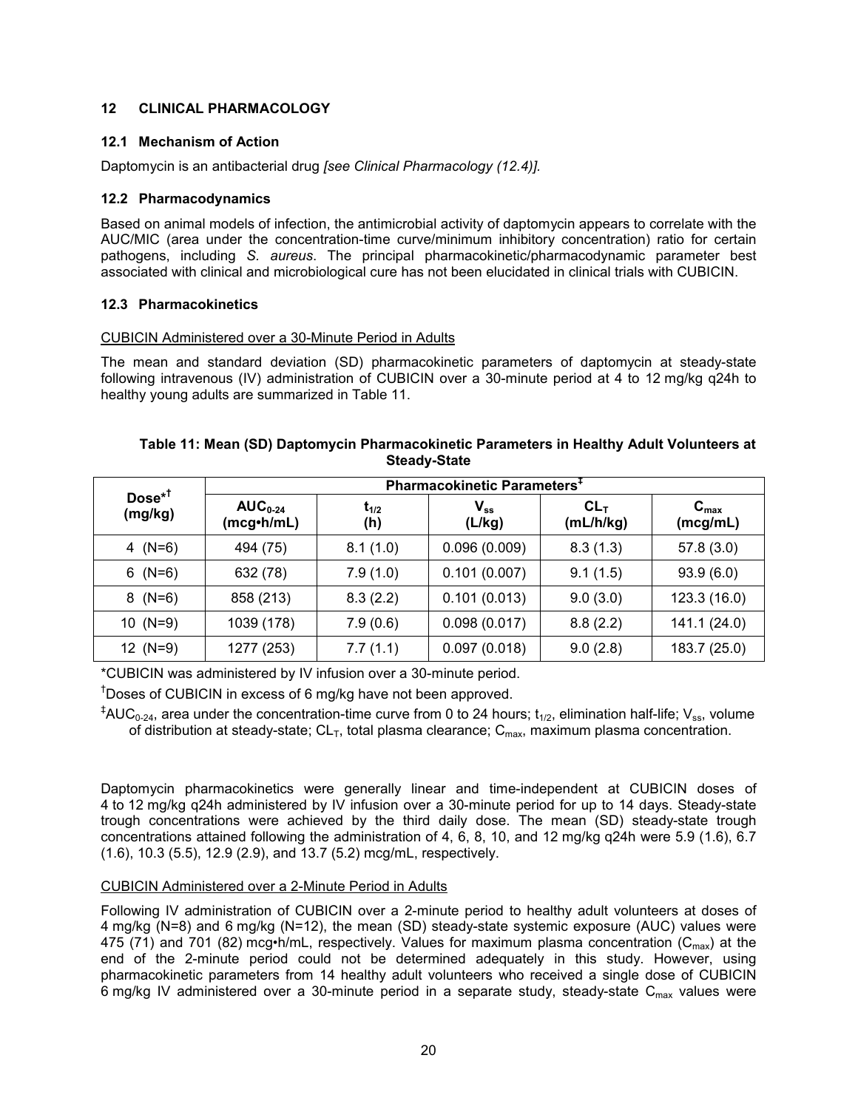# **12 CLINICAL PHARMACOLOGY**

# **12.1 Mechanism of Action**

Daptomycin is an antibacterial drug *[see Clinical Pharmacology (12.4)].*

# **12.2 Pharmacodynamics**

Based on animal models of infection, the antimicrobial activity of daptomycin appears to correlate with the AUC/MIC (area under the concentration-time curve/minimum inhibitory concentration) ratio for certain pathogens, including *S. aureus*. The principal pharmacokinetic/pharmacodynamic parameter best associated with clinical and microbiological cure has not been elucidated in clinical trials with CUBICIN.

# **12.3 Pharmacokinetics**

## CUBICIN Administered over a 30-Minute Period in Adults

The mean and standard deviation (SD) pharmacokinetic parameters of daptomycin at steady-state following intravenous (IV) administration of CUBICIN over a 30-minute period at 4 to 12 mg/kg q24h to healthy young adults are summarized in Table 11.

| Table 11: Mean (SD) Daptomycin Pharmacokinetic Parameters in Healthy Adult Volunteers at |
|------------------------------------------------------------------------------------------|
| <b>Steady-State</b>                                                                      |

| $Dose^{*T}$<br>(mg/kg) | Pharmacokinetic Parameters <sup>+</sup> |                  |                                      |                              |                              |  |  |  |  |
|------------------------|-----------------------------------------|------------------|--------------------------------------|------------------------------|------------------------------|--|--|--|--|
|                        | $AUC_{0-24}$<br>(mcg•h/mL)              | $t_{1/2}$<br>(h) | $\mathsf{V}_{\mathsf{ss}}$<br>(L/kg) | CL <sub>T</sub><br>(mL/h/kg) | $C_{\text{max}}$<br>(mcg/mL) |  |  |  |  |
| 4 $(N=6)$              | 494 (75)                                | 8.1(1.0)         | 0.096(0.009)                         | 8.3(1.3)                     | 57.8(3.0)                    |  |  |  |  |
| $6$ (N=6)              | 632 (78)                                | 7.9(1.0)         | 0.101(0.007)                         | 9.1(1.5)                     | 93.9(6.0)                    |  |  |  |  |
| $8$ (N=6)              | 858 (213)                               | 8.3(2.2)         | 0.101(0.013)                         | 9.0(3.0)                     | 123.3 (16.0)                 |  |  |  |  |
| 10 $(N=9)$             | 1039 (178)                              | 7.9(0.6)         | 0.098(0.017)                         | 8.8(2.2)                     | 141.1 (24.0)                 |  |  |  |  |
| 12 $(N=9)$             | 1277 (253)                              | 7.7(1.1)         | 0.097(0.018)                         | 9.0(2.8)                     | 183.7 (25.0)                 |  |  |  |  |

\*CUBICIN was administered by IV infusion over a 30-minute period.

<sup>†</sup>Doses of CUBICIN in excess of 6 mg/kg have not been approved.

 $A^{\ddagger}$ AUC<sub>0-24</sub>, area under the concentration-time curve from 0 to 24 hours; t<sub>1/2</sub>, elimination half-life; V<sub>ss</sub>, volume of distribution at steady-state;  $CL_T$ , total plasma clearance;  $C_{\text{max}}$ , maximum plasma concentration.

Daptomycin pharmacokinetics were generally linear and time-independent at CUBICIN doses of 4 to 12 mg/kg q24h administered by IV infusion over a 30-minute period for up to 14 days. Steady-state trough concentrations were achieved by the third daily dose. The mean (SD) steady-state trough concentrations attained following the administration of 4, 6, 8, 10, and 12 mg/kg q24h were 5.9 (1.6), 6.7 (1.6), 10.3 (5.5), 12.9 (2.9), and 13.7 (5.2) mcg/mL, respectively.

# CUBICIN Administered over a 2-Minute Period in Adults

Following IV administration of CUBICIN over a 2-minute period to healthy adult volunteers at doses of 4 mg/kg (N=8) and 6 mg/kg (N=12), the mean (SD) steady-state systemic exposure (AUC) values were 475 (71) and 701 (82) mcg•h/mL, respectively. Values for maximum plasma concentration ( $C_{\text{max}}$ ) at the end of the 2-minute period could not be determined adequately in this study. However, using pharmacokinetic parameters from 14 healthy adult volunteers who received a single dose of CUBICIN 6 mg/kg IV administered over a 30-minute period in a separate study, steady-state  $C_{\text{max}}$  values were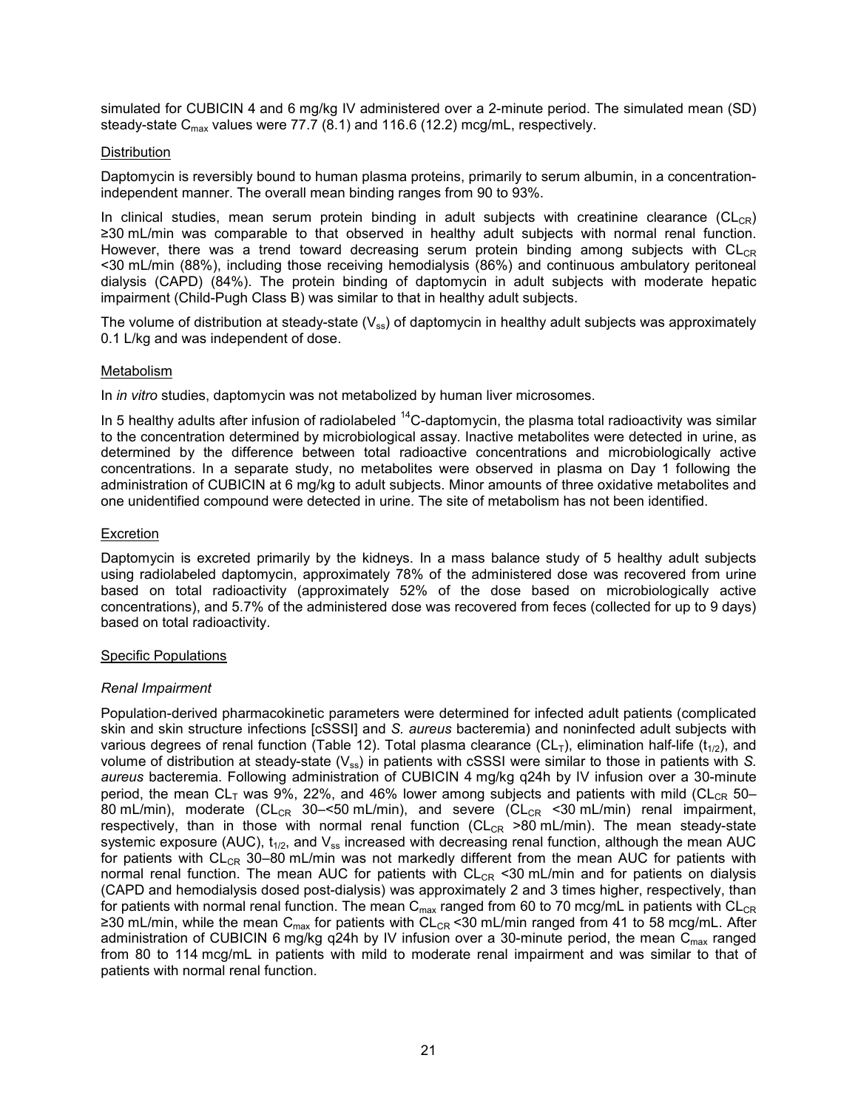simulated for CUBICIN 4 and 6 mg/kg IV administered over a 2-minute period. The simulated mean (SD) steady-state  $C_{\text{max}}$  values were 77.7 (8.1) and 116.6 (12.2) mcg/mL, respectively.

## **Distribution**

Daptomycin is reversibly bound to human plasma proteins, primarily to serum albumin, in a concentrationindependent manner. The overall mean binding ranges from 90 to 93%.

In clinical studies, mean serum protein binding in adult subjects with creatinine clearance (CL<sub>CR</sub>) ≥30 mL/min was comparable to that observed in healthy adult subjects with normal renal function. However, there was a trend toward decreasing serum protein binding among subjects with  $CL_{CR}$ <30 mL/min (88%), including those receiving hemodialysis (86%) and continuous ambulatory peritoneal dialysis (CAPD) (84%). The protein binding of daptomycin in adult subjects with moderate hepatic impairment (Child-Pugh Class B) was similar to that in healthy adult subjects.

The volume of distribution at steady-state  $(V_{ss})$  of daptomycin in healthy adult subjects was approximately 0.1 L/kg and was independent of dose.

## Metabolism

In *in vitro* studies, daptomycin was not metabolized by human liver microsomes.

In 5 healthy adults after infusion of radiolabeled  $^{14}$ C-daptomycin, the plasma total radioactivity was similar to the concentration determined by microbiological assay. Inactive metabolites were detected in urine, as determined by the difference between total radioactive concentrations and microbiologically active concentrations. In a separate study, no metabolites were observed in plasma on Day 1 following the administration of CUBICIN at 6 mg/kg to adult subjects. Minor amounts of three oxidative metabolites and one unidentified compound were detected in urine. The site of metabolism has not been identified.

## Excretion

Daptomycin is excreted primarily by the kidneys. In a mass balance study of 5 healthy adult subjects using radiolabeled daptomycin, approximately 78% of the administered dose was recovered from urine based on total radioactivity (approximately 52% of the dose based on microbiologically active concentrations), and 5.7% of the administered dose was recovered from feces (collected for up to 9 days) based on total radioactivity.

#### Specific Populations

# *Renal Impairment*

Population-derived pharmacokinetic parameters were determined for infected adult patients (complicated skin and skin structure infections [cSSSI] and *S. aureus* bacteremia) and noninfected adult subjects with various degrees of renal function (Table 12). Total plasma clearance (CL<sub>T</sub>), elimination half-life (t<sub>1/2</sub>), and volume of distribution at steady-state (V<sub>ss</sub>) in patients with cSSSI were similar to those in patients with *S*. *aureus* bacteremia. Following administration of CUBICIN 4 mg/kg q24h by IV infusion over a 30-minute period, the mean  $CL<sub>T</sub>$  was 9%, 22%, and 46% lower among subjects and patients with mild (CL<sub>CR</sub> 50– 80 mL/min), moderate (CL<sub>CR</sub> 30–<50 mL/min), and severe (CL<sub>CR</sub> <30 mL/min) renal impairment, respectively, than in those with normal renal function ( $CL_{CR}$  >80 mL/min). The mean steady-state systemic exposure (AUC),  $t_{1/2}$ , and  $V_{ss}$  increased with decreasing renal function, although the mean AUC for patients with  $CL_{CR}$  30–80 mL/min was not markedly different from the mean AUC for patients with normal renal function. The mean AUC for patients with  $CL_{CR}$  <30 mL/min and for patients on dialysis (CAPD and hemodialysis dosed post-dialysis) was approximately 2 and 3 times higher, respectively, than for patients with normal renal function. The mean  $C_{max}$  ranged from 60 to 70 mcg/mL in patients with  $CL_{CR}$ ≥30 mL/min, while the mean C<sub>max</sub> for patients with CL<sub>CR</sub> <30 mL/min ranged from 41 to 58 mcg/mL. After administration of CUBICIN 6 mg/kg q24h by IV infusion over a 30-minute period, the mean  $\tilde{C}_{max}$  ranged from 80 to 114 mcg/mL in patients with mild to moderate renal impairment and was similar to that of patients with normal renal function.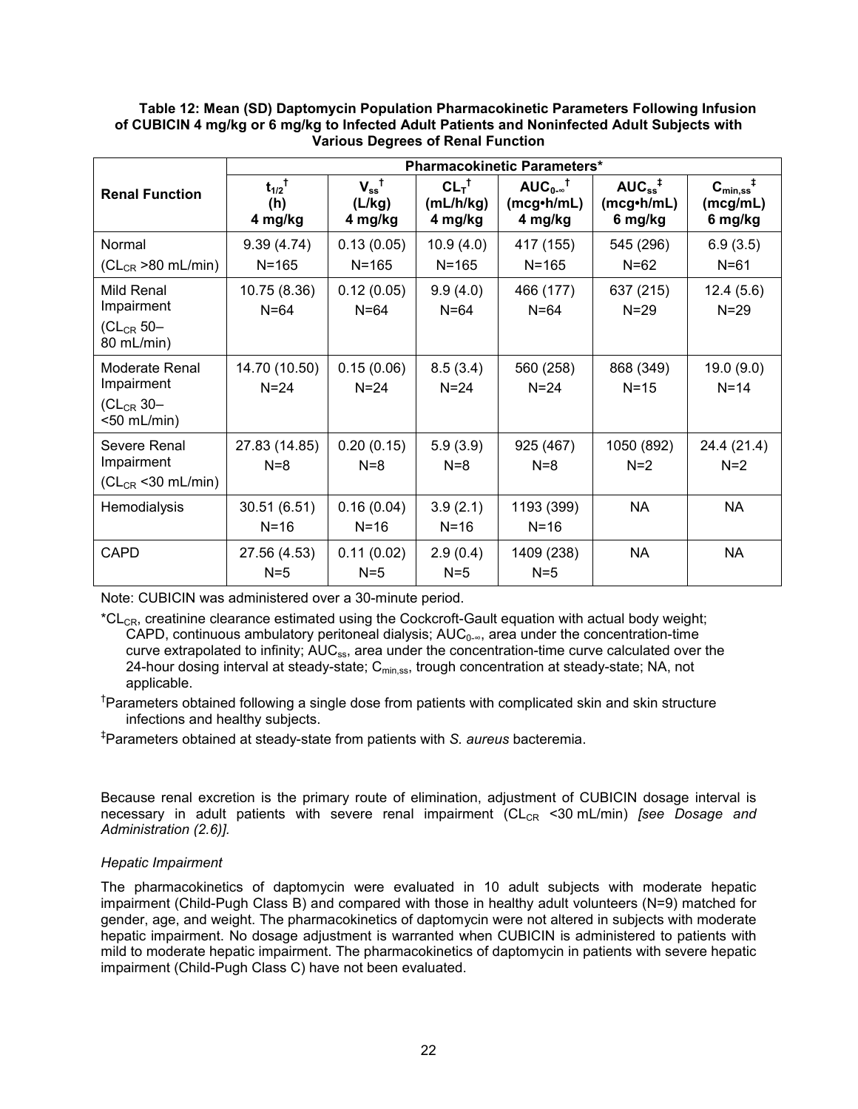|                                      | <b>Pharmacokinetic Parameters*</b>       |                                                  |                                          |                                                       |                                                                |                                                      |  |  |
|--------------------------------------|------------------------------------------|--------------------------------------------------|------------------------------------------|-------------------------------------------------------|----------------------------------------------------------------|------------------------------------------------------|--|--|
| <b>Renal Function</b>                | $t_{1/2}$ <sup>†</sup><br>(h)<br>4 mg/kg | $V_{ss}^{\  \  \, \dagger}$<br>(L/kg)<br>4 mg/kg | $CL_T^{\dagger}$<br>(mL/h/kg)<br>4 mg/kg | $AUC_{0.8}^{\dagger}$<br>$(mcg\cdot h/mL)$<br>4 mg/kg | $AUC_{ss}^{\  \  \, \ddagger}$<br>$(mcg\cdot h/mL)$<br>6 mg/kg | $C_{\text{min,ss}}^{\dagger}$<br>(mcg/mL)<br>6 mg/kg |  |  |
| Normal                               | 9.39(4.74)                               | 0.13(0.05)                                       | 10.9(4.0)                                | 417 (155)                                             | 545 (296)                                                      | 6.9(3.5)                                             |  |  |
| $(CL_{CR} > 80$ mL/min)              | $N = 165$                                | $N = 165$                                        | $N = 165$                                | $N = 165$                                             | $N=62$                                                         | $N = 61$                                             |  |  |
| Mild Renal<br>Impairment             | 10.75 (8.36)<br>$N = 64$                 | 0.12(0.05)<br>$N=64$                             | 9.9(4.0)<br>$N = 64$                     | 466 (177)<br>$N = 64$                                 | 637 (215)<br>$N = 29$                                          | 12.4(5.6)<br>$N = 29$                                |  |  |
| $CL_{CR}$ 50-<br>80 mL/min)          |                                          |                                                  |                                          |                                                       |                                                                |                                                      |  |  |
| Moderate Renal<br>Impairment         | 14.70 (10.50)<br>$N=24$                  | 0.15(0.06)<br>$N=24$                             | 8.5(3.4)<br>$N = 24$                     | 560 (258)<br>$N = 24$                                 | 868 (349)<br>$N=15$                                            | 19.0(9.0)<br>$N=14$                                  |  |  |
| $CL_{CR}$ 30-<br><50 mL/min)         |                                          |                                                  |                                          |                                                       |                                                                |                                                      |  |  |
| Severe Renal                         | 27.83 (14.85)                            | 0.20(0.15)                                       | 5.9(3.9)                                 | 925 (467)                                             | 1050 (892)                                                     | 24.4 (21.4)                                          |  |  |
| Impairment<br>$CL_{CR}$ < 30 mL/min) | $N=8$                                    | $N=8$                                            | $N=8$                                    | $N=8$                                                 | $N=2$                                                          | $N=2$                                                |  |  |
| Hemodialysis                         | 30.51 (6.51)                             | 0.16(0.04)                                       | 3.9(2.1)                                 | 1193 (399)                                            | NA                                                             | <b>NA</b>                                            |  |  |
|                                      | $N=16$                                   | $N=16$                                           | $N = 16$                                 | $N = 16$                                              |                                                                |                                                      |  |  |
| CAPD                                 | 27.56 (4.53)                             | 0.11(0.02)                                       | 2.9(0.4)                                 | 1409 (238)                                            | NA                                                             | <b>NA</b>                                            |  |  |
|                                      | $N=5$                                    | $N=5$                                            | $N=5$                                    | $N=5$                                                 |                                                                |                                                      |  |  |

# **Table 12: Mean (SD) Daptomycin Population Pharmacokinetic Parameters Following Infusion of CUBICIN 4 mg/kg or 6 mg/kg to Infected Adult Patients and Noninfected Adult Subjects with Various Degrees of Renal Function**

Note: CUBICIN was administered over a 30-minute period.

 $C_{CCR}$ , creatinine clearance estimated using the Cockcroft-Gault equation with actual body weight; CAPD, continuous ambulatory peritoneal dialysis;  $AUC_{0-\infty}$ , area under the concentration-time curve extrapolated to infinity; AUC<sub>ss</sub>, area under the concentration-time curve calculated over the 24-hour dosing interval at steady-state; C<sub>min.ss</sub>, trough concentration at steady-state; NA, not applicable.

<sup>†</sup>Parameters obtained following a single dose from patients with complicated skin and skin structure infections and healthy subjects.

‡ Parameters obtained at steady-state from patients with *S. aureus* bacteremia.

Because renal excretion is the primary route of elimination, adjustment of CUBICIN dosage interval is necessary in adult patients with severe renal impairment (CL<sub>CR</sub> <30 mL/min) *[see Dosage and Administration (2.6)].*

# *Hepatic Impairment*

The pharmacokinetics of daptomycin were evaluated in 10 adult subjects with moderate hepatic impairment (Child-Pugh Class B) and compared with those in healthy adult volunteers (N=9) matched for gender, age, and weight. The pharmacokinetics of daptomycin were not altered in subjects with moderate hepatic impairment. No dosage adjustment is warranted when CUBICIN is administered to patients with mild to moderate hepatic impairment. The pharmacokinetics of daptomycin in patients with severe hepatic impairment (Child-Pugh Class C) have not been evaluated.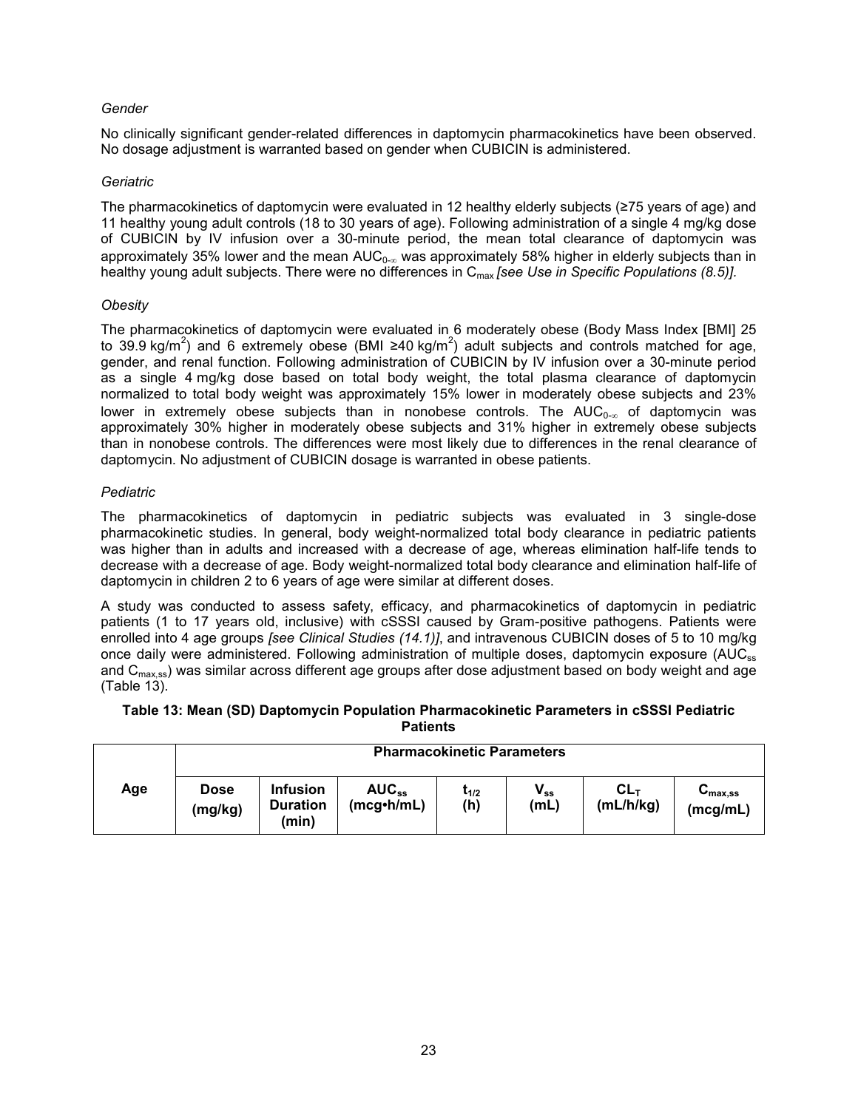# *Gender*

No clinically significant gender-related differences in daptomycin pharmacokinetics have been observed. No dosage adjustment is warranted based on gender when CUBICIN is administered.

#### *Geriatric*

The pharmacokinetics of daptomycin were evaluated in 12 healthy elderly subjects (≥75 years of age) and 11 healthy young adult controls (18 to 30 years of age). Following administration of a single 4 mg/kg dose of CUBICIN by IV infusion over a 30-minute period, the mean total clearance of daptomycin was approximately 35% lower and the mean  $AUC_{0-8}$  was approximately 58% higher in elderly subjects than in healthy young adult subjects. There were no differences in C<sub>max</sub> *[see Use in Specific Populations (8.5)]*.

## *Obesity*

The pharmacokinetics of daptomycin were evaluated in 6 moderately obese (Body Mass Index [BMI] 25 to 39.9 kg/m<sup>2</sup>) and 6 extremely obese (BMI ≥40 kg/m<sup>2</sup>) adult subjects and controls matched for age, gender, and renal function. Following administration of CUBICIN by IV infusion over a 30-minute period as a single 4 mg/kg dose based on total body weight, the total plasma clearance of daptomycin normalized to total body weight was approximately 15% lower in moderately obese subjects and 23% lower in extremely obese subjects than in nonobese controls. The  $AUC_{0-\infty}$  of daptomycin was approximately 30% higher in moderately obese subjects and 31% higher in extremely obese subjects than in nonobese controls. The differences were most likely due to differences in the renal clearance of daptomycin. No adjustment of CUBICIN dosage is warranted in obese patients.

## *Pediatric*

The pharmacokinetics of daptomycin in pediatric subjects was evaluated in 3 single-dose pharmacokinetic studies. In general, body weight-normalized total body clearance in pediatric patients was higher than in adults and increased with a decrease of age, whereas elimination half-life tends to decrease with a decrease of age. Body weight-normalized total body clearance and elimination half-life of daptomycin in children 2 to 6 years of age were similar at different doses.

A study was conducted to assess safety, efficacy, and pharmacokinetics of daptomycin in pediatric patients (1 to 17 years old, inclusive) with cSSSI caused by Gram-positive pathogens. Patients were enrolled into 4 age groups *[see Clinical Studies (14.1)]*, and intravenous CUBICIN doses of 5 to 10 mg/kg once daily were administered. Following administration of multiple doses, daptomycin exposure (AUC<sub>ss</sub>) and C<sub>max,ss</sub>) was similar across different age groups after dose adjustment based on body weight and age (Table 13).

#### **Table 13: Mean (SD) Daptomycin Population Pharmacokinetic Parameters in cSSSI Pediatric Patients**

|     | <b>Pharmacokinetic Parameters</b> |                                             |                          |                         |                  |                          |                                          |  |  |
|-----|-----------------------------------|---------------------------------------------|--------------------------|-------------------------|------------------|--------------------------|------------------------------------------|--|--|
| Age | <b>Dose</b><br>(mg/kg)            | <b>Infusion</b><br><b>Duration</b><br>(min) | $AUC_{ss}$<br>(mcg•h/mL) | t <sub>1/2</sub><br>(h) | $V_{ss}$<br>(mL) | <b>CL</b> τ<br>(mL/h/kg) | $\mathbf{v}_{\text{max,ss}}$<br>(mcg/mL) |  |  |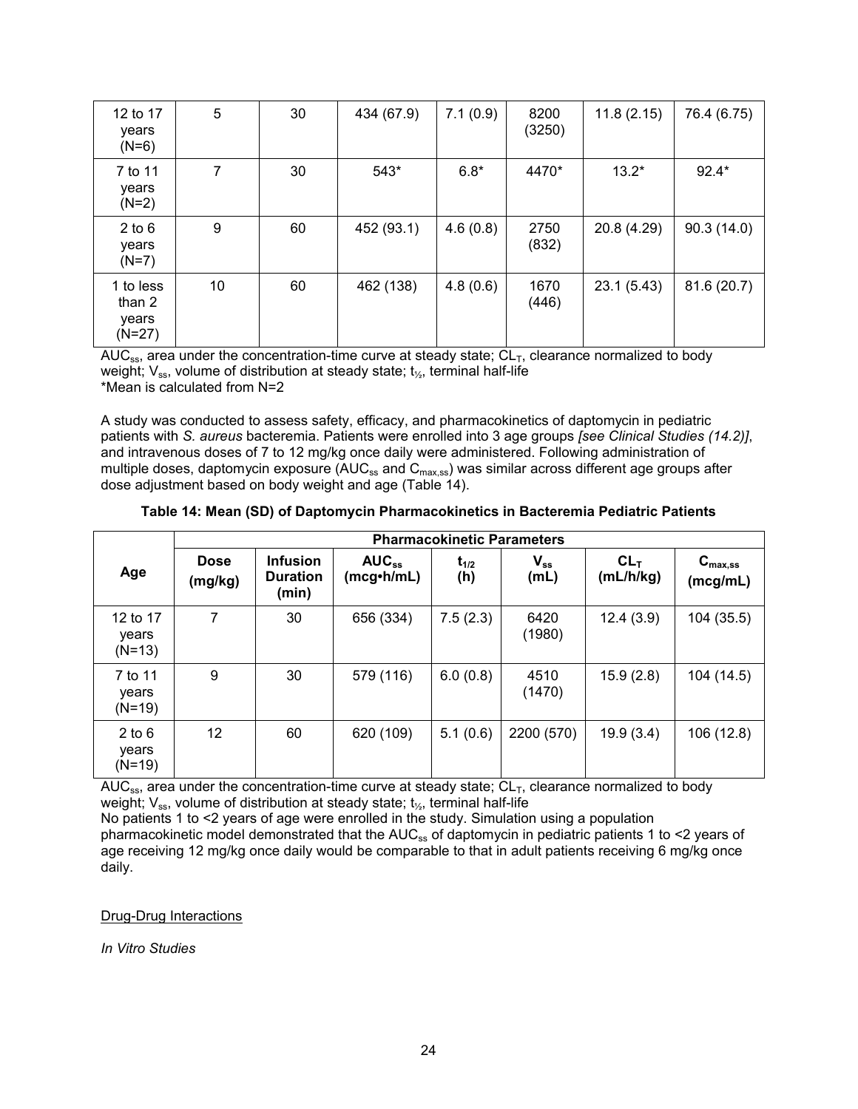| 12 to 17<br>years<br>$(N=6)$             | 5  | 30 | 434 (67.9) | 7.1(0.9) | 8200<br>(3250) | 11.8(2.15) | 76.4 (6.75) |
|------------------------------------------|----|----|------------|----------|----------------|------------|-------------|
| 7 to 11<br>years<br>$(N=2)$              | 7  | 30 | 543*       | $6.8*$   | 4470*          | $13.2*$    | $92.4*$     |
| $2$ to $6$<br>years<br>$(N=7)$           | 9  | 60 | 452 (93.1) | 4.6(0.8) | 2750<br>(832)  | 20.8(4.29) | 90.3(14.0)  |
| 1 to less<br>than 2<br>years<br>$(N=27)$ | 10 | 60 | 462 (138)  | 4.8(0.6) | 1670<br>(446)  | 23.1(5.43) | 81.6 (20.7) |

AUC<sub>ss</sub>, area under the concentration-time curve at steady state;  $CL<sub>T</sub>$ , clearance normalized to body weight;  $V_{ss}$ , volume of distribution at steady state;  $t_{\gamma s}$ , terminal half-life \*Mean is calculated from N=2

A study was conducted to assess safety, efficacy, and pharmacokinetics of daptomycin in pediatric patients with *S. aureus* bacteremia. Patients were enrolled into 3 age groups *[see Clinical Studies (14.2)]*, and intravenous doses of 7 to 12 mg/kg once daily were administered. Following administration of multiple doses, daptomycin exposure ( $AUC_{ss}$  and  $C_{max,ss}$ ) was similar across different age groups after dose adjustment based on body weight and age (Table 14).

|                               | <b>Pharmacokinetic Parameters</b> |                                             |                                 |                  |                  |                     |                                                     |  |  |
|-------------------------------|-----------------------------------|---------------------------------------------|---------------------------------|------------------|------------------|---------------------|-----------------------------------------------------|--|--|
| Age                           | <b>Dose</b><br>(mg/kg)            | <b>Infusion</b><br><b>Duration</b><br>(min) | $AUC_{ss}$<br>$(mcg\cdot h/mL)$ | $t_{1/2}$<br>(h) | $V_{ss}$<br>(mL) | $CL_T$<br>(mL/h/kg) | $\mathsf{C}_{\mathsf{max},\mathsf{ss}}$<br>(mcg/mL) |  |  |
| 12 to 17<br>years<br>$(N=13)$ | 7                                 | 30                                          | 656 (334)                       | 7.5(2.3)         | 6420<br>(1980)   | 12.4(3.9)           | 104 (35.5)                                          |  |  |
| 7 to 11<br>years<br>$(N=19)$  | 9                                 | 30                                          | 579 (116)                       | 6.0(0.8)         | 4510<br>(1470)   | 15.9(2.8)           | 104 (14.5)                                          |  |  |
| $2$ to 6<br>years<br>$(N=19)$ | 12                                | 60                                          | 620 (109)                       | 5.1(0.6)         | 2200 (570)       | 19.9(3.4)           | 106 (12.8)                                          |  |  |

AUC<sub>ss</sub>, area under the concentration-time curve at steady state;  $CL<sub>T</sub>$ , clearance normalized to body weight;  $V_{ss}$ , volume of distribution at steady state;  $t_{\frac{1}{2}}$ , terminal half-life

No patients 1 to <2 years of age were enrolled in the study. Simulation using a population

pharmacokinetic model demonstrated that the AUC<sub>ss</sub> of daptomycin in pediatric patients 1 to <2 years of age receiving 12 mg/kg once daily would be comparable to that in adult patients receiving 6 mg/kg once daily.

# Drug-Drug Interactions

*In Vitro Studies*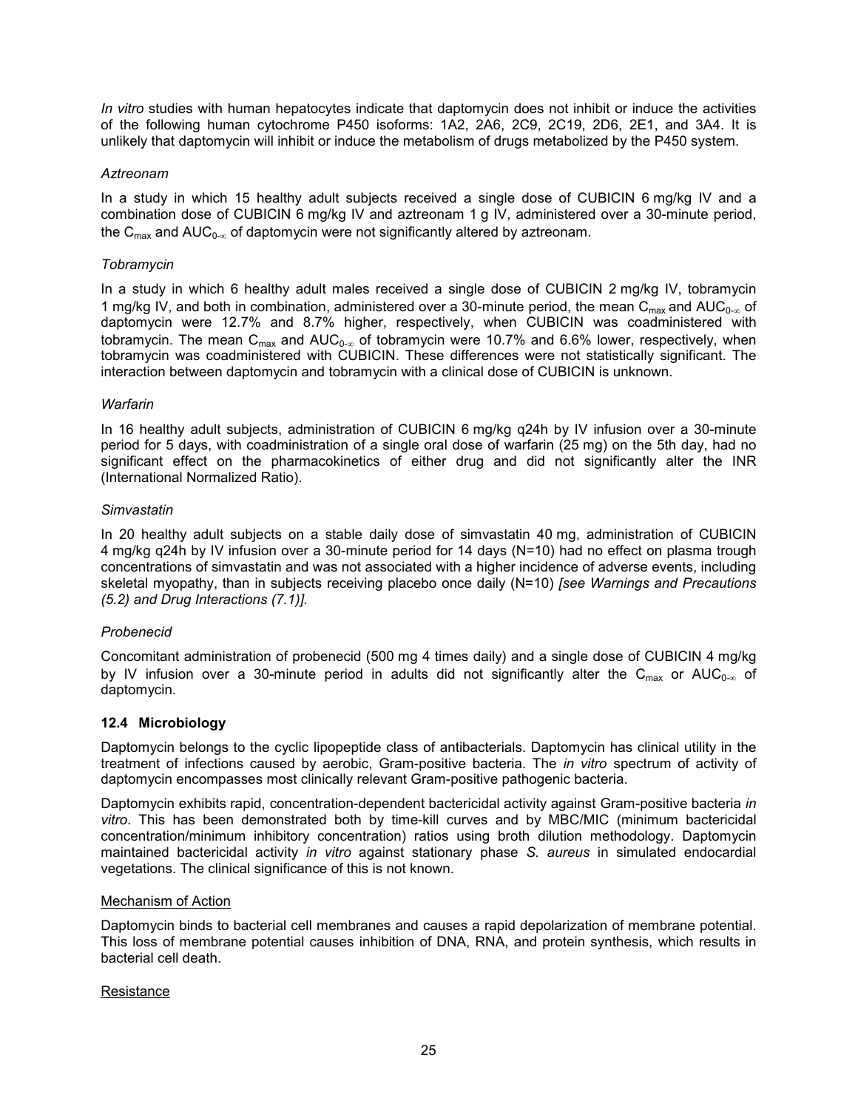*In vitro* studies with human hepatocytes indicate that daptomycin does not inhibit or induce the activities of the following human cytochrome P450 isoforms: 1A2, 2A6, 2C9, 2C19, 2D6, 2E1, and 3A4. It is unlikely that daptomycin will inhibit or induce the metabolism of drugs metabolized by the P450 system.

# *Aztreonam*

In a study in which 15 healthy adult subjects received a single dose of CUBICIN 6 mg/kg IV and a combination dose of CUBICIN 6 mg/kg IV and aztreonam 1 g IV, administered over a 30-minute period, the  $C_{\text{max}}$  and AUC<sub>0- $\infty$ </sub> of daptomycin were not significantly altered by aztreonam.

## *Tobramycin*

In a study in which 6 healthy adult males received a single dose of CUBICIN 2 mg/kg IV, tobramycin 1 mg/kg IV, and both in combination, administered over a 30-minute period, the mean C<sub>max</sub> and AUC<sub>0- $\infty$ </sub> of daptomycin were 12.7% and 8.7% higher, respectively, when CUBICIN was coadministered with tobramycin. The mean C<sub>max</sub> and AUC<sub>0- $\infty$ </sub> of tobramycin were 10.7% and 6.6% lower, respectively, when tobramycin was coadministered with CUBICIN. These differences were not statistically significant. The interaction between daptomycin and tobramycin with a clinical dose of CUBICIN is unknown.

## *Warfarin*

In 16 healthy adult subjects, administration of CUBICIN 6 mg/kg q24h by IV infusion over a 30-minute period for 5 days, with coadministration of a single oral dose of warfarin (25 mg) on the 5th day, had no significant effect on the pharmacokinetics of either drug and did not significantly alter the INR (International Normalized Ratio).

## *Simvastatin*

In 20 healthy adult subjects on a stable daily dose of simvastatin 40 mg, administration of CUBICIN 4 mg/kg q24h by IV infusion over a 30-minute period for 14 days (N=10) had no effect on plasma trough concentrations of simvastatin and was not associated with a higher incidence of adverse events, including skeletal myopathy, than in subjects receiving placebo once daily (N=10) *[see Warnings and Precautions (5.2) and Drug Interactions (7.1)].*

# *Probenecid*

Concomitant administration of probenecid (500 mg 4 times daily) and a single dose of CUBICIN 4 mg/kg by IV infusion over a 30-minute period in adults did not significantly alter the C<sub>max</sub> or AUC<sub>0-∞</sub> of daptomycin.

# **12.4 Microbiology**

Daptomycin belongs to the cyclic lipopeptide class of antibacterials. Daptomycin has clinical utility in the treatment of infections caused by aerobic, Gram-positive bacteria. The *in vitro* spectrum of activity of daptomycin encompasses most clinically relevant Gram-positive pathogenic bacteria.

Daptomycin exhibits rapid, concentration-dependent bactericidal activity against Gram-positive bacteria *in vitro*. This has been demonstrated both by time-kill curves and by MBC/MIC (minimum bactericidal concentration/minimum inhibitory concentration) ratios using broth dilution methodology. Daptomycin maintained bactericidal activity *in vitro* against stationary phase *S. aureus* in simulated endocardial vegetations. The clinical significance of this is not known.

#### Mechanism of Action

Daptomycin binds to bacterial cell membranes and causes a rapid depolarization of membrane potential. This loss of membrane potential causes inhibition of DNA, RNA, and protein synthesis, which results in bacterial cell death.

#### **Resistance**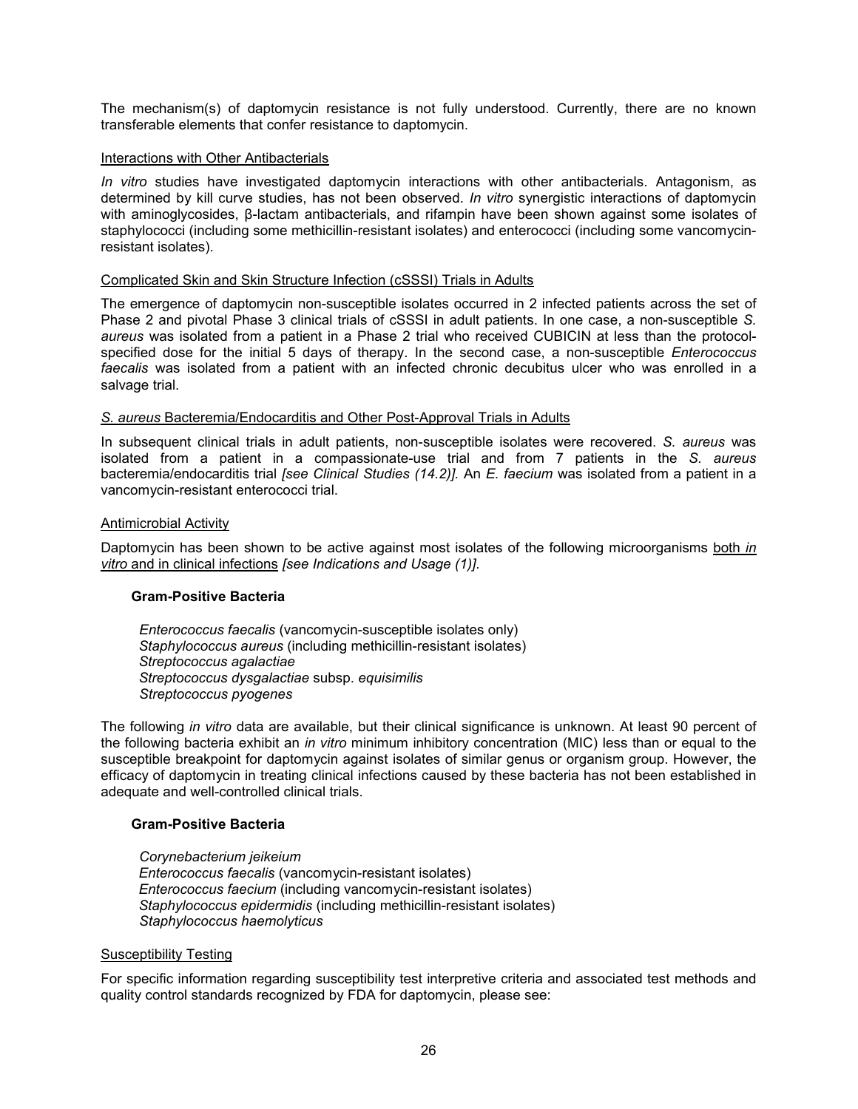The mechanism(s) of daptomycin resistance is not fully understood. Currently, there are no known transferable elements that confer resistance to daptomycin.

#### Interactions with Other Antibacterials

*In vitro* studies have investigated daptomycin interactions with other antibacterials. Antagonism, as determined by kill curve studies, has not been observed. *In vitro* synergistic interactions of daptomycin with aminoglycosides, β-lactam antibacterials, and rifampin have been shown against some isolates of staphylococci (including some methicillin-resistant isolates) and enterococci (including some vancomycinresistant isolates).

#### Complicated Skin and Skin Structure Infection (cSSSI) Trials in Adults

The emergence of daptomycin non-susceptible isolates occurred in 2 infected patients across the set of Phase 2 and pivotal Phase 3 clinical trials of cSSSI in adult patients. In one case, a non-susceptible *S. aureus* was isolated from a patient in a Phase 2 trial who received CUBICIN at less than the protocolspecified dose for the initial 5 days of therapy. In the second case, a non-susceptible *Enterococcus faecalis* was isolated from a patient with an infected chronic decubitus ulcer who was enrolled in a salvage trial.

#### *S. aureus* Bacteremia/Endocarditis and Other Post-Approval Trials in Adults

In subsequent clinical trials in adult patients, non-susceptible isolates were recovered. *S. aureus* was isolated from a patient in a compassionate-use trial and from 7 patients in the *S. aureus* bacteremia/endocarditis trial *[see Clinical Studies (14.2)].* An *E. faecium* was isolated from a patient in a vancomycin-resistant enterococci trial.

#### Antimicrobial Activity

Daptomycin has been shown to be active against most isolates of the following microorganisms both *in vitro* and in clinical infections *[see Indications and Usage (1)]*.

#### **Gram-Positive Bacteria**

*Enterococcus faecalis* (vancomycin-susceptible isolates only) *Staphylococcus aureus* (including methicillin-resistant isolates) *Streptococcus agalactiae Streptococcus dysgalactiae* subsp. *equisimilis Streptococcus pyogenes*

The following *in vitro* data are available, but their clinical significance is unknown. At least 90 percent of the following bacteria exhibit an *in vitro* minimum inhibitory concentration (MIC) less than or equal to the susceptible breakpoint for daptomycin against isolates of similar genus or organism group. However, the efficacy of daptomycin in treating clinical infections caused by these bacteria has not been established in adequate and well-controlled clinical trials.

#### **Gram-Positive Bacteria**

*Corynebacterium jeikeium Enterococcus faecalis* (vancomycin-resistant isolates) *Enterococcus faecium* (including vancomycin-resistant isolates) *Staphylococcus epidermidis* (including methicillin-resistant isolates) *Staphylococcus haemolyticus*

#### Susceptibility Testing

For specific information regarding susceptibility test interpretive criteria and associated test methods and quality control standards recognized by FDA for daptomycin, please see: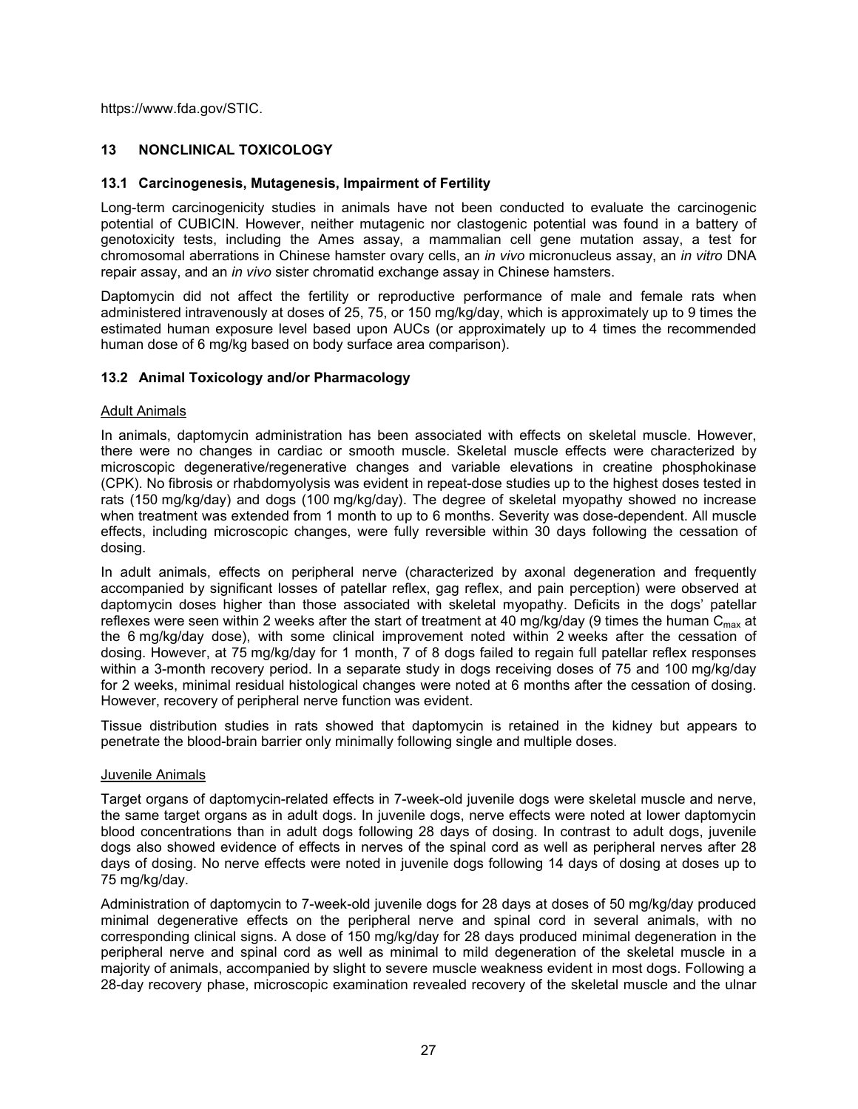https://www.fda.gov/STIC.

# **13 NONCLINICAL TOXICOLOGY**

## **13.1 Carcinogenesis, Mutagenesis, Impairment of Fertility**

Long-term carcinogenicity studies in animals have not been conducted to evaluate the carcinogenic potential of CUBICIN. However, neither mutagenic nor clastogenic potential was found in a battery of genotoxicity tests, including the Ames assay, a mammalian cell gene mutation assay, a test for chromosomal aberrations in Chinese hamster ovary cells, an *in vivo* micronucleus assay, an *in vitro* DNA repair assay, and an *in vivo* sister chromatid exchange assay in Chinese hamsters.

Daptomycin did not affect the fertility or reproductive performance of male and female rats when administered intravenously at doses of 25, 75, or 150 mg/kg/day, which is approximately up to 9 times the estimated human exposure level based upon AUCs (or approximately up to 4 times the recommended human dose of 6 mg/kg based on body surface area comparison).

## **13.2 Animal Toxicology and/or Pharmacology**

#### Adult Animals

In animals, daptomycin administration has been associated with effects on skeletal muscle. However, there were no changes in cardiac or smooth muscle. Skeletal muscle effects were characterized by microscopic degenerative/regenerative changes and variable elevations in creatine phosphokinase (CPK). No fibrosis or rhabdomyolysis was evident in repeat-dose studies up to the highest doses tested in rats (150 mg/kg/day) and dogs (100 mg/kg/day). The degree of skeletal myopathy showed no increase when treatment was extended from 1 month to up to 6 months. Severity was dose-dependent. All muscle effects, including microscopic changes, were fully reversible within 30 days following the cessation of dosing.

In adult animals, effects on peripheral nerve (characterized by axonal degeneration and frequently accompanied by significant losses of patellar reflex, gag reflex, and pain perception) were observed at daptomycin doses higher than those associated with skeletal myopathy. Deficits in the dogs' patellar reflexes were seen within 2 weeks after the start of treatment at 40 mg/kg/day (9 times the human  $C_{\text{max}}$  at the 6 mg/kg/day dose), with some clinical improvement noted within 2 weeks after the cessation of dosing. However, at 75 mg/kg/day for 1 month, 7 of 8 dogs failed to regain full patellar reflex responses within a 3-month recovery period. In a separate study in dogs receiving doses of 75 and 100 mg/kg/day for 2 weeks, minimal residual histological changes were noted at 6 months after the cessation of dosing. However, recovery of peripheral nerve function was evident.

Tissue distribution studies in rats showed that daptomycin is retained in the kidney but appears to penetrate the blood-brain barrier only minimally following single and multiple doses.

#### Juvenile Animals

Target organs of daptomycin-related effects in 7-week-old juvenile dogs were skeletal muscle and nerve, the same target organs as in adult dogs. In juvenile dogs, nerve effects were noted at lower daptomycin blood concentrations than in adult dogs following 28 days of dosing. In contrast to adult dogs, juvenile dogs also showed evidence of effects in nerves of the spinal cord as well as peripheral nerves after 28 days of dosing. No nerve effects were noted in juvenile dogs following 14 days of dosing at doses up to 75 mg/kg/day.

Administration of daptomycin to 7-week-old juvenile dogs for 28 days at doses of 50 mg/kg/day produced minimal degenerative effects on the peripheral nerve and spinal cord in several animals, with no corresponding clinical signs. A dose of 150 mg/kg/day for 28 days produced minimal degeneration in the peripheral nerve and spinal cord as well as minimal to mild degeneration of the skeletal muscle in a majority of animals, accompanied by slight to severe muscle weakness evident in most dogs. Following a 28-day recovery phase, microscopic examination revealed recovery of the skeletal muscle and the ulnar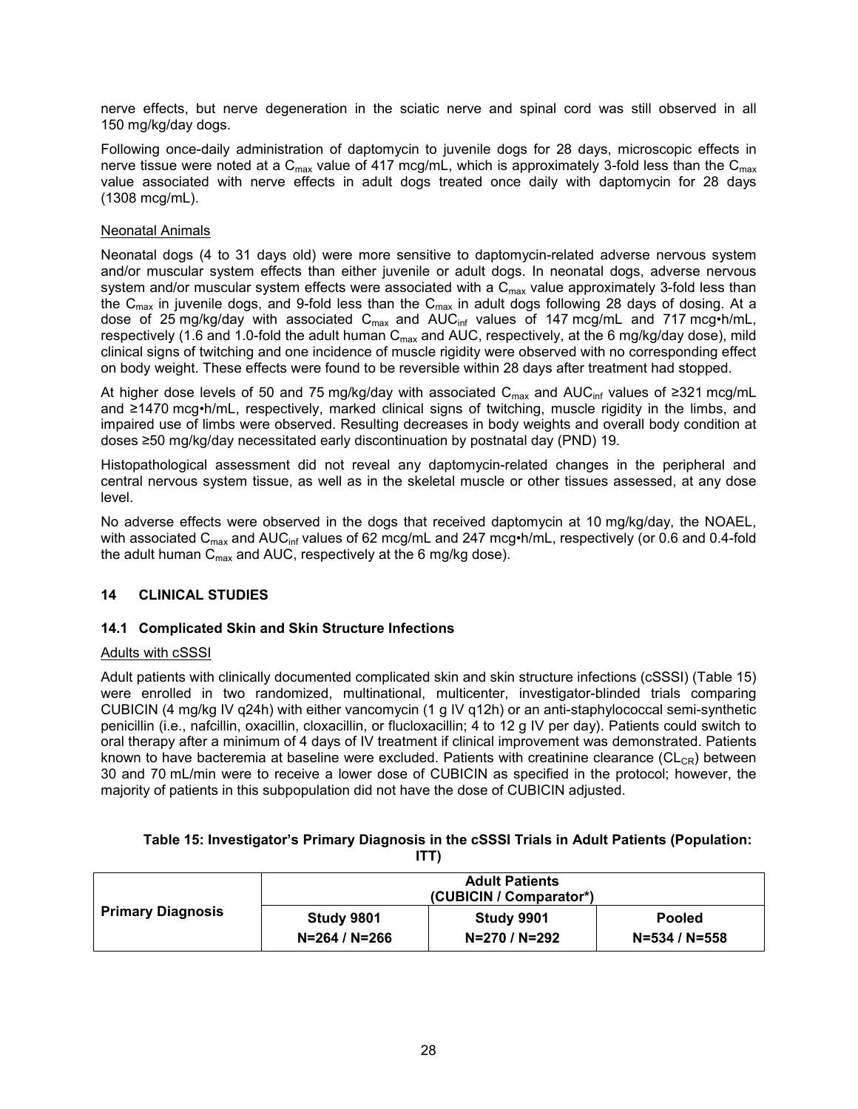nerve effects, but nerve degeneration in the sciatic nerve and spinal cord was still observed in all 150 mg/kg/day dogs.

Following once-daily administration of daptomycin to juvenile dogs for 28 days, microscopic effects in nerve tissue were noted at a  $C_{\text{max}}$  value of 417 mcg/mL, which is approximately 3-fold less than the  $C_{\text{max}}$ value associated with nerve effects in adult dogs treated once daily with daptomycin for 28 days (1308 mcg/mL).

#### Neonatal Animals

Neonatal dogs (4 to 31 days old) were more sensitive to daptomycin-related adverse nervous system and/or muscular system effects than either juvenile or adult dogs. In neonatal dogs, adverse nervous system and/or muscular system effects were associated with a  $C_{\text{max}}$  value approximately 3-fold less than the C<sub>max</sub> in juvenile dogs, and 9-fold less than the C<sub>max</sub> in adult dogs following 28 days of dosing. At a dose of 25 mg/kg/day with associated  $C_{max}$  and  $AUC_{inf}$  values of 147 mcg/mL and 717 mcg•h/mL, respectively (1.6 and 1.0-fold the adult human  $C_{\text{max}}$  and AUC, respectively, at the 6 mg/kg/day dose), mild clinical signs of twitching and one incidence of muscle rigidity were observed with no corresponding effect on body weight. These effects were found to be reversible within 28 days after treatment had stopped.

At higher dose levels of 50 and 75 mg/kg/day with associated  $C_{max}$  and AUC<sub>inf</sub> values of ≥321 mcg/mL and ≥1470 mcg•h/mL, respectively, marked clinical signs of twitching, muscle rigidity in the limbs, and impaired use of limbs were observed. Resulting decreases in body weights and overall body condition at doses ≥50 mg/kg/day necessitated early discontinuation by postnatal day (PND) 19.

Histopathological assessment did not reveal any daptomycin-related changes in the peripheral and central nervous system tissue, as well as in the skeletal muscle or other tissues assessed, at any dose level.

No adverse effects were observed in the dogs that received daptomycin at 10 mg/kg/day, the NOAEL, with associated C<sub>max</sub> and AUC<sub>inf</sub> values of 62 mcg/mL and 247 mcg•h/mL, respectively (or 0.6 and 0.4-fold the adult human  $C_{\text{max}}$  and AUC, respectively at the 6 mg/kg dose).

# **14 CLINICAL STUDIES**

# **14.1 Complicated Skin and Skin Structure Infections**

#### Adults with cSSSI

Adult patients with clinically documented complicated skin and skin structure infections (cSSSI) (Table 15) were enrolled in two randomized, multinational, multicenter, investigator-blinded trials comparing CUBICIN (4 mg/kg IV q24h) with either vancomycin (1 g IV q12h) or an anti-staphylococcal semi-synthetic penicillin (i.e., nafcillin, oxacillin, cloxacillin, or flucloxacillin; 4 to 12 g IV per day). Patients could switch to oral therapy after a minimum of 4 days of IV treatment if clinical improvement was demonstrated. Patients known to have bacteremia at baseline were excluded. Patients with creatinine clearance  $(CL_{CR})$  between 30 and 70 mL/min were to receive a lower dose of CUBICIN as specified in the protocol; however, the majority of patients in this subpopulation did not have the dose of CUBICIN adjusted.

#### **Table 15: Investigator's Primary Diagnosis in the cSSSI Trials in Adult Patients (Population: ITT)**

| <b>Primary Diagnosis</b> | <b>Adult Patients</b><br>(CUBICIN / Comparator*) |                             |                                      |
|--------------------------|--------------------------------------------------|-----------------------------|--------------------------------------|
|                          | Study 9801<br>N=264 / N=266                      | Study 9901<br>$N=270/N=292$ | <b>Pooled</b><br>$N = 534 / N = 558$ |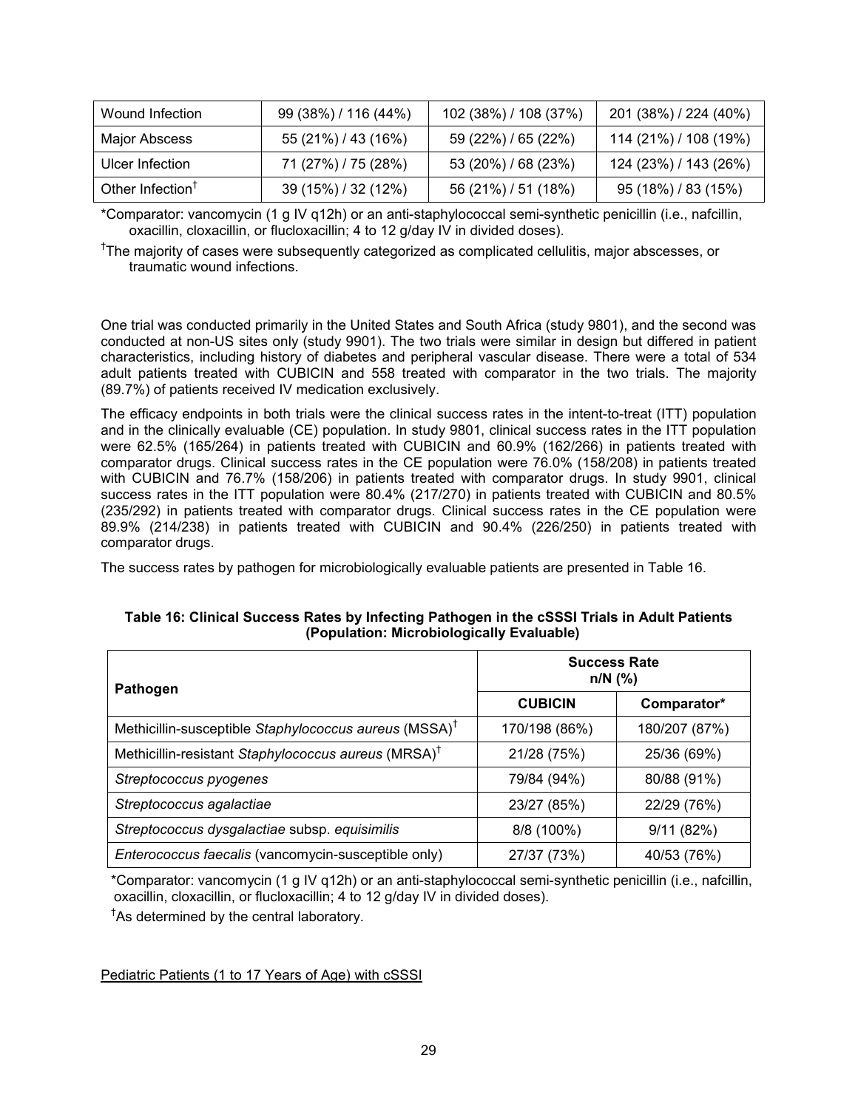| Wound Infection              | 99 (38%) / 116 (44%) | 102 (38%) / 108 (37%) | 201 (38%) / 224 (40%) |
|------------------------------|----------------------|-----------------------|-----------------------|
| Major Abscess                | 55 (21%) / 43 (16%)  | 59 (22%) / 65 (22%)   | 114 (21%) / 108 (19%) |
| Ulcer Infection              | 71 (27%) / 75 (28%)  | 53 (20%) / 68 (23%)   | 124 (23%) / 143 (26%) |
| Other Infection <sup>T</sup> | 39 (15%) / 32 (12%)  | 56 (21%) / 51 (18%)   | 95 (18%) / 83 (15%)   |

\*Comparator: vancomycin (1 g IV q12h) or an anti-staphylococcal semi-synthetic penicillin (i.e., nafcillin, oxacillin, cloxacillin, or flucloxacillin; 4 to 12 g/day IV in divided doses).

<sup>†</sup>The majority of cases were subsequently categorized as complicated cellulitis, major abscesses, or traumatic wound infections.

One trial was conducted primarily in the United States and South Africa (study 9801), and the second was conducted at non-US sites only (study 9901). The two trials were similar in design but differed in patient characteristics, including history of diabetes and peripheral vascular disease. There were a total of 534 adult patients treated with CUBICIN and 558 treated with comparator in the two trials. The majority (89.7%) of patients received IV medication exclusively.

The efficacy endpoints in both trials were the clinical success rates in the intent-to-treat (ITT) population and in the clinically evaluable (CE) population. In study 9801, clinical success rates in the ITT population were 62.5% (165/264) in patients treated with CUBICIN and 60.9% (162/266) in patients treated with comparator drugs. Clinical success rates in the CE population were 76.0% (158/208) in patients treated with CUBICIN and 76.7% (158/206) in patients treated with comparator drugs. In study 9901, clinical success rates in the ITT population were 80.4% (217/270) in patients treated with CUBICIN and 80.5% (235/292) in patients treated with comparator drugs. Clinical success rates in the CE population were 89.9% (214/238) in patients treated with CUBICIN and 90.4% (226/250) in patients treated with comparator drugs.

The success rates by pathogen for microbiologically evaluable patients are presented in Table 16.

| Pathogen                                                          | <b>Success Rate</b><br>$n/N$ (%) |               |
|-------------------------------------------------------------------|----------------------------------|---------------|
|                                                                   | <b>CUBICIN</b>                   | Comparator*   |
| Methicillin-susceptible Staphylococcus aureus (MSSA) <sup>†</sup> | 170/198 (86%)                    | 180/207 (87%) |
| Methicillin-resistant Staphylococcus aureus (MRSA) <sup>†</sup>   | 21/28 (75%)                      | 25/36 (69%)   |
| Streptococcus pyogenes                                            | 79/84 (94%)                      | 80/88 (91%)   |
| Streptococcus agalactiae                                          | 23/27 (85%)                      | 22/29 (76%)   |
| Streptococcus dysgalactiae subsp. equisimilis                     | 8/8 (100%)                       | 9/11(82%)     |
| Enterococcus faecalis (vancomycin-susceptible only)               | 27/37 (73%)                      | 40/53 (76%)   |

# **Table 16: Clinical Success Rates by Infecting Pathogen in the cSSSI Trials in Adult Patients (Population: Microbiologically Evaluable)**

\*Comparator: vancomycin (1 g IV q12h) or an anti-staphylococcal semi-synthetic penicillin (i.e., nafcillin, oxacillin, cloxacillin, or flucloxacillin; 4 to 12 g/day IV in divided doses).

† As determined by the central laboratory.

Pediatric Patients (1 to 17 Years of Age) with cSSSI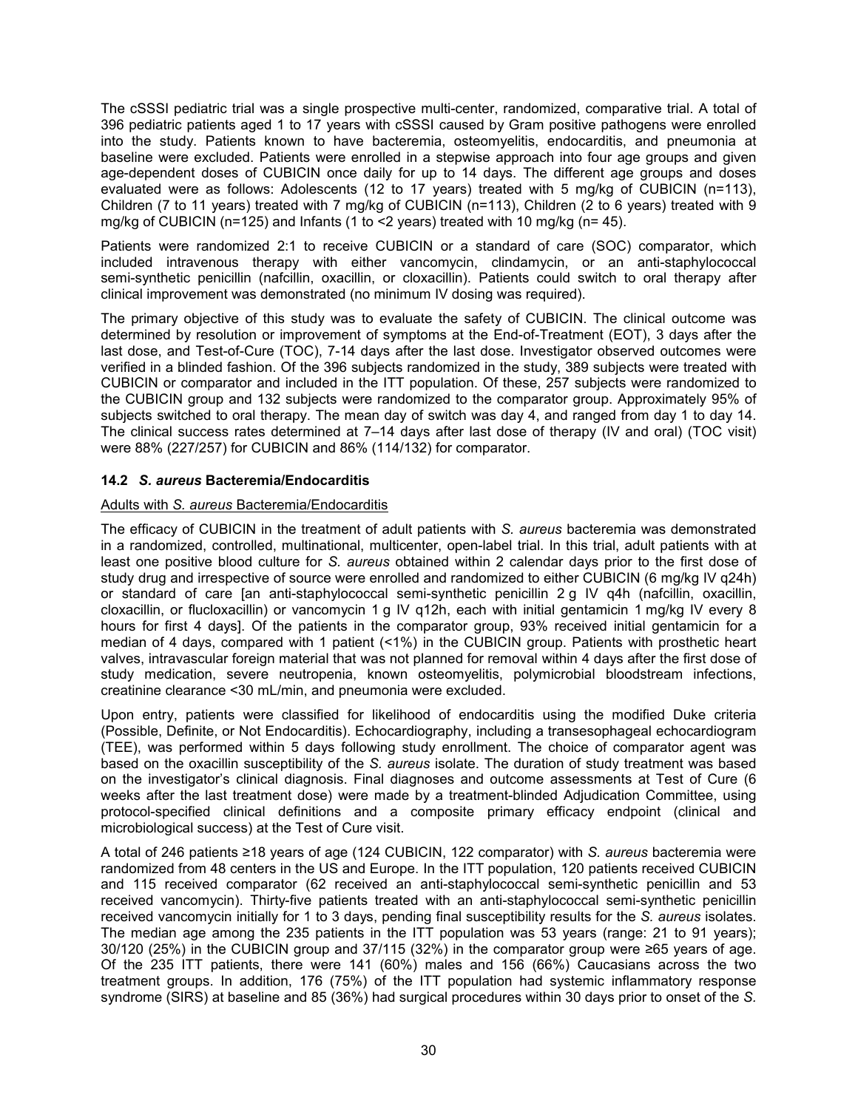The cSSSI pediatric trial was a single prospective multi-center, randomized, comparative trial. A total of 396 pediatric patients aged 1 to 17 years with cSSSI caused by Gram positive pathogens were enrolled into the study. Patients known to have bacteremia, osteomyelitis, endocarditis, and pneumonia at baseline were excluded. Patients were enrolled in a stepwise approach into four age groups and given age-dependent doses of CUBICIN once daily for up to 14 days. The different age groups and doses evaluated were as follows: Adolescents (12 to 17 years) treated with 5 mg/kg of CUBICIN (n=113), Children (7 to 11 years) treated with 7 mg/kg of CUBICIN (n=113), Children (2 to 6 years) treated with 9 mg/kg of CUBICIN (n=125) and Infants (1 to <2 years) treated with 10 mg/kg (n= 45).

Patients were randomized 2:1 to receive CUBICIN or a standard of care (SOC) comparator, which included intravenous therapy with either vancomycin, clindamycin, or an anti-staphylococcal semi-synthetic penicillin (nafcillin, oxacillin, or cloxacillin). Patients could switch to oral therapy after clinical improvement was demonstrated (no minimum IV dosing was required).

The primary objective of this study was to evaluate the safety of CUBICIN. The clinical outcome was determined by resolution or improvement of symptoms at the End-of-Treatment (EOT), 3 days after the last dose, and Test-of-Cure (TOC), 7-14 days after the last dose. Investigator observed outcomes were verified in a blinded fashion. Of the 396 subjects randomized in the study, 389 subjects were treated with CUBICIN or comparator and included in the ITT population. Of these, 257 subjects were randomized to the CUBICIN group and 132 subjects were randomized to the comparator group. Approximately 95% of subjects switched to oral therapy. The mean day of switch was day 4, and ranged from day 1 to day 14. The clinical success rates determined at 7–14 days after last dose of therapy (IV and oral) (TOC visit) were 88% (227/257) for CUBICIN and 86% (114/132) for comparator.

# **14.2** *S. aureus* **Bacteremia/Endocarditis**

# Adults with *S. aureus* Bacteremia/Endocarditis

The efficacy of CUBICIN in the treatment of adult patients with *S. aureus* bacteremia was demonstrated in a randomized, controlled, multinational, multicenter, open-label trial. In this trial, adult patients with at least one positive blood culture for *S. aureus* obtained within 2 calendar days prior to the first dose of study drug and irrespective of source were enrolled and randomized to either CUBICIN (6 mg/kg IV q24h) or standard of care [an anti-staphylococcal semi-synthetic penicillin 2 g IV q4h (nafcillin, oxacillin, cloxacillin, or flucloxacillin) or vancomycin 1 g IV q12h, each with initial gentamicin 1 mg/kg IV every 8 hours for first 4 days]. Of the patients in the comparator group, 93% received initial gentamicin for a median of 4 days, compared with 1 patient (<1%) in the CUBICIN group. Patients with prosthetic heart valves, intravascular foreign material that was not planned for removal within 4 days after the first dose of study medication, severe neutropenia, known osteomyelitis, polymicrobial bloodstream infections, creatinine clearance <30 mL/min, and pneumonia were excluded.

Upon entry, patients were classified for likelihood of endocarditis using the modified Duke criteria (Possible, Definite, or Not Endocarditis). Echocardiography, including a transesophageal echocardiogram (TEE), was performed within 5 days following study enrollment. The choice of comparator agent was based on the oxacillin susceptibility of the *S. aureus* isolate. The duration of study treatment was based on the investigator's clinical diagnosis. Final diagnoses and outcome assessments at Test of Cure (6 weeks after the last treatment dose) were made by a treatment-blinded Adjudication Committee, using protocol-specified clinical definitions and a composite primary efficacy endpoint (clinical and microbiological success) at the Test of Cure visit.

A total of 246 patients ≥18 years of age (124 CUBICIN, 122 comparator) with *S. aureus* bacteremia were randomized from 48 centers in the US and Europe. In the ITT population, 120 patients received CUBICIN and 115 received comparator (62 received an anti-staphylococcal semi-synthetic penicillin and 53 received vancomycin). Thirty-five patients treated with an anti-staphylococcal semi-synthetic penicillin received vancomycin initially for 1 to 3 days, pending final susceptibility results for the *S. aureus* isolates. The median age among the 235 patients in the ITT population was 53 years (range: 21 to 91 years); 30/120 (25%) in the CUBICIN group and 37/115 (32%) in the comparator group were ≥65 years of age. Of the 235 ITT patients, there were 141 (60%) males and 156 (66%) Caucasians across the two treatment groups. In addition, 176 (75%) of the ITT population had systemic inflammatory response syndrome (SIRS) at baseline and 85 (36%) had surgical procedures within 30 days prior to onset of the *S.*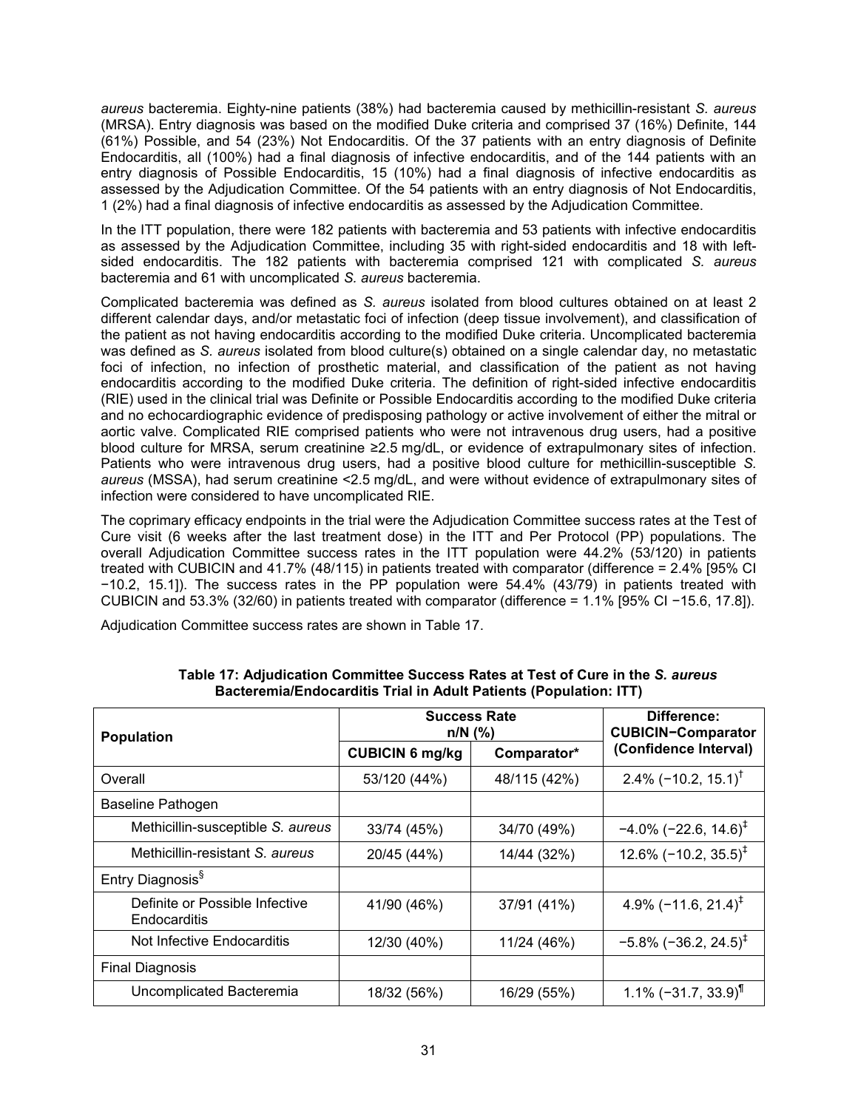*aureus* bacteremia. Eighty-nine patients (38%) had bacteremia caused by methicillin-resistant *S. aureus* (MRSA). Entry diagnosis was based on the modified Duke criteria and comprised 37 (16%) Definite, 144 (61%) Possible, and 54 (23%) Not Endocarditis. Of the 37 patients with an entry diagnosis of Definite Endocarditis, all (100%) had a final diagnosis of infective endocarditis, and of the 144 patients with an entry diagnosis of Possible Endocarditis, 15 (10%) had a final diagnosis of infective endocarditis as assessed by the Adjudication Committee. Of the 54 patients with an entry diagnosis of Not Endocarditis, 1 (2%) had a final diagnosis of infective endocarditis as assessed by the Adjudication Committee.

In the ITT population, there were 182 patients with bacteremia and 53 patients with infective endocarditis as assessed by the Adjudication Committee, including 35 with right-sided endocarditis and 18 with leftsided endocarditis. The 182 patients with bacteremia comprised 121 with complicated *S. aureus* bacteremia and 61 with uncomplicated *S. aureus* bacteremia.

Complicated bacteremia was defined as *S. aureus* isolated from blood cultures obtained on at least 2 different calendar days, and/or metastatic foci of infection (deep tissue involvement), and classification of the patient as not having endocarditis according to the modified Duke criteria. Uncomplicated bacteremia was defined as *S. aureus* isolated from blood culture(s) obtained on a single calendar day, no metastatic foci of infection, no infection of prosthetic material, and classification of the patient as not having endocarditis according to the modified Duke criteria. The definition of right-sided infective endocarditis (RIE) used in the clinical trial was Definite or Possible Endocarditis according to the modified Duke criteria and no echocardiographic evidence of predisposing pathology or active involvement of either the mitral or aortic valve. Complicated RIE comprised patients who were not intravenous drug users, had a positive blood culture for MRSA, serum creatinine ≥2.5 mg/dL, or evidence of extrapulmonary sites of infection. Patients who were intravenous drug users, had a positive blood culture for methicillin-susceptible *S. aureus* (MSSA), had serum creatinine <2.5 mg/dL, and were without evidence of extrapulmonary sites of infection were considered to have uncomplicated RIE.

The coprimary efficacy endpoints in the trial were the Adjudication Committee success rates at the Test of Cure visit (6 weeks after the last treatment dose) in the ITT and Per Protocol (PP) populations. The overall Adjudication Committee success rates in the ITT population were 44.2% (53/120) in patients treated with CUBICIN and 41.7% (48/115) in patients treated with comparator (difference = 2.4% [95% CI −10.2, 15.1]). The success rates in the PP population were 54.4% (43/79) in patients treated with CUBICIN and 53.3% (32/60) in patients treated with comparator (difference = 1.1% [95% CI −15.6, 17.8]).

Adjudication Committee success rates are shown in Table 17.

| <b>Population</b>                              | <b>Success Rate</b><br>$n/N$ (%) |              | Difference:<br><b>CUBICIN-Comparator</b> |
|------------------------------------------------|----------------------------------|--------------|------------------------------------------|
|                                                | <b>CUBICIN 6 mg/kg</b>           | Comparator*  | (Confidence Interval)                    |
| Overall                                        | 53/120 (44%)                     | 48/115 (42%) | 2.4% ( $-10.2$ , 15.1) <sup>†</sup>      |
| <b>Baseline Pathogen</b>                       |                                  |              |                                          |
| Methicillin-susceptible S. aureus              | 33/74 (45%)                      | 34/70 (49%)  | $-4.0\%$ (-22.6, 14.6) <sup>‡</sup>      |
| Methicillin-resistant S. aureus                | 20/45 (44%)                      | 14/44 (32%)  | 12.6% $(-10.2, 35.5)^{\ddagger}$         |
| Entry Diagnosis <sup>§</sup>                   |                                  |              |                                          |
| Definite or Possible Infective<br>Endocarditis | 41/90 (46%)                      | 37/91 (41%)  | 4.9% $(-11.6, 21.4)^{\ddagger}$          |
| Not Infective Endocarditis                     | 12/30 (40%)                      | 11/24 (46%)  | $-5.8\%$ (-36.2, 24.5) <sup>‡</sup>      |
| <b>Final Diagnosis</b>                         |                                  |              |                                          |
| Uncomplicated Bacteremia                       | 18/32 (56%)                      | 16/29 (55%)  | 1.1% $(-31.7, 33.9)$ <sup>1</sup>        |

**Table 17: Adjudication Committee Success Rates at Test of Cure in the** *S. aureus* **Bacteremia/Endocarditis Trial in Adult Patients (Population: ITT)**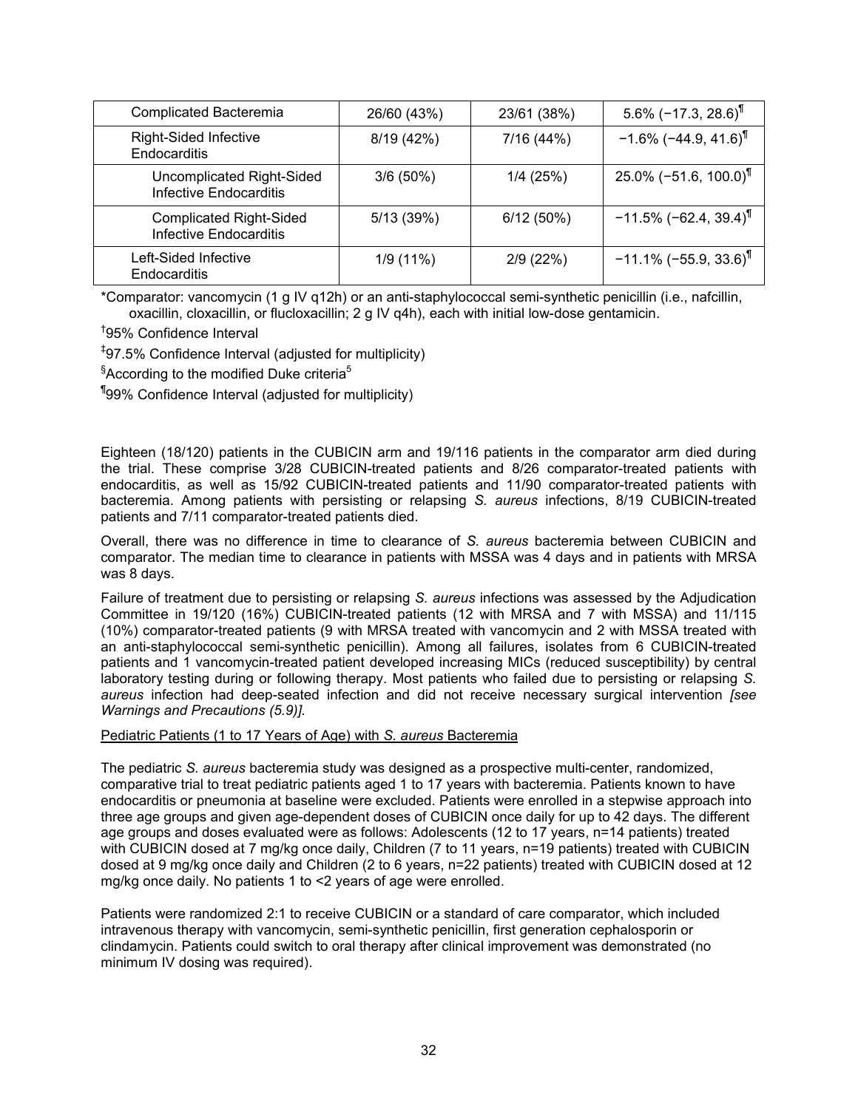| <b>Complicated Bacteremia</b>                                   | 26/60 (43%) | 23/61 (38%) | $5.6\%$ (-17.3, 28.6) <sup>1</sup>   |
|-----------------------------------------------------------------|-------------|-------------|--------------------------------------|
| <b>Right-Sided Infective</b><br>Endocarditis                    | 8/19 (42%)  | 7/16 (44%)  | $-1.6\%$ (-44.9, 41.6) <sup>1</sup>  |
| Uncomplicated Right-Sided<br><b>Infective Endocarditis</b>      | $3/6(50\%)$ | 1/4(25%)    | $25.0\%$ (-51.6, 100.0) <sup>1</sup> |
| <b>Complicated Right-Sided</b><br><b>Infective Endocarditis</b> | 5/13 (39%)  | 6/12(50%)   | $-11.5\%$ (-62.4, 39.4) <sup>T</sup> |
| Left-Sided Infective<br><b>Endocarditis</b>                     | 1/9(11%)    | 2/9(22%)    | $-11.1\%$ (-55.9, 33.6) <sup>1</sup> |

\*Comparator: vancomycin (1 g IV q12h) or an anti-staphylococcal semi-synthetic penicillin (i.e., nafcillin, oxacillin, cloxacillin, or flucloxacillin; 2 g IV q4h), each with initial low-dose gentamicin.

† 95% Confidence Interval

‡ 97.5% Confidence Interval (adjusted for multiplicity)

 ${}^{§}$ According to the modified Duke criteria<sup>5</sup>

¶ 99% Confidence Interval (adjusted for multiplicity)

Eighteen (18/120) patients in the CUBICIN arm and 19/116 patients in the comparator arm died during the trial. These comprise 3/28 CUBICIN-treated patients and 8/26 comparator-treated patients with endocarditis, as well as 15/92 CUBICIN-treated patients and 11/90 comparator-treated patients with bacteremia. Among patients with persisting or relapsing *S. aureus* infections, 8/19 CUBICIN-treated patients and 7/11 comparator-treated patients died.

Overall, there was no difference in time to clearance of *S. aureus* bacteremia between CUBICIN and comparator. The median time to clearance in patients with MSSA was 4 days and in patients with MRSA was 8 days.

Failure of treatment due to persisting or relapsing *S. aureus* infections was assessed by the Adjudication Committee in 19/120 (16%) CUBICIN-treated patients (12 with MRSA and 7 with MSSA) and 11/115 (10%) comparator-treated patients (9 with MRSA treated with vancomycin and 2 with MSSA treated with an anti-staphylococcal semi-synthetic penicillin). Among all failures, isolates from 6 CUBICIN-treated patients and 1 vancomycin-treated patient developed increasing MICs (reduced susceptibility) by central laboratory testing during or following therapy. Most patients who failed due to persisting or relapsing *S. aureus* infection had deep-seated infection and did not receive necessary surgical intervention *[see Warnings and Precautions (5.9)].*

Pediatric Patients (1 to 17 Years of Age) with *S. aureus* Bacteremia

The pediatric *S. aureus* bacteremia study was designed as a prospective multi-center, randomized, comparative trial to treat pediatric patients aged 1 to 17 years with bacteremia. Patients known to have endocarditis or pneumonia at baseline were excluded. Patients were enrolled in a stepwise approach into three age groups and given age-dependent doses of CUBICIN once daily for up to 42 days. The different age groups and doses evaluated were as follows: Adolescents (12 to 17 years, n=14 patients) treated with CUBICIN dosed at 7 mg/kg once daily, Children (7 to 11 years, n=19 patients) treated with CUBICIN dosed at 9 mg/kg once daily and Children (2 to 6 years, n=22 patients) treated with CUBICIN dosed at 12 mg/kg once daily. No patients 1 to <2 years of age were enrolled.

Patients were randomized 2:1 to receive CUBICIN or a standard of care comparator, which included intravenous therapy with vancomycin, semi-synthetic penicillin, first generation cephalosporin or clindamycin. Patients could switch to oral therapy after clinical improvement was demonstrated (no minimum IV dosing was required).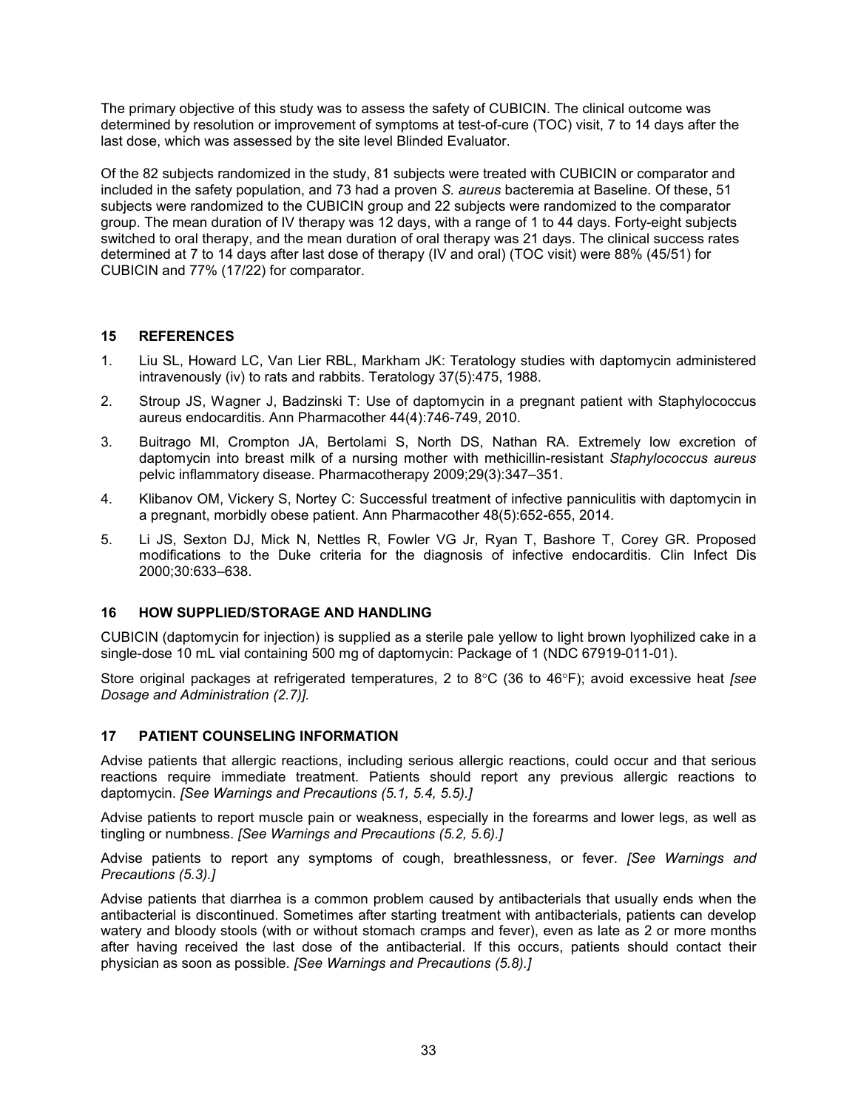The primary objective of this study was to assess the safety of CUBICIN. The clinical outcome was determined by resolution or improvement of symptoms at test-of-cure (TOC) visit, 7 to 14 days after the last dose, which was assessed by the site level Blinded Evaluator.

Of the 82 subjects randomized in the study, 81 subjects were treated with CUBICIN or comparator and included in the safety population, and 73 had a proven *S. aureus* bacteremia at Baseline. Of these, 51 subjects were randomized to the CUBICIN group and 22 subjects were randomized to the comparator group. The mean duration of IV therapy was 12 days, with a range of 1 to 44 days. Forty-eight subjects switched to oral therapy, and the mean duration of oral therapy was 21 days. The clinical success rates determined at 7 to 14 days after last dose of therapy (IV and oral) (TOC visit) were 88% (45/51) for CUBICIN and 77% (17/22) for comparator.

# **15 REFERENCES**

- 1. Liu SL, Howard LC, Van Lier RBL, Markham JK: Teratology studies with daptomycin administered intravenously (iv) to rats and rabbits. Teratology 37(5):475, 1988.
- 2. Stroup JS, Wagner J, Badzinski T: Use of daptomycin in a pregnant patient with Staphylococcus aureus endocarditis. Ann Pharmacother 44(4):746-749, 2010.
- 3. Buitrago MI, Crompton JA, Bertolami S, North DS, Nathan RA. Extremely low excretion of daptomycin into breast milk of a nursing mother with methicillin-resistant *Staphylococcus aureus* pelvic inflammatory disease. Pharmacotherapy 2009;29(3):347–351.
- 4. Klibanov OM, Vickery S, Nortey C: Successful treatment of infective panniculitis with daptomycin in a pregnant, morbidly obese patient. Ann Pharmacother 48(5):652-655, 2014.
- 5. Li JS, Sexton DJ, Mick N, Nettles R, Fowler VG Jr, Ryan T, Bashore T, Corey GR. Proposed modifications to the Duke criteria for the diagnosis of infective endocarditis. Clin Infect Dis 2000;30:633–638.

# **16 HOW SUPPLIED/STORAGE AND HANDLING**

CUBICIN (daptomycin for injection) is supplied as a sterile pale yellow to light brown lyophilized cake in a single-dose 10 mL vial containing 500 mg of daptomycin: Package of 1 (NDC 67919-011-01).

Store original packages at refrigerated temperatures, 2 to 8°C (36 to 46°F); avoid excessive heat *[see Dosage and Administration (2.7)].*

# **17 PATIENT COUNSELING INFORMATION**

Advise patients that allergic reactions, including serious allergic reactions, could occur and that serious reactions require immediate treatment. Patients should report any previous allergic reactions to daptomycin. *[See Warnings and Precautions (5.1, 5.4, 5.5).]*

Advise patients to report muscle pain or weakness, especially in the forearms and lower legs, as well as tingling or numbness. *[See Warnings and Precautions (5.2, 5.6).]*

Advise patients to report any symptoms of cough, breathlessness, or fever. *[See Warnings and Precautions (5.3).]*

Advise patients that diarrhea is a common problem caused by antibacterials that usually ends when the antibacterial is discontinued. Sometimes after starting treatment with antibacterials, patients can develop watery and bloody stools (with or without stomach cramps and fever), even as late as 2 or more months after having received the last dose of the antibacterial. If this occurs, patients should contact their physician as soon as possible. *[See Warnings and Precautions (5.8).]*